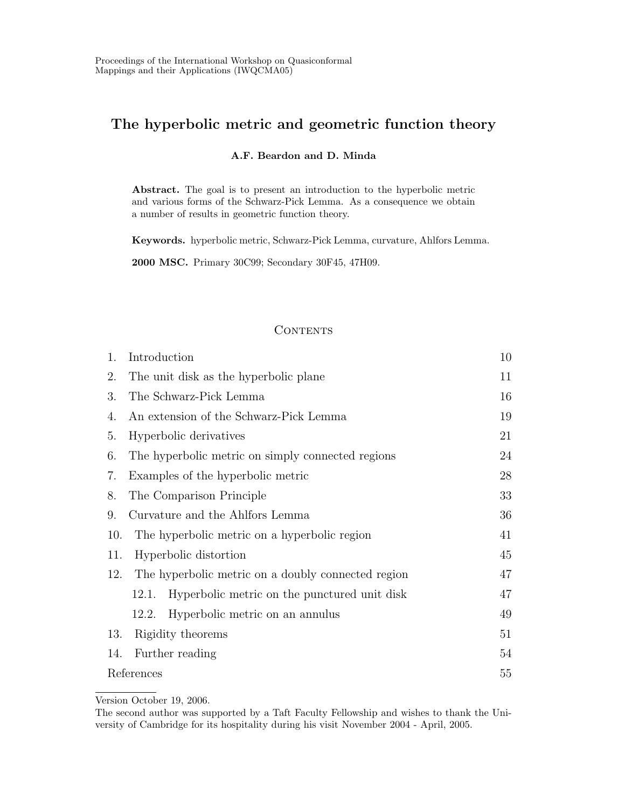# The hyperbolic metric and geometric function theory

#### A.F. Beardon and D. Minda

Abstract. The goal is to present an introduction to the hyperbolic metric and various forms of the Schwarz-Pick Lemma. As a consequence we obtain a number of results in geometric function theory.

Keywords. hyperbolic metric, Schwarz-Pick Lemma, curvature, Ahlfors Lemma.

2000 MSC. Primary 30C99; Secondary 30F45, 47H09.

### **CONTENTS**

| 1.         | Introduction                                          | 10 |
|------------|-------------------------------------------------------|----|
| 2.         | The unit disk as the hyperbolic plane                 | 11 |
| 3.         | The Schwarz-Pick Lemma                                | 16 |
| 4.         | An extension of the Schwarz-Pick Lemma                | 19 |
| 5.         | Hyperbolic derivatives                                | 21 |
| 6.         | The hyperbolic metric on simply connected regions     | 24 |
| 7.         | Examples of the hyperbolic metric                     | 28 |
| 8.         | The Comparison Principle                              | 33 |
| 9.         | Curvature and the Ahlfors Lemma                       | 36 |
| 10.        | The hyperbolic metric on a hyperbolic region          | 41 |
| 11.        | Hyperbolic distortion                                 | 45 |
| 12.        | The hyperbolic metric on a doubly connected region    | 47 |
|            | Hyperbolic metric on the punctured unit disk<br>12.1. | 47 |
|            | Hyperbolic metric on an annulus<br>12.2.              | 49 |
| 13.        | Rigidity theorems                                     | 51 |
| 14.        | Further reading                                       | 54 |
| References |                                                       | 55 |

Version October 19, 2006.

The second author was supported by a Taft Faculty Fellowship and wishes to thank the University of Cambridge for its hospitality during his visit November 2004 - April, 2005.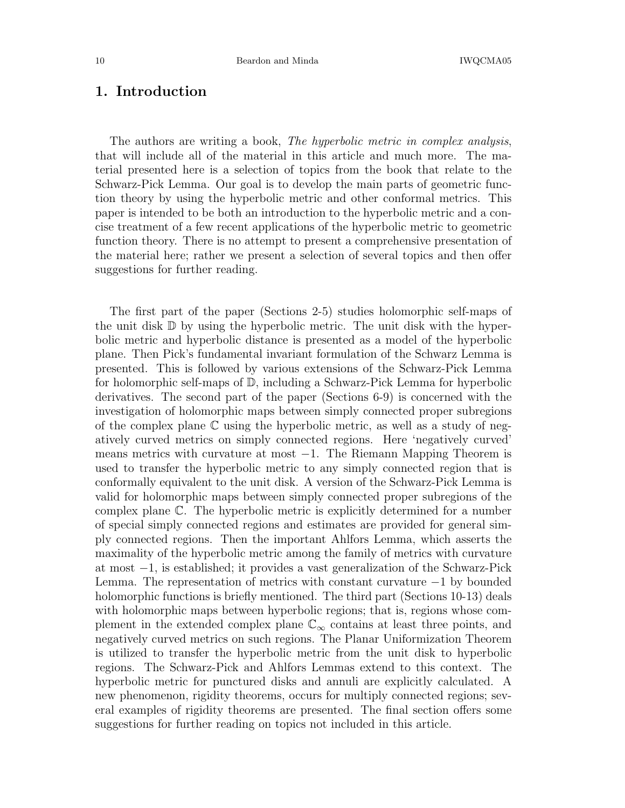# 1. Introduction

The authors are writing a book, *The hyperbolic metric in complex analysis*, that will include all of the material in this article and much more. The material presented here is a selection of topics from the book that relate to the Schwarz-Pick Lemma. Our goal is to develop the main parts of geometric function theory by using the hyperbolic metric and other conformal metrics. This paper is intended to be both an introduction to the hyperbolic metric and a concise treatment of a few recent applications of the hyperbolic metric to geometric function theory. There is no attempt to present a comprehensive presentation of the material here; rather we present a selection of several topics and then offer suggestions for further reading.

The first part of the paper (Sections 2-5) studies holomorphic self-maps of the unit disk  $\mathbb D$  by using the hyperbolic metric. The unit disk with the hyperbolic metric and hyperbolic distance is presented as a model of the hyperbolic plane. Then Pick's fundamental invariant formulation of the Schwarz Lemma is presented. This is followed by various extensions of the Schwarz-Pick Lemma for holomorphic self-maps of D, including a Schwarz-Pick Lemma for hyperbolic derivatives. The second part of the paper (Sections 6-9) is concerned with the investigation of holomorphic maps between simply connected proper subregions of the complex plane C using the hyperbolic metric, as well as a study of negatively curved metrics on simply connected regions. Here 'negatively curved' means metrics with curvature at most −1. The Riemann Mapping Theorem is used to transfer the hyperbolic metric to any simply connected region that is conformally equivalent to the unit disk. A version of the Schwarz-Pick Lemma is valid for holomorphic maps between simply connected proper subregions of the complex plane C. The hyperbolic metric is explicitly determined for a number of special simply connected regions and estimates are provided for general simply connected regions. Then the important Ahlfors Lemma, which asserts the maximality of the hyperbolic metric among the family of metrics with curvature at most −1, is established; it provides a vast generalization of the Schwarz-Pick Lemma. The representation of metrics with constant curvature −1 by bounded holomorphic functions is briefly mentioned. The third part (Sections 10-13) deals with holomorphic maps between hyperbolic regions; that is, regions whose complement in the extended complex plane  $\mathbb{C}_{\infty}$  contains at least three points, and negatively curved metrics on such regions. The Planar Uniformization Theorem is utilized to transfer the hyperbolic metric from the unit disk to hyperbolic regions. The Schwarz-Pick and Ahlfors Lemmas extend to this context. The hyperbolic metric for punctured disks and annuli are explicitly calculated. A new phenomenon, rigidity theorems, occurs for multiply connected regions; several examples of rigidity theorems are presented. The final section offers some suggestions for further reading on topics not included in this article.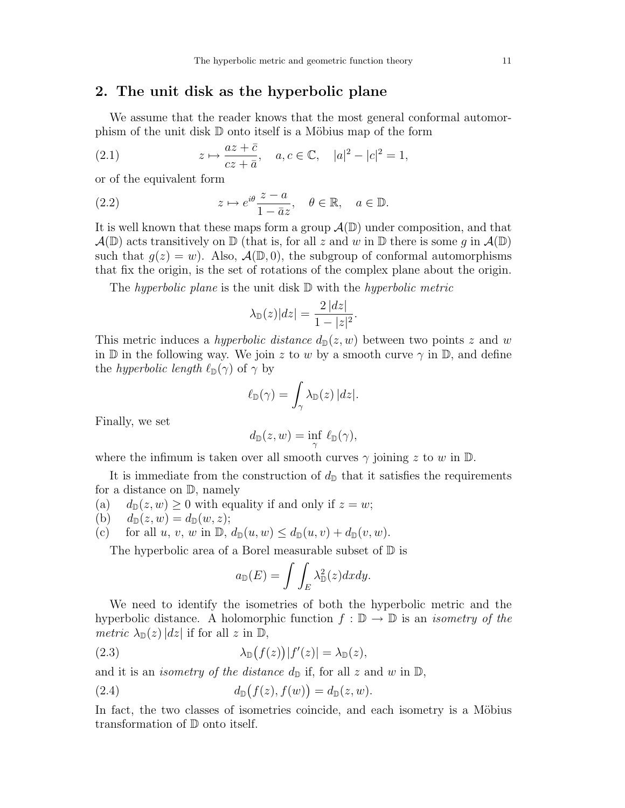## 2. The unit disk as the hyperbolic plane

We assume that the reader knows that the most general conformal automorphism of the unit disk  $\mathbb D$  onto itself is a Möbius map of the form

(2.1) 
$$
z \mapsto \frac{az + \bar{c}}{cz + \bar{a}}, \quad a, c \in \mathbb{C}, \quad |a|^2 - |c|^2 = 1,
$$

or of the equivalent form

(2.2) 
$$
z \mapsto e^{i\theta} \frac{z-a}{1-\bar{a}z}, \quad \theta \in \mathbb{R}, \quad a \in \mathbb{D}.
$$

It is well known that these maps form a group  $\mathcal{A}(\mathbb{D})$  under composition, and that  $\mathcal{A}(\mathbb{D})$  acts transitively on  $\mathbb{D}$  (that is, for all z and w in  $\mathbb{D}$  there is some q in  $\mathcal{A}(\mathbb{D})$ ) such that  $q(z) = w$ . Also,  $\mathcal{A}(\mathbb{D}, 0)$ , the subgroup of conformal automorphisms that fix the origin, is the set of rotations of the complex plane about the origin.

The hyperbolic plane is the unit disk  $\mathbb D$  with the hyperbolic metric

$$
\lambda_{\mathbb{D}}(z)|dz| = \frac{2|dz|}{1-|z|^2}.
$$

This metric induces a *hyperbolic distance*  $d_{\mathbb{D}}(z, w)$  between two points z and w in  $\mathbb D$  in the following way. We join z to w by a smooth curve  $\gamma$  in  $\mathbb D$ , and define the *hyperbolic length*  $\ell_{\mathbb{D}}(\gamma)$  of  $\gamma$  by

$$
\ell_{\mathbb{D}}(\gamma) = \int_{\gamma} \lambda_{\mathbb{D}}(z) |dz|.
$$

Finally, we set

$$
d_{\mathbb{D}}(z,w)=\inf_{\gamma}\ell_{\mathbb{D}}(\gamma),
$$

where the infimum is taken over all smooth curves  $\gamma$  joining z to w in  $\mathbb{D}$ .

It is immediate from the construction of  $d_{\mathbb{D}}$  that it satisfies the requirements for a distance on D, namely

- (a)  $d_{\mathbb{D}}(z, w) \ge 0$  with equality if and only if  $z = w$ ;<br>(b)  $d_{\mathbb{D}}(z, w) = d_{\mathbb{D}}(w, z)$ ;
- $d_{\mathbb{D}}(z, w) = d_{\mathbb{D}}(w, z);$

(c) for all 
$$
u, v, w
$$
 in  $\mathbb{D}, d_{\mathbb{D}}(u, w) \leq d_{\mathbb{D}}(u, v) + d_{\mathbb{D}}(v, w)$ .

The hyperbolic area of a Borel measurable subset of  $\mathbb D$  is

$$
a_{\mathbb{D}}(E) = \int \int_{E} \lambda_{\mathbb{D}}^{2}(z) dx dy.
$$

We need to identify the isometries of both the hyperbolic metric and the hyperbolic distance. A holomorphic function  $f : \mathbb{D} \to \mathbb{D}$  is an *isometry of the metric*  $\lambda_{\mathbb{D}}(z) |dz|$  if for all z in  $\mathbb{D}$ ,

(2.3) 
$$
\lambda_{\mathbb{D}}(f(z))|f'(z)| = \lambda_{\mathbb{D}}(z),
$$

and it is an *isometry of the distance*  $d_{\mathbb{D}}$  if, for all z and w in  $\mathbb{D}$ ,

$$
(2.4) \t\t d_{\mathbb{D}}(f(z), f(w)) = d_{\mathbb{D}}(z, w).
$$

In fact, the two classes of isometries coincide, and each isometry is a Möbius transformation of D onto itself.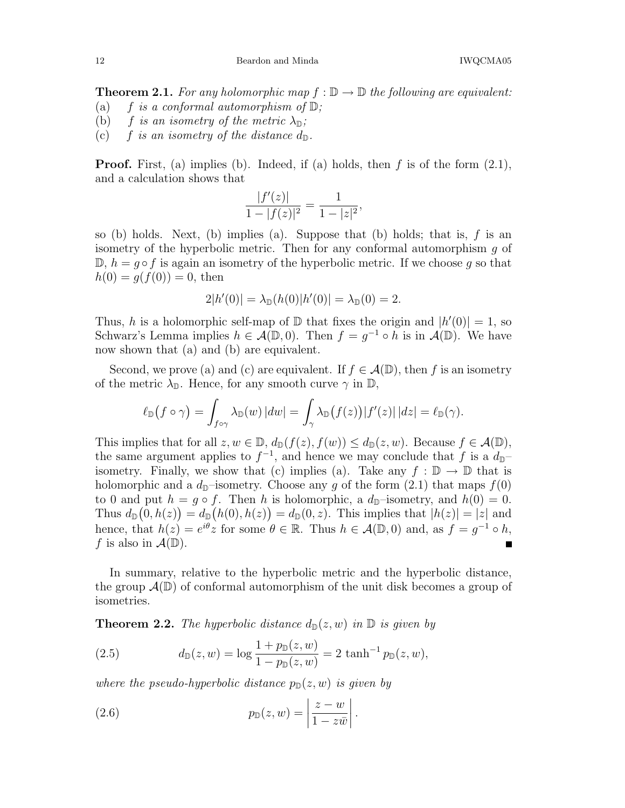**Theorem 2.1.** For any holomorphic map  $f : \mathbb{D} \to \mathbb{D}$  the following are equivalent:<br>(a)  $f$  is a conformal automorphism of  $\mathbb{D}$ ;

- f is a conformal automorphism of  $\mathbb{D}$ ;
- (b) f is an isometry of the metric  $\lambda_{\mathbb{D}}$ ;
- (c) f is an isometry of the distance  $d_{\mathbb{D}}$ .

**Proof.** First, (a) implies (b). Indeed, if (a) holds, then f is of the form  $(2.1)$ , and a calculation shows that

$$
\frac{|f'(z)|}{1-|f(z)|^2} = \frac{1}{1-|z|^2},
$$

so (b) holds. Next, (b) implies (a). Suppose that (b) holds; that is,  $f$  is an isometry of the hyperbolic metric. Then for any conformal automorphism g of  $\mathbb{D}, h = g \circ f$  is again an isometry of the hyperbolic metric. If we choose g so that  $h(0) = q(f(0)) = 0$ , then

$$
2|h'(0)| = \lambda_{\mathbb{D}}(h(0)|h'(0)| = \lambda_{\mathbb{D}}(0) = 2.
$$

Thus, h is a holomorphic self-map of  $\mathbb D$  that fixes the origin and  $|h'(0)| = 1$ , so Schwarz's Lemma implies  $h \in \mathcal{A}(\mathbb{D}, 0)$ . Then  $f = g^{-1} \circ h$  is in  $\mathcal{A}(\mathbb{D})$ . We have now shown that (a) and (b) are equivalent.

Second, we prove (a) and (c) are equivalent. If  $f \in \mathcal{A}(\mathbb{D})$ , then f is an isometry of the metric  $\lambda_{\mathbb{D}}$ . Hence, for any smooth curve  $\gamma$  in  $\mathbb{D}$ ,

$$
\ell_{\mathbb{D}}(f\circ\gamma)=\int_{f\circ\gamma}\lambda_{\mathbb{D}}(w)\,|dw|=\int_{\gamma}\lambda_{\mathbb{D}}(f(z))|f'(z)|\,|dz|=\ell_{\mathbb{D}}(\gamma).
$$

This implies that for all  $z, w \in \mathbb{D}$ ,  $d_{\mathbb{D}}(f(z), f(w)) \leq d_{\mathbb{D}}(z, w)$ . Because  $f \in \mathcal{A}(\mathbb{D})$ , the same argument applies to  $f^{-1}$ , and hence we may conclude that f is a  $d_{\mathbb{D}}$ isometry. Finally, we show that (c) implies (a). Take any  $f : \mathbb{D} \to \mathbb{D}$  that is holomorphic and a  $d_{\mathbb{D}}$ -isometry. Choose any g of the form (2.1) that maps  $f(0)$ to 0 and put  $h = g \circ f$ . Then h is holomorphic, a  $d_{\mathbb{D}}$ -isometry, and  $h(0) = 0$ . Thus  $d_{\mathbb{D}}(0, h(z)) = d_{\mathbb{D}}(h(0), h(z)) = d_{\mathbb{D}}(0, z)$ . This implies that  $|h(z)| = |z|$  and hence, that  $h(z) = e^{i\theta} z$  for some  $\theta \in \mathbb{R}$ . Thus  $h \in \mathcal{A}(\mathbb{D}, 0)$  and, as  $f = g^{-1} \circ h$ , f is also in  $\mathcal{A}(\mathbb{D})$ .

In summary, relative to the hyperbolic metric and the hyperbolic distance, the group  $\mathcal{A}(\mathbb{D})$  of conformal automorphism of the unit disk becomes a group of isometries.

**Theorem 2.2.** The hyperbolic distance  $d_{\mathbb{D}}(z, w)$  in  $\mathbb{D}$  is given by

(2.5) 
$$
d_{\mathbb{D}}(z, w) = \log \frac{1 + p_{\mathbb{D}}(z, w)}{1 - p_{\mathbb{D}}(z, w)} = 2 \tanh^{-1} p_{\mathbb{D}}(z, w),
$$

where the pseudo-hyperbolic distance  $p_{\mathbb{D}}(z, w)$  is given by

(2.6) 
$$
p_{\mathbb{D}}(z,w) = \left|\frac{z-w}{1-z\bar{w}}\right|.
$$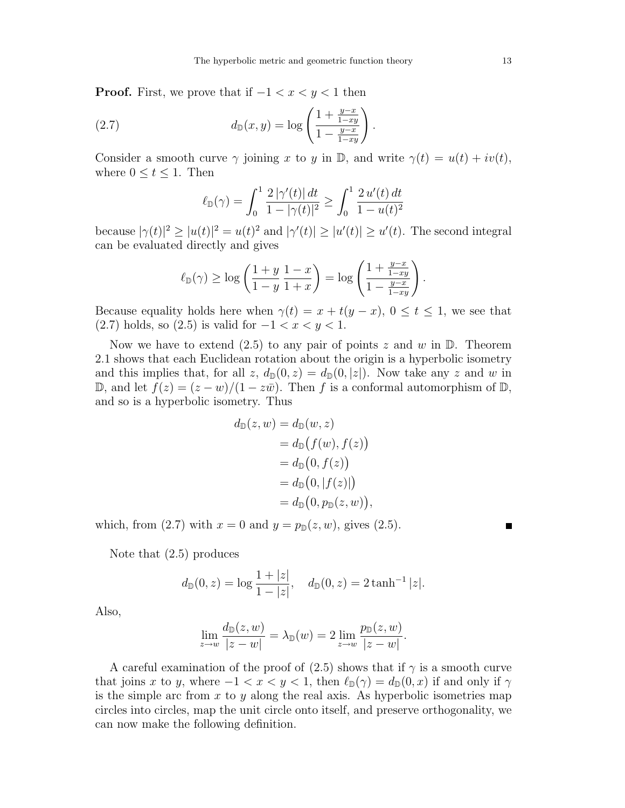**Proof.** First, we prove that if  $-1 < x < y < 1$  then

(2.7) 
$$
d_{\mathbb{D}}(x,y) = \log \left( \frac{1 + \frac{y - x}{1 - xy}}{1 - \frac{y - x}{1 - xy}} \right).
$$

Consider a smooth curve  $\gamma$  joining x to y in D, and write  $\gamma(t) = u(t) + iv(t)$ , where  $0 \le t \le 1$ . Then

$$
\ell_{\mathbb{D}}(\gamma) = \int_0^1 \frac{2|\gamma'(t)| dt}{1 - |\gamma(t)|^2} \ge \int_0^1 \frac{2 u'(t) dt}{1 - u(t)^2}
$$

because  $|\gamma(t)|^2 \ge |u(t)|^2 = u(t)^2$  and  $|\gamma'(t)| \ge |u'(t)| \ge u'(t)$ . The second integral can be evaluated directly and gives

$$
\ell_{\mathbb{D}}(\gamma) \ge \log\left(\frac{1+y}{1-y}\frac{1-x}{1+x}\right) = \log\left(\frac{1+\frac{y-x}{1-xy}}{1-\frac{y-x}{1-xy}}\right).
$$

Because equality holds here when  $\gamma(t) = x + t(y - x)$ ,  $0 \le t \le 1$ , we see that (2.7) holds, so (2.5) is valid for  $-1 < x < y < 1$ .

Now we have to extend (2.5) to any pair of points z and w in  $\mathbb{D}$ . Theorem 2.1 shows that each Euclidean rotation about the origin is a hyperbolic isometry and this implies that, for all z,  $d_{\mathbb{D}}(0, z) = d_{\mathbb{D}}(0, |z|)$ . Now take any z and w in D, and let  $f(z) = (z - w)/(1 - z\overline{w})$ . Then f is a conformal automorphism of D, and so is a hyperbolic isometry. Thus

$$
d_{\mathbb{D}}(z, w) = d_{\mathbb{D}}(w, z)
$$
  
=  $d_{\mathbb{D}}(f(w), f(z))$   
=  $d_{\mathbb{D}}(0, f(z))$   
=  $d_{\mathbb{D}}(0, |f(z)|)$   
=  $d_{\mathbb{D}}(0, p_{\mathbb{D}}(z, w)),$ 

which, from (2.7) with  $x = 0$  and  $y = p_{\mathbb{D}}(z, w)$ , gives (2.5).

Note that (2.5) produces

$$
d_{\mathbb{D}}(0, z) = \log \frac{1 + |z|}{1 - |z|}, \quad d_{\mathbb{D}}(0, z) = 2 \tanh^{-1} |z|.
$$

Also,

$$
\lim_{z \to w} \frac{d_{\mathbb{D}}(z, w)}{|z - w|} = \lambda_{\mathbb{D}}(w) = 2 \lim_{z \to w} \frac{p_{\mathbb{D}}(z, w)}{|z - w|}.
$$

A careful examination of the proof of  $(2.5)$  shows that if  $\gamma$  is a smooth curve that joins x to y, where  $-1 < x < y < 1$ , then  $\ell_{\mathbb{D}}(\gamma) = d_{\mathbb{D}}(0, x)$  if and only if  $\gamma$ is the simple arc from  $x$  to  $y$  along the real axis. As hyperbolic isometries map circles into circles, map the unit circle onto itself, and preserve orthogonality, we can now make the following definition.

 $\blacksquare$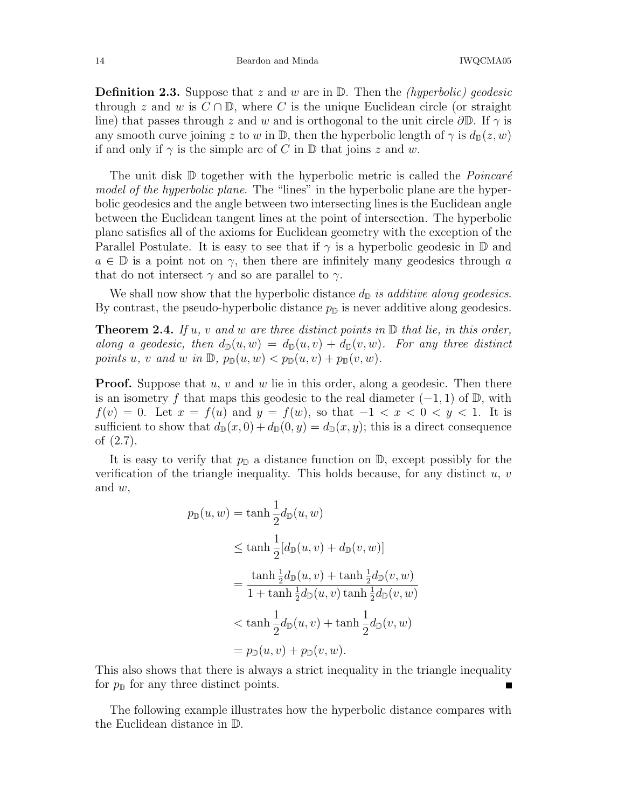**Definition 2.3.** Suppose that z and w are in  $\mathbb{D}$ . Then the *(hyperbolic) geodesic* through z and w is  $C \cap \mathbb{D}$ , where C is the unique Euclidean circle (or straight line) that passes through z and w and is orthogonal to the unit circle  $\partial \mathbb{D}$ . If  $\gamma$  is any smooth curve joining z to w in D, then the hyperbolic length of  $\gamma$  is  $d_{\mathbb{D}}(z, w)$ if and only if  $\gamma$  is the simple arc of C in  $\mathbb D$  that joins z and w.

The unit disk  $D$  together with the hyperbolic metric is called the *Poincaré* model of the hyperbolic plane. The "lines" in the hyperbolic plane are the hyperbolic geodesics and the angle between two intersecting lines is the Euclidean angle between the Euclidean tangent lines at the point of intersection. The hyperbolic plane satisfies all of the axioms for Euclidean geometry with the exception of the Parallel Postulate. It is easy to see that if  $\gamma$  is a hyperbolic geodesic in  $\mathbb D$  and  $a \in \mathbb{D}$  is a point not on  $\gamma$ , then there are infinitely many geodesics through a that do not intersect  $\gamma$  and so are parallel to  $\gamma$ .

We shall now show that the hyperbolic distance  $d_{\mathbb{D}}$  is additive along geodesics. By contrast, the pseudo-hyperbolic distance  $p_{\mathbb{D}}$  is never additive along geodesics.

**Theorem 2.4.** If u, v and w are three distinct points in  $\mathbb{D}$  that lie, in this order, along a geodesic, then  $d_{\mathbb{D}}(u, w) = d_{\mathbb{D}}(u, v) + d_{\mathbb{D}}(v, w)$ . For any three distinct points u, v and w in  $\mathbb{D}$ ,  $p_{\mathbb{D}}(u, w) < p_{\mathbb{D}}(u, v) + p_{\mathbb{D}}(v, w)$ .

**Proof.** Suppose that  $u, v$  and  $w$  lie in this order, along a geodesic. Then there is an isometry f that maps this geodesic to the real diameter  $(-1, 1)$  of  $\mathbb{D}$ , with  $f(v) = 0$ . Let  $x = f(u)$  and  $y = f(w)$ , so that  $-1 < x < 0 < y < 1$ . It is sufficient to show that  $d_{\mathbb{D}}(x, 0) + d_{\mathbb{D}}(0, y) = d_{\mathbb{D}}(x, y)$ ; this is a direct consequence of (2.7).

It is easy to verify that  $p_{\mathbb{D}}$  a distance function on  $\mathbb{D}$ , except possibly for the verification of the triangle inequality. This holds because, for any distinct  $u, v$ and w,

$$
p_{\mathbb{D}}(u, w) = \tanh \frac{1}{2} d_{\mathbb{D}}(u, w)
$$
  
\n
$$
\leq \tanh \frac{1}{2} [d_{\mathbb{D}}(u, v) + d_{\mathbb{D}}(v, w)]
$$
  
\n
$$
= \frac{\tanh \frac{1}{2} d_{\mathbb{D}}(u, v) + \tanh \frac{1}{2} d_{\mathbb{D}}(v, w)}{1 + \tanh \frac{1}{2} d_{\mathbb{D}}(u, v) \tanh \frac{1}{2} d_{\mathbb{D}}(v, w)}
$$
  
\n
$$
< \tanh \frac{1}{2} d_{\mathbb{D}}(u, v) + \tanh \frac{1}{2} d_{\mathbb{D}}(v, w)
$$
  
\n
$$
= p_{\mathbb{D}}(u, v) + p_{\mathbb{D}}(v, w).
$$

This also shows that there is always a strict inequality in the triangle inequality for  $p_{\mathbb{D}}$  for any three distinct points.

The following example illustrates how the hyperbolic distance compares with the Euclidean distance in D.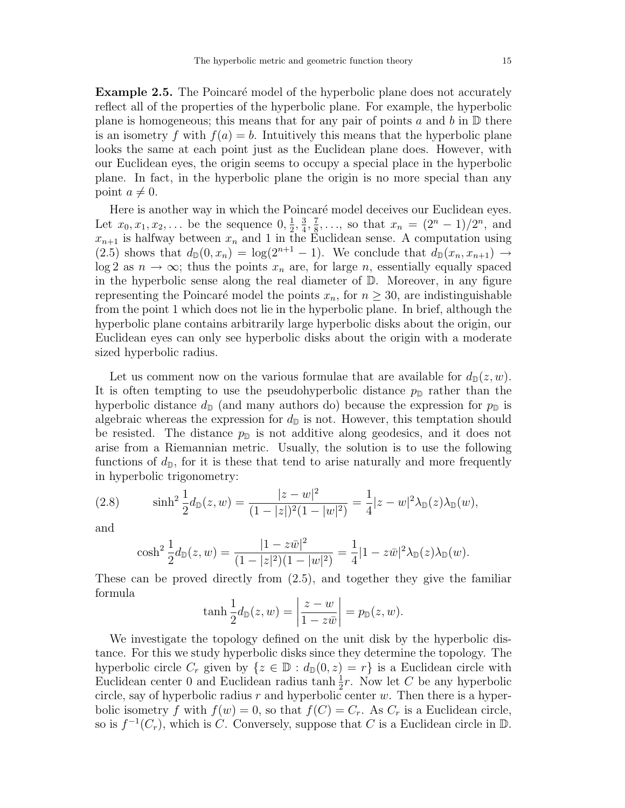**Example 2.5.** The Poincaré model of the hyperbolic plane does not accurately reflect all of the properties of the hyperbolic plane. For example, the hyperbolic plane is homogeneous; this means that for any pair of points a and b in  $\mathbb D$  there is an isometry f with  $f(a) = b$ . Intuitively this means that the hyperbolic plane looks the same at each point just as the Euclidean plane does. However, with our Euclidean eyes, the origin seems to occupy a special place in the hyperbolic plane. In fact, in the hyperbolic plane the origin is no more special than any point  $a \neq 0$ .

Here is another way in which the Poincaré model deceives our Euclidean eyes. Let  $x_0, x_1, x_2, \ldots$  be the sequence  $0, \frac{1}{2}$  $\frac{1}{2}, \frac{3}{4}$  $\frac{3}{4}, \frac{7}{8}$  $\frac{7}{8}, \ldots$ , so that  $x_n = (2^n - 1)/2^n$ , and  $x_{n+1}$  is halfway between  $x_n$  and 1 in the Euclidean sense. A computation using (2.5) shows that  $d_{\mathbb{D}}(0, x_n) = \log(2^{n+1} - 1)$ . We conclude that  $d_{\mathbb{D}}(x_n, x_{n+1}) \rightarrow$  $log 2$  as  $n \to \infty$ ; thus the points  $x_n$  are, for large n, essentially equally spaced in the hyperbolic sense along the real diameter of  $\mathbb D$ . Moreover, in any figure representing the Poincaré model the points  $x_n$ , for  $n \geq 30$ , are indistinguishable from the point 1 which does not lie in the hyperbolic plane. In brief, although the hyperbolic plane contains arbitrarily large hyperbolic disks about the origin, our Euclidean eyes can only see hyperbolic disks about the origin with a moderate sized hyperbolic radius.

Let us comment now on the various formulae that are available for  $d_{\mathbb{D}}(z, w)$ . It is often tempting to use the pseudohyperbolic distance  $p_{\mathbb{D}}$  rather than the hyperbolic distance  $d_{\mathbb{D}}$  (and many authors do) because the expression for  $p_{\mathbb{D}}$  is algebraic whereas the expression for  $d_{\mathbb{D}}$  is not. However, this temptation should be resisted. The distance  $p_{\mathbb{D}}$  is not additive along geodesics, and it does not arise from a Riemannian metric. Usually, the solution is to use the following functions of  $d_{\mathbb{D}}$ , for it is these that tend to arise naturally and more frequently in hyperbolic trigonometry:

(2.8) 
$$
\sinh^2 \frac{1}{2} d_{\mathbb{D}}(z, w) = \frac{|z-w|^2}{(1-|z|)^2 (1-|w|^2)} = \frac{1}{4} |z-w|^2 \lambda_{\mathbb{D}}(z) \lambda_{\mathbb{D}}(w),
$$

and

$$
\cosh^2 \frac{1}{2} d_{\mathbb{D}}(z, w) = \frac{|1 - z\bar{w}|^2}{(1 - |z|^2)(1 - |w|^2)} = \frac{1}{4} |1 - z\bar{w}|^2 \lambda_{\mathbb{D}}(z) \lambda_{\mathbb{D}}(w).
$$

These can be proved directly from (2.5), and together they give the familiar formula

$$
\tanh\frac{1}{2}d_{\mathbb{D}}(z,w)=\left|\frac{z-w}{1-z\bar{w}}\right|=p_{\mathbb{D}}(z,w).
$$

We investigate the topology defined on the unit disk by the hyperbolic distance. For this we study hyperbolic disks since they determine the topology. The hyperbolic circle  $C_r$  given by  $\{z \in \mathbb{D} : d_{\mathbb{D}}(0, z) = r\}$  is a Euclidean circle with Euclidean center 0 and Euclidean radius tanh  $\frac{1}{2}r$ . Now let C be any hyperbolic circle, say of hyperbolic radius r and hyperbolic center  $w$ . Then there is a hyperbolic isometry f with  $f(w) = 0$ , so that  $f(C) = C_r$ . As  $C_r$  is a Euclidean circle, so is  $f^{-1}(C_r)$ , which is C. Conversely, suppose that C is a Euclidean circle in D.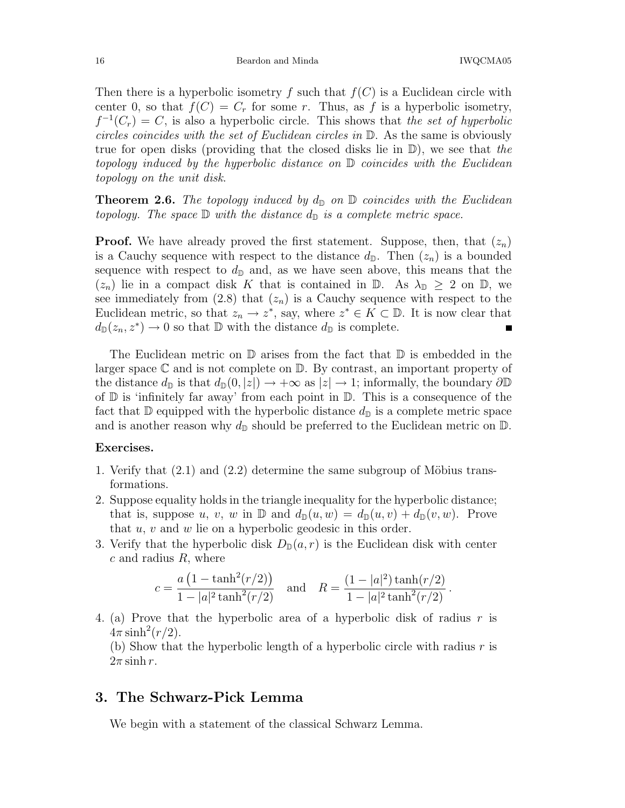.

Then there is a hyperbolic isometry f such that  $f(C)$  is a Euclidean circle with center 0, so that  $f(C) = C_r$  for some r. Thus, as f is a hyperbolic isometry,  $f^{-1}(C_r) = C$ , is also a hyperbolic circle. This shows that the set of hyperbolic circles coincides with the set of Euclidean circles in D. As the same is obviously true for open disks (providing that the closed disks lie in  $\mathbb{D}$ ), we see that the topology induced by the hyperbolic distance on D coincides with the Euclidean topology on the unit disk.

**Theorem 2.6.** The topology induced by  $d_{\mathbb{D}}$  on  $\mathbb{D}$  coincides with the Euclidean topology. The space  $\mathbb D$  with the distance  $d_{\mathbb D}$  is a complete metric space.

**Proof.** We have already proved the first statement. Suppose, then, that  $(z_n)$ is a Cauchy sequence with respect to the distance  $d_{\mathbb{D}}$ . Then  $(z_n)$  is a bounded sequence with respect to  $d_{\mathbb{D}}$  and, as we have seen above, this means that the  $(z_n)$  lie in a compact disk K that is contained in D. As  $\lambda_{\mathbb{D}} \geq 2$  on D, we see immediately from  $(2.8)$  that  $(z_n)$  is a Cauchy sequence with respect to the Euclidean metric, so that  $z_n \to z^*$ , say, where  $z^* \in K \subset \mathbb{D}$ . It is now clear that  $d_{\mathbb{D}}(z_n, z^*) \to 0$  so that  $\mathbb{D}$  with the distance  $d_{\mathbb{D}}$  is complete.

The Euclidean metric on  $\mathbb D$  arises from the fact that  $\mathbb D$  is embedded in the larger space  $\mathbb C$  and is not complete on  $\mathbb D$ . By contrast, an important property of the distance  $d_{\mathbb{D}}$  is that  $d_{\mathbb{D}}(0, |z|) \rightarrow +\infty$  as  $|z| \rightarrow 1$ ; informally, the boundary  $\partial \mathbb{D}$ of  $\mathbb D$  is 'infinitely far away' from each point in  $\mathbb D$ . This is a consequence of the fact that D equipped with the hyperbolic distance  $d_{\mathbb{D}}$  is a complete metric space and is another reason why  $d_{\mathbb{D}}$  should be preferred to the Euclidean metric on  $\mathbb{D}$ .

#### Exercises.

- 1. Verify that  $(2.1)$  and  $(2.2)$  determine the same subgroup of Möbius transformations.
- 2. Suppose equality holds in the triangle inequality for the hyperbolic distance; that is, suppose u, v, w in  $\mathbb{D}$  and  $d_{\mathbb{D}}(u, w) = d_{\mathbb{D}}(u, v) + d_{\mathbb{D}}(v, w)$ . Prove that  $u, v$  and  $w$  lie on a hyperbolic geodesic in this order.
- 3. Verify that the hyperbolic disk  $D_{\mathbb{D}}(a,r)$  is the Euclidean disk with center  $c$  and radius  $R$ , where

$$
c = \frac{a(1 - \tanh^2(r/2))}{1 - |a|^2 \tanh^2(r/2)} \quad \text{and} \quad R = \frac{(1 - |a|^2) \tanh(r/2)}{1 - |a|^2 \tanh^2(r/2)}
$$

4. (a) Prove that the hyperbolic area of a hyperbolic disk of radius r is  $4\pi \sinh^2(r/2)$ .

(b) Show that the hyperbolic length of a hyperbolic circle with radius  $r$  is  $2\pi \sinh r$ .

## 3. The Schwarz-Pick Lemma

We begin with a statement of the classical Schwarz Lemma.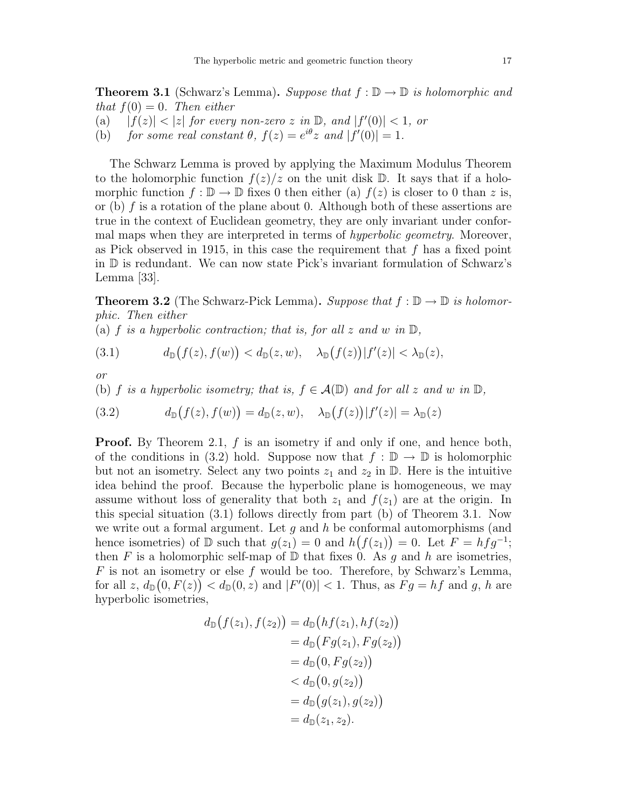**Theorem 3.1** (Schwarz's Lemma). Suppose that  $f : \mathbb{D} \to \mathbb{D}$  is holomorphic and that  $f(0) = 0$ . Then either

- (a)  $|f(z)| < |z|$  for every non-zero z in  $\mathbb{D}$ , and  $|f'(0)| < 1$ , or
- (b) for some real constant  $\theta$ ,  $f(z) = e^{i\theta} z$  and  $|f'(0)| = 1$ .

The Schwarz Lemma is proved by applying the Maximum Modulus Theorem to the holomorphic function  $f(z)/z$  on the unit disk D. It says that if a holomorphic function  $f : \mathbb{D} \to \mathbb{D}$  fixes 0 then either (a)  $f(z)$  is closer to 0 than z is, or (b) f is a rotation of the plane about 0. Although both of these assertions are true in the context of Euclidean geometry, they are only invariant under conformal maps when they are interpreted in terms of *hyperbolic geometry*. Moreover, as Pick observed in 1915, in this case the requirement that  $f$  has a fixed point in D is redundant. We can now state Pick's invariant formulation of Schwarz's Lemma [33].

**Theorem 3.2** (The Schwarz-Pick Lemma). Suppose that  $f : \mathbb{D} \to \mathbb{D}$  is holomorphic. Then either

(a) f is a hyperbolic contraction; that is, for all z and w in  $\mathbb{D}$ ,

(3.1) 
$$
d_{\mathbb{D}}(f(z),f(w)) < d_{\mathbb{D}}(z,w), \quad \lambda_{\mathbb{D}}(f(z))|f'(z)| < \lambda_{\mathbb{D}}(z),
$$

or

(b) f is a hyperbolic isometry; that is,  $f \in \mathcal{A}(\mathbb{D})$  and for all z and w in  $\mathbb{D}$ ,

(3.2) 
$$
d_{\mathbb{D}}(f(z), f(w)) = d_{\mathbb{D}}(z, w), \quad \lambda_{\mathbb{D}}(f(z)) |f'(z)| = \lambda_{\mathbb{D}}(z)
$$

**Proof.** By Theorem 2.1,  $f$  is an isometry if and only if one, and hence both, of the conditions in (3.2) hold. Suppose now that  $f : \mathbb{D} \to \mathbb{D}$  is holomorphic but not an isometry. Select any two points  $z_1$  and  $z_2$  in  $\mathbb D$ . Here is the intuitive idea behind the proof. Because the hyperbolic plane is homogeneous, we may assume without loss of generality that both  $z_1$  and  $f(z_1)$  are at the origin. In this special situation (3.1) follows directly from part (b) of Theorem 3.1. Now we write out a formal argument. Let  $g$  and  $h$  be conformal automorphisms (and hence isometries) of  $D$  such that  $g(z_1) = 0$  and  $h(f(z_1)) = 0$ . Let  $F = hfg^{-1}$ ; then F is a holomorphic self-map of  $\mathbb D$  that fixes 0. As q and h are isometries, F is not an isometry or else f would be too. Therefore, by Schwarz's Lemma, for all  $z, d_{\mathbb{D}}(0, F(z)) < d_{\mathbb{D}}(0, z)$  and  $|F'(0)| < 1$ . Thus, as  $Fg = hf$  and g, h are hyperbolic isometries,

$$
d_{\mathbb{D}}(f(z_1), f(z_2)) = d_{\mathbb{D}}(hf(z_1), hf(z_2))
$$
  
=  $d_{\mathbb{D}}(Fg(z_1), Fg(z_2))$   
=  $d_{\mathbb{D}}(0, Fg(z_2))$   
<  $d_{\mathbb{D}}(0, g(z_2))$   
=  $d_{\mathbb{D}}(g(z_1), g(z_2))$   
=  $d_{\mathbb{D}}(z_1, z_2).$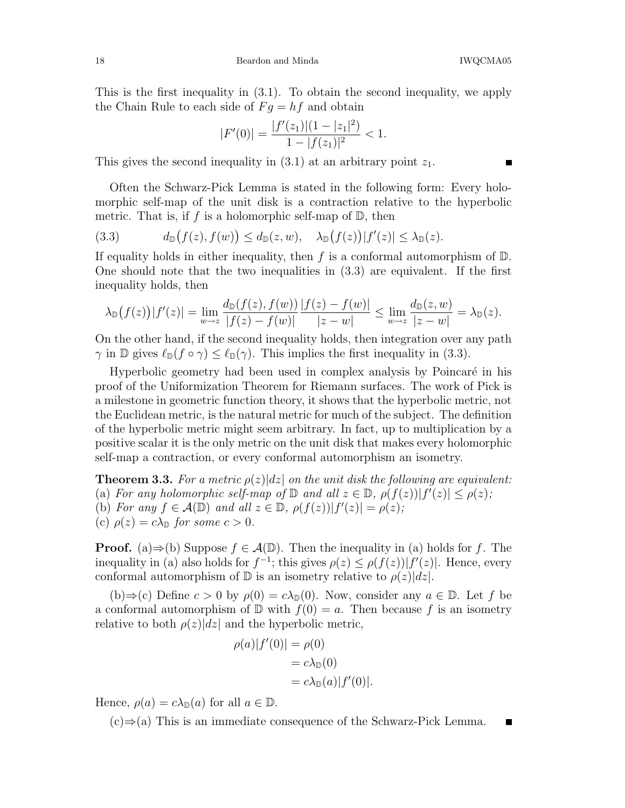18 Beardon and Minda IWQCMA05

This is the first inequality in (3.1). To obtain the second inequality, we apply the Chain Rule to each side of  $F g = hf$  and obtain

$$
|F'(0)| = \frac{|f'(z_1)|(1-|z_1|^2)}{1-|f(z_1)|^2} < 1.
$$

This gives the second inequality in  $(3.1)$  at an arbitrary point  $z_1$ .

Often the Schwarz-Pick Lemma is stated in the following form: Every holomorphic self-map of the unit disk is a contraction relative to the hyperbolic metric. That is, if f is a holomorphic self-map of  $\mathbb{D}$ , then

(3.3) 
$$
d_{\mathbb{D}}(f(z),f(w)) \leq d_{\mathbb{D}}(z,w), \quad \lambda_{\mathbb{D}}(f(z))|f'(z)| \leq \lambda_{\mathbb{D}}(z).
$$

If equality holds in either inequality, then f is a conformal automorphism of  $\mathbb{D}$ . One should note that the two inequalities in (3.3) are equivalent. If the first inequality holds, then

$$
\lambda_{\mathbb{D}}(f(z))|f'(z)| = \lim_{w \to z} \frac{d_{\mathbb{D}}(f(z), f(w))}{|f(z) - f(w)|} \frac{|f(z) - f(w)|}{|z - w|} \le \lim_{w \to z} \frac{d_{\mathbb{D}}(z, w)}{|z - w|} = \lambda_{\mathbb{D}}(z).
$$

On the other hand, if the second inequality holds, then integration over any path  $\gamma$  in D gives  $\ell_{\mathbb{D}}(f \circ \gamma) \leq \ell_{\mathbb{D}}(\gamma)$ . This implies the first inequality in (3.3).

Hyperbolic geometry had been used in complex analysis by Poincaré in his proof of the Uniformization Theorem for Riemann surfaces. The work of Pick is a milestone in geometric function theory, it shows that the hyperbolic metric, not the Euclidean metric, is the natural metric for much of the subject. The definition of the hyperbolic metric might seem arbitrary. In fact, up to multiplication by a positive scalar it is the only metric on the unit disk that makes every holomorphic self-map a contraction, or every conformal automorphism an isometry.

**Theorem 3.3.** For a metric  $\rho(z)|dz|$  on the unit disk the following are equivalent: (a) For any holomorphic self-map of  $\mathbb D$  and all  $z \in \mathbb D$ ,  $\rho(f(z)) |f'(z)| \leq \rho(z)$ ; (b) For any  $f \in \mathcal{A}(\mathbb{D})$  and all  $z \in \mathbb{D}$ ,  $\rho(f(z)) |f'(z)| = \rho(z)$ ; (c)  $\rho(z) = c\lambda_{\mathbb{D}}$  for some  $c > 0$ .

**Proof.** (a)⇒(b) Suppose  $f \in \mathcal{A}(\mathbb{D})$ . Then the inequality in (a) holds for f. The inequality in (a) also holds for  $f^{-1}$ ; this gives  $\rho(z) \leq \rho(f(z)) |f'(z)|$ . Hence, every conformal automorphism of  $\mathbb D$  is an isometry relative to  $\rho(z)|dz|$ .

(b)⇒(c) Define  $c > 0$  by  $\rho(0) = c\lambda_{\mathbb{D}}(0)$ . Now, consider any  $a \in \mathbb{D}$ . Let f be a conformal automorphism of  $\mathbb D$  with  $f(0) = a$ . Then because f is an isometry relative to both  $\rho(z)|dz|$  and the hyperbolic metric,

$$
\rho(a)|f'(0)| = \rho(0)
$$
  
=  $c\lambda_{\mathbb{D}}(0)$   
=  $c\lambda_{\mathbb{D}}(a)|f'(0)|$ .

Hence,  $\rho(a) = c\lambda_{\mathbb{D}}(a)$  for all  $a \in \mathbb{D}$ .

(c)⇒(a) This is an immediate consequence of the Schwarz-Pick Lemma. $\blacksquare$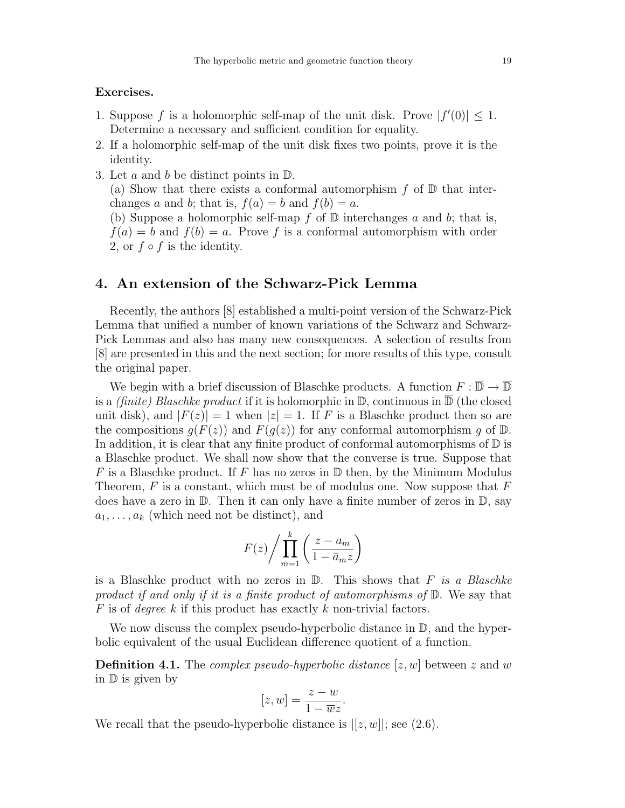### Exercises.

- 1. Suppose f is a holomorphic self-map of the unit disk. Prove  $|f'(0)| \leq 1$ . Determine a necessary and sufficient condition for equality.
- 2. If a holomorphic self-map of the unit disk fixes two points, prove it is the identity.
- 3. Let a and b be distinct points in  $\mathbb{D}$ .

(a) Show that there exists a conformal automorphism  $f$  of  $\mathbb D$  that interchanges a and b; that is,  $f(a) = b$  and  $f(b) = a$ .

(b) Suppose a holomorphic self-map  $f$  of  $D$  interchanges  $a$  and  $b$ ; that is,  $f(a) = b$  and  $f(b) = a$ . Prove f is a conformal automorphism with order 2, or  $f \circ f$  is the identity.

## 4. An extension of the Schwarz-Pick Lemma

Recently, the authors [8] established a multi-point version of the Schwarz-Pick Lemma that unified a number of known variations of the Schwarz and Schwarz-Pick Lemmas and also has many new consequences. A selection of results from [8] are presented in this and the next section; for more results of this type, consult the original paper.

We begin with a brief discussion of Blaschke products. A function  $F : \overline{\mathbb{D}} \to \overline{\mathbb{D}}$ is a *(finite)* Blaschke product if it is holomorphic in  $\mathbb{D}$ , continuous in  $\overline{\mathbb{D}}$  (the closed unit disk), and  $|F(z)| = 1$  when  $|z| = 1$ . If F is a Blaschke product then so are the compositions  $g(F(z))$  and  $F(g(z))$  for any conformal automorphism g of  $\mathbb{D}$ . In addition, it is clear that any finite product of conformal automorphisms of  $\mathbb D$  is a Blaschke product. We shall now show that the converse is true. Suppose that F is a Blaschke product. If F has no zeros in  $\mathbb D$  then, by the Minimum Modulus Theorem,  $F$  is a constant, which must be of modulus one. Now suppose that  $F$ does have a zero in  $\mathbb D$ . Then it can only have a finite number of zeros in  $\mathbb D$ , say  $a_1, \ldots, a_k$  (which need not be distinct), and

$$
F(z) / \prod_{m=1}^{k} \left( \frac{z - a_m}{1 - \bar{a}_m z} \right)
$$

is a Blaschke product with no zeros in  $\mathbb{D}$ . This shows that F is a Blaschke product if and only if it is a finite product of automorphisms of  $\mathbb{D}$ . We say that F is of *degree* k if this product has exactly k non-trivial factors.

We now discuss the complex pseudo-hyperbolic distance in  $\mathbb{D}$ , and the hyperbolic equivalent of the usual Euclidean difference quotient of a function.

**Definition 4.1.** The *complex pseudo-hyperbolic distance* [ $z, w$ ] between  $z$  and  $w$ in D is given by

$$
[z, w] = \frac{z - w}{1 - \overline{w}z}.
$$

We recall that the pseudo-hyperbolic distance is  $|[z, w]|$ ; see (2.6).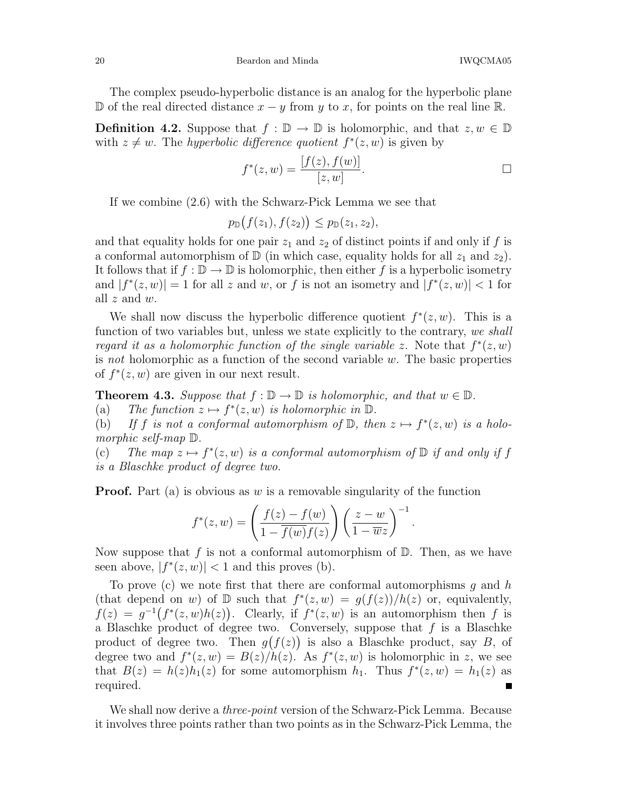#### 20 Beardon and Minda IWQCMA05

The complex pseudo-hyperbolic distance is an analog for the hyperbolic plane D of the real directed distance  $x - y$  from y to x, for points on the real line R.

**Definition 4.2.** Suppose that  $f : \mathbb{D} \to \mathbb{D}$  is holomorphic, and that  $z, w \in \mathbb{D}$ with  $z \neq w$ . The *hyperbolic difference quotient*  $f^*(z, w)$  is given by

$$
f^*(z, w) = \frac{[f(z), f(w)]}{[z, w]}.
$$

If we combine (2.6) with the Schwarz-Pick Lemma we see that

$$
p_{\mathbb{D}}(f(z_1),f(z_2)) \leq p_{\mathbb{D}}(z_1,z_2),
$$

and that equality holds for one pair  $z_1$  and  $z_2$  of distinct points if and only if f is a conformal automorphism of  $\mathbb D$  (in which case, equality holds for all  $z_1$  and  $z_2$ ). It follows that if  $f : \mathbb{D} \to \mathbb{D}$  is holomorphic, then either f is a hyperbolic isometry and  $|f^*(z, w)| = 1$  for all z and w, or f is not an isometry and  $|f^*(z, w)| < 1$  for all  $z$  and  $w$ .

We shall now discuss the hyperbolic difference quotient  $f^*(z, w)$ . This is a function of two variables but, unless we state explicitly to the contrary, we shall regard it as a holomorphic function of the single variable z. Note that  $f^*(z, w)$ is not holomorphic as a function of the second variable  $w$ . The basic properties of  $f^*(z, w)$  are given in our next result.

**Theorem 4.3.** Suppose that  $f : \mathbb{D} \to \mathbb{D}$  is holomorphic, and that  $w \in \mathbb{D}$ .<br>(a) The function  $z \mapsto f^*(z, w)$  is holomorphic in  $\mathbb{D}$ .

(a) The function  $z \mapsto f^*(z, w)$  is holomorphic in  $\mathbb{D}$ .

(b) If f is not a conformal automorphism of  $\mathbb{D}$ , then  $z \mapsto f^*(z, w)$  is a holomorphic self-map D.

(c) The map  $z \mapsto f^*(z, w)$  is a conformal automorphism of  $\mathbb D$  if and only if f is a Blaschke product of degree two.

**Proof.** Part (a) is obvious as w is a removable singularity of the function

$$
f^*(z, w) = \left(\frac{f(z) - f(w)}{1 - \overline{f(w)}f(z)}\right) \left(\frac{z - w}{1 - \overline{w}z}\right)^{-1}.
$$

Now suppose that f is not a conformal automorphism of  $\mathbb{D}$ . Then, as we have seen above,  $|f^*(z, w)| < 1$  and this proves (b).

To prove (c) we note first that there are conformal automorphisms  $g$  and  $h$ (that depend on w) of  $D$  such that  $f^*(z,w) = g(f(z))/h(z)$  or, equivalently,  $f(z) = g^{-1}(f^*(z, w)h(z))$ . Clearly, if  $f^*(z, w)$  is an automorphism then f is a Blaschke product of degree two. Conversely, suppose that  $f$  is a Blaschke product of degree two. Then  $g(f(z))$  is also a Blaschke product, say B, of degree two and  $f^*(z, w) = B(z)/h(z)$ . As  $f^*(z, w)$  is holomorphic in z, we see that  $B(z) = h(z)h_1(z)$  for some automorphism  $h_1$ . Thus  $f^*(z, w) = h_1(z)$  as required.  $\blacksquare$ 

We shall now derive a *three-point* version of the Schwarz-Pick Lemma. Because it involves three points rather than two points as in the Schwarz-Pick Lemma, the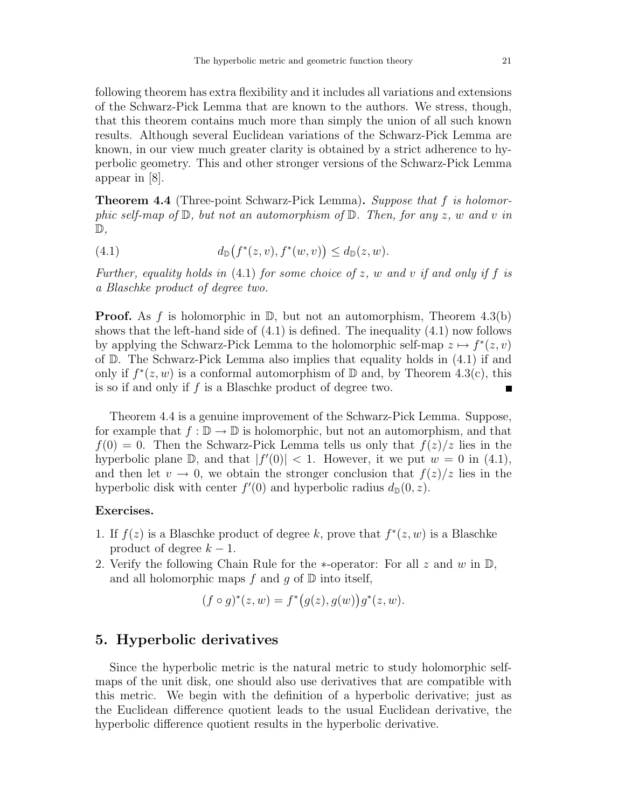following theorem has extra flexibility and it includes all variations and extensions of the Schwarz-Pick Lemma that are known to the authors. We stress, though, that this theorem contains much more than simply the union of all such known results. Although several Euclidean variations of the Schwarz-Pick Lemma are known, in our view much greater clarity is obtained by a strict adherence to hyperbolic geometry. This and other stronger versions of the Schwarz-Pick Lemma appear in [8].

**Theorem 4.4** (Three-point Schwarz-Pick Lemma). Suppose that f is holomorphic self-map of  $\mathbb{D}$ , but not an automorphism of  $\mathbb{D}$ . Then, for any z, w and v in  $\mathbb{D},$ 

(4.1) 
$$
d_{\mathbb{D}}(f^*(z,v),f^*(w,v)) \leq d_{\mathbb{D}}(z,w).
$$

Further, equality holds in  $(4.1)$  for some choice of z, w and v if and only if f is a Blaschke product of degree two.

**Proof.** As f is holomorphic in  $\mathbb{D}$ , but not an automorphism, Theorem 4.3(b) shows that the left-hand side of  $(4.1)$  is defined. The inequality  $(4.1)$  now follows by applying the Schwarz-Pick Lemma to the holomorphic self-map  $z \mapsto f^*(z, v)$ of  $\mathbb D$ . The Schwarz-Pick Lemma also implies that equality holds in (4.1) if and only if  $f^*(z, w)$  is a conformal automorphism of  $\mathbb D$  and, by Theorem 4.3(c), this is so if and only if f is a Blaschke product of degree two. П

Theorem 4.4 is a genuine improvement of the Schwarz-Pick Lemma. Suppose, for example that  $f : \mathbb{D} \to \mathbb{D}$  is holomorphic, but not an automorphism, and that  $f(0) = 0$ . Then the Schwarz-Pick Lemma tells us only that  $f(z)/z$  lies in the hyperbolic plane  $\mathbb{D}$ , and that  $|f'(0)| < 1$ . However, it we put  $w = 0$  in (4.1), and then let  $v \to 0$ , we obtain the stronger conclusion that  $f(z)/z$  lies in the hyperbolic disk with center  $f'(0)$  and hyperbolic radius  $d_{\mathbb{D}}(0, z)$ .

#### Exercises.

- 1. If  $f(z)$  is a Blaschke product of degree k, prove that  $f^*(z, w)$  is a Blaschke product of degree  $k - 1$ .
- 2. Verify the following Chain Rule for the  $*$ -operator: For all z and w in  $\mathbb{D}$ , and all holomorphic maps f and q of  $\mathbb D$  into itself,

$$
(f \circ g)^*(z, w) = f^*(g(z), g(w))g^*(z, w).
$$

### 5. Hyperbolic derivatives

Since the hyperbolic metric is the natural metric to study holomorphic selfmaps of the unit disk, one should also use derivatives that are compatible with this metric. We begin with the definition of a hyperbolic derivative; just as the Euclidean difference quotient leads to the usual Euclidean derivative, the hyperbolic difference quotient results in the hyperbolic derivative.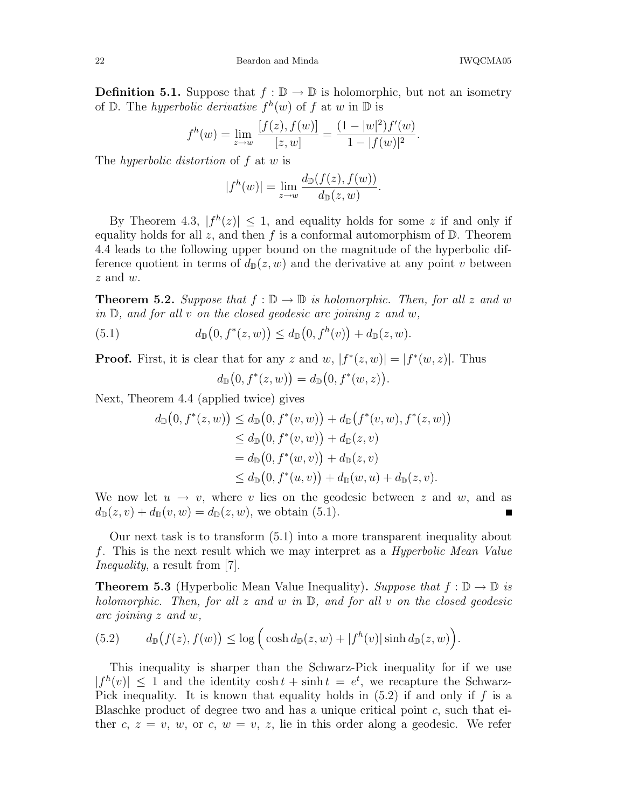**Definition 5.1.** Suppose that  $f : \mathbb{D} \to \mathbb{D}$  is holomorphic, but not an isometry of  $\mathbb D$ . The *hyperbolic derivative*  $f^h(w)$  of f at w in  $\mathbb D$  is

$$
f^{h}(w) = \lim_{z \to w} \frac{[f(z), f(w)]}{[z, w]} = \frac{(1 - |w|^2) f'(w)}{1 - |f(w)|^2}.
$$

The *hyperbolic distortion* of f at w is

$$
|f^h(w)| = \lim_{z \to w} \frac{d_{\mathbb{D}}(f(z), f(w))}{d_{\mathbb{D}}(z, w)}.
$$

By Theorem 4.3,  $|f^h(z)| \leq 1$ , and equality holds for some z if and only if equality holds for all z, and then f is a conformal automorphism of  $D$ . Theorem 4.4 leads to the following upper bound on the magnitude of the hyperbolic difference quotient in terms of  $d_{\mathbb{D}}(z, w)$  and the derivative at any point v between  $z$  and  $w$ .

**Theorem 5.2.** Suppose that  $f : \mathbb{D} \to \mathbb{D}$  is holomorphic. Then, for all z and w in  $\mathbb{D}$ , and for all v on the closed geodesic arc joining z and w,

(5.1) 
$$
d_{\mathbb{D}}(0, f^*(z, w)) \leq d_{\mathbb{D}}(0, f^h(v)) + d_{\mathbb{D}}(z, w).
$$

**Proof.** First, it is clear that for any z and w,  $|f^*(z, w)| = |f^*(w, z)|$ . Thus

$$
d_{\mathbb{D}}(0, f^*(z, w)) = d_{\mathbb{D}}(0, f^*(w, z)).
$$

Next, Theorem 4.4 (applied twice) gives

$$
d_{\mathbb{D}}(0, f^*(z, w)) \le d_{\mathbb{D}}(0, f^*(v, w)) + d_{\mathbb{D}}(f^*(v, w), f^*(z, w))
$$
  
\n
$$
\le d_{\mathbb{D}}(0, f^*(v, w)) + d_{\mathbb{D}}(z, v)
$$
  
\n
$$
= d_{\mathbb{D}}(0, f^*(w, v)) + d_{\mathbb{D}}(z, v)
$$
  
\n
$$
\le d_{\mathbb{D}}(0, f^*(u, v)) + d_{\mathbb{D}}(w, u) + d_{\mathbb{D}}(z, v).
$$

We now let  $u \to v$ , where v lies on the geodesic between z and w, and as  $d_{\mathbb{D}}(z, v) + d_{\mathbb{D}}(v, w) = d_{\mathbb{D}}(z, w)$ , we obtain (5.1).

Our next task is to transform (5.1) into a more transparent inequality about f. This is the next result which we may interpret as a Hyperbolic Mean Value Inequality, a result from [7].

**Theorem 5.3** (Hyperbolic Mean Value Inequality). Suppose that  $f : \mathbb{D} \to \mathbb{D}$  is holomorphic. Then, for all z and w in  $\mathbb{D}$ , and for all v on the closed geodesic arc joining z and w,

(5.2) 
$$
d_{\mathbb{D}}(f(z), f(w)) \leq \log \Big(\cosh d_{\mathbb{D}}(z, w) + |f^{h}(v)| \sinh d_{\mathbb{D}}(z, w)\Big).
$$

This inequality is sharper than the Schwarz-Pick inequality for if we use  $|f^h(v)| \leq 1$  and the identity cosh  $t + \sinh t = e^t$ , we recapture the Schwarz-Pick inequality. It is known that equality holds in  $(5.2)$  if and only if f is a Blaschke product of degree two and has a unique critical point  $c$ , such that either c,  $z = v$ , w, or c,  $w = v$ , z, lie in this order along a geodesic. We refer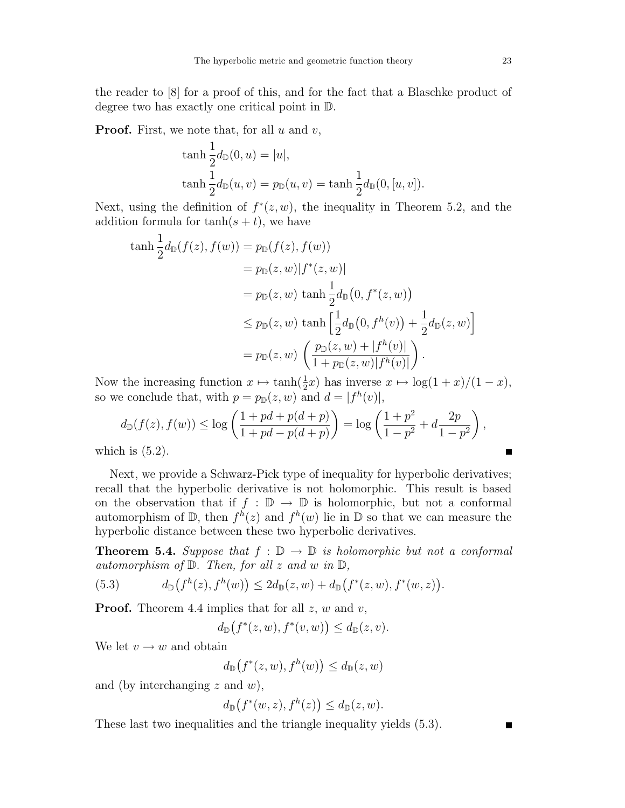the reader to [8] for a proof of this, and for the fact that a Blaschke product of degree two has exactly one critical point in D.

**Proof.** First, we note that, for all  $u$  and  $v$ ,

$$
\tanh \frac{1}{2}d_{\mathbb{D}}(0, u) = |u|,
$$
  
\n
$$
\tanh \frac{1}{2}d_{\mathbb{D}}(u, v) = p_{\mathbb{D}}(u, v) = \tanh \frac{1}{2}d_{\mathbb{D}}(0, [u, v]).
$$

Next, using the definition of  $f^*(z, w)$ , the inequality in Theorem 5.2, and the addition formula for  $tanh(s + t)$ , we have

$$
\begin{aligned}\n\tanh \frac{1}{2} d_{\mathbb{D}}(f(z), f(w)) &= p_{\mathbb{D}}(f(z), f(w)) \\
&= p_{\mathbb{D}}(z, w) |f^*(z, w)| \\
&= p_{\mathbb{D}}(z, w) \tanh \frac{1}{2} d_{\mathbb{D}}(0, f^*(z, w)) \\
&\le p_{\mathbb{D}}(z, w) \tanh \left[ \frac{1}{2} d_{\mathbb{D}}(0, f^h(v)) + \frac{1}{2} d_{\mathbb{D}}(z, w) \right] \\
&= p_{\mathbb{D}}(z, w) \left( \frac{p_{\mathbb{D}}(z, w) + |f^h(v)|}{1 + p_{\mathbb{D}}(z, w) |f^h(v)|} \right).\n\end{aligned}
$$

Now the increasing function  $x \mapsto \tanh(\frac{1}{2}x)$  has inverse  $x \mapsto \log(1+x)/(1-x)$ , so we conclude that, with  $p = p_{\mathbb{D}}(z, w)$  and  $d = |f^h(v)|$ ,

$$
d_{\mathbb{D}}(f(z), f(w)) \le \log\left(\frac{1+pd+p(d+p)}{1+pd-p(d+p)}\right) = \log\left(\frac{1+p^2}{1-p^2} + d\frac{2p}{1-p^2}\right),
$$
  
h is (5.2)

which is  $(5.2)$ .

Next, we provide a Schwarz-Pick type of inequality for hyperbolic derivatives; recall that the hyperbolic derivative is not holomorphic. This result is based on the observation that if  $f : \mathbb{D} \to \mathbb{D}$  is holomorphic, but not a conformal automorphism of  $\mathbb{D}$ , then  $f^h(z)$  and  $f^h(w)$  lie in  $\mathbb{D}$  so that we can measure the hyperbolic distance between these two hyperbolic derivatives.

**Theorem 5.4.** Suppose that  $f : \mathbb{D} \to \mathbb{D}$  is holomorphic but not a conformal automorphism of  $D$ . Then, for all z and w in  $D$ ,

(5.3) 
$$
d_{\mathbb{D}}(f^{h}(z), f^{h}(w)) \leq 2d_{\mathbb{D}}(z, w) + d_{\mathbb{D}}(f^{*}(z, w), f^{*}(w, z)).
$$

**Proof.** Theorem 4.4 implies that for all  $z, w$  and  $v$ ,

$$
d_{\mathbb{D}}(f^*(z,w),f^*(v,w)) \leq d_{\mathbb{D}}(z,v).
$$

We let  $v \to w$  and obtain

$$
d_{\mathbb{D}}(f^*(z,w),f^h(w)) \leq d_{\mathbb{D}}(z,w)
$$

and (by interchanging  $z$  and  $w$ ),

$$
d_{\mathbb{D}}(f^*(w,z),f^h(z)) \leq d_{\mathbb{D}}(z,w).
$$

These last two inequalities and the triangle inequality yields (5.3).

 $\blacksquare$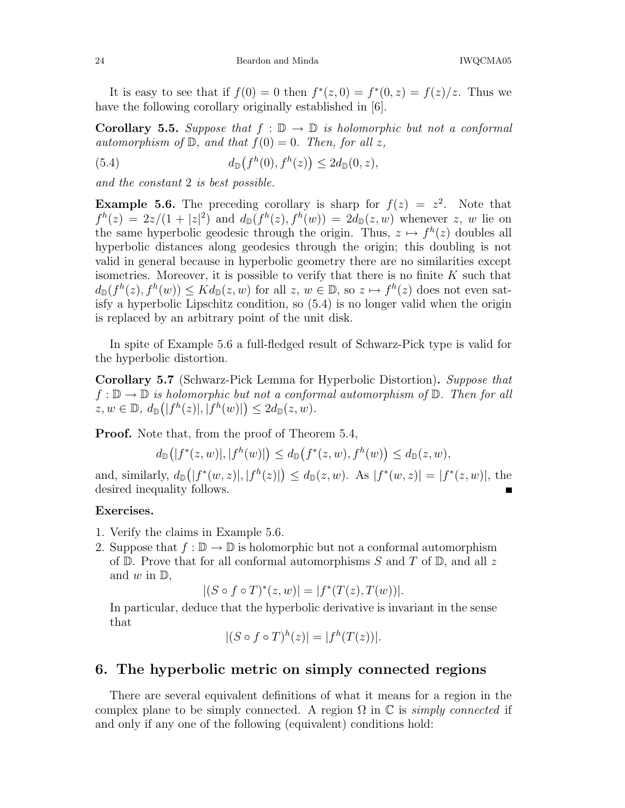It is easy to see that if  $f(0) = 0$  then  $f^*(z, 0) = f^*(0, z) = f(z)/z$ . Thus we have the following corollary originally established in [6].

**Corollary 5.5.** Suppose that  $f : \mathbb{D} \to \mathbb{D}$  is holomorphic but not a conformal automorphism of  $\mathbb{D}$ , and that  $f(0) = 0$ . Then, for all z,

(5.4) 
$$
d_{\mathbb{D}}(f^{h}(0), f^{h}(z)) \leq 2d_{\mathbb{D}}(0, z),
$$

and the constant 2 is best possible.

**Example 5.6.** The preceding corollary is sharp for  $f(z) = z^2$ . Note that  $f^h(z) = 2z/(1+|z|^2)$  and  $d_{\mathbb{D}}(f^h(z), f^h(w)) = 2d_{\mathbb{D}}(z, w)$  whenever z, w lie on the same hyperbolic geodesic through the origin. Thus,  $z \mapsto f^h(z)$  doubles all hyperbolic distances along geodesics through the origin; this doubling is not valid in general because in hyperbolic geometry there are no similarities except isometries. Moreover, it is possible to verify that there is no finite  $K$  such that  $d_{\mathbb{D}}(f^h(z), f^h(w)) \leq K d_{\mathbb{D}}(z, w)$  for all  $z, w \in \mathbb{D}$ , so  $z \mapsto f^h(z)$  does not even satisfy a hyperbolic Lipschitz condition, so (5.4) is no longer valid when the origin is replaced by an arbitrary point of the unit disk.

In spite of Example 5.6 a full-fledged result of Schwarz-Pick type is valid for the hyperbolic distortion.

Corollary 5.7 (Schwarz-Pick Lemma for Hyperbolic Distortion). Suppose that  $f: \mathbb{D} \to \mathbb{D}$  is holomorphic but not a conformal automorphism of  $\mathbb{D}$ . Then for all  $z, w \in \mathbb{D}, d_{\mathbb{D}}(|f^h(z)|, |f^h(w)|) \leq 2d_{\mathbb{D}}(z, w).$ 

Proof. Note that, from the proof of Theorem 5.4,

$$
d_{\mathbb{D}}(|f^*(z,w)|, |f^h(w)|) \leq d_{\mathbb{D}}(f^*(z,w), f^h(w)) \leq d_{\mathbb{D}}(z,w),
$$

and, similarly,  $d_{\mathbb{D}}(|f^*(w, z)|, |f^h(z)|) \leq d_{\mathbb{D}}(z, w)$ . As  $|f^*(w, z)| = |f^*(z, w)|$ , the desired inequality follows.

#### Exercises.

- 1. Verify the claims in Example 5.6.
- 2. Suppose that  $f : \mathbb{D} \to \mathbb{D}$  is holomorphic but not a conformal automorphism of  $\mathbb D$ . Prove that for all conformal automorphisms S and T of  $\mathbb D$ , and all z and  $w$  in  $\mathbb{D}$ ,

$$
|(S \circ f \circ T)^*(z, w)| = |f^*(T(z), T(w))|.
$$

In particular, deduce that the hyperbolic derivative is invariant in the sense that

$$
|(S \circ f \circ T)^h(z)| = |f^h(T(z))|.
$$

## 6. The hyperbolic metric on simply connected regions

There are several equivalent definitions of what it means for a region in the complex plane to be simply connected. A region  $\Omega$  in  $\mathbb C$  is *simply connected* if and only if any one of the following (equivalent) conditions hold: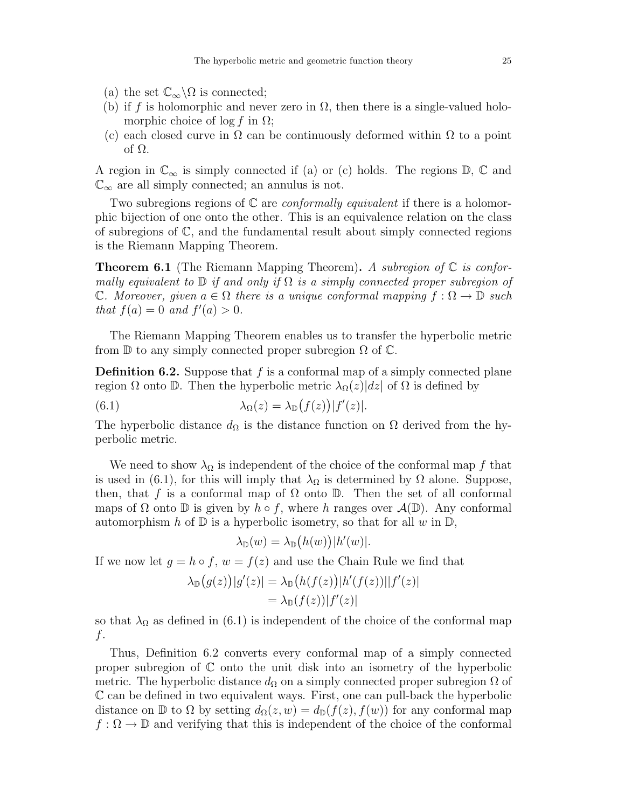- (a) the set  $\mathbb{C}_{\infty}\backslash\Omega$  is connected;
- (b) if f is holomorphic and never zero in  $\Omega$ , then there is a single-valued holomorphic choice of  $\log f$  in  $\Omega$ ;
- (c) each closed curve in  $\Omega$  can be continuously deformed within  $\Omega$  to a point of Ω.

A region in  $\mathbb{C}_{\infty}$  is simply connected if (a) or (c) holds. The regions  $\mathbb{D}, \mathbb{C}$  and  $\mathbb{C}_{\infty}$  are all simply connected; an annulus is not.

Two subregions regions of  $\mathbb C$  are *conformally equivalent* if there is a holomorphic bijection of one onto the other. This is an equivalence relation on the class of subregions of C, and the fundamental result about simply connected regions is the Riemann Mapping Theorem.

**Theorem 6.1** (The Riemann Mapping Theorem). A subregion of  $\mathbb C$  is conformally equivalent to  $\mathbb D$  if and only if  $\Omega$  is a simply connected proper subregion of C. Moreover, given  $a \in \Omega$  there is a unique conformal mapping  $f : \Omega \to \mathbb{D}$  such that  $f(a) = 0$  and  $f'(a) > 0$ .

The Riemann Mapping Theorem enables us to transfer the hyperbolic metric from  $\mathbb D$  to any simply connected proper subregion  $\Omega$  of  $\mathbb C$ .

**Definition 6.2.** Suppose that  $f$  is a conformal map of a simply connected plane region  $\Omega$  onto  $\mathbb D$ . Then the hyperbolic metric  $\lambda_{\Omega}(z)|dz|$  of  $\Omega$  is defined by

(6.1) 
$$
\lambda_{\Omega}(z) = \lambda_{\mathbb{D}}(f(z)) |f'(z)|.
$$

The hyperbolic distance  $d_{\Omega}$  is the distance function on  $\Omega$  derived from the hyperbolic metric.

We need to show  $\lambda_{\Omega}$  is independent of the choice of the conformal map f that is used in (6.1), for this will imply that  $\lambda_{\Omega}$  is determined by  $\Omega$  alone. Suppose, then, that f is a conformal map of  $\Omega$  onto  $\mathbb D$ . Then the set of all conformal maps of  $\Omega$  onto  $\mathbb D$  is given by  $h \circ f$ , where h ranges over  $\mathcal A(\mathbb D)$ . Any conformal automorphism h of  $\mathbb D$  is a hyperbolic isometry, so that for all w in  $\mathbb D$ ,

$$
\lambda_{\mathbb{D}}(w) = \lambda_{\mathbb{D}}(h(w)) |h'(w)|.
$$

If we now let  $g = h \circ f$ ,  $w = f(z)$  and use the Chain Rule we find that

$$
\lambda_{\mathbb{D}}(g(z))|g'(z)| = \lambda_{\mathbb{D}}(h(f(z))|h'(f(z))||f'(z)|
$$
  
=  $\lambda_{\mathbb{D}}(f(z))|f'(z)|$ 

so that  $\lambda_{\Omega}$  as defined in (6.1) is independent of the choice of the conformal map f.

Thus, Definition 6.2 converts every conformal map of a simply connected proper subregion of  $\mathbb C$  onto the unit disk into an isometry of the hyperbolic metric. The hyperbolic distance  $d_{\Omega}$  on a simply connected proper subregion  $\Omega$  of C can be defined in two equivalent ways. First, one can pull-back the hyperbolic distance on D to  $\Omega$  by setting  $d_{\Omega}(z, w) = d_{\mathbb{D}}(f(z), f(w))$  for any conformal map  $f: \Omega \to \mathbb{D}$  and verifying that this is independent of the choice of the conformal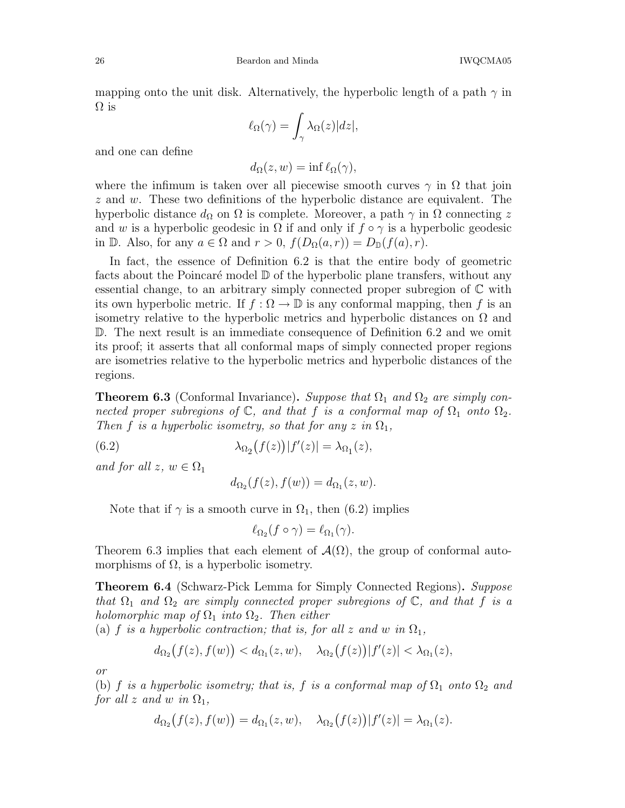mapping onto the unit disk. Alternatively, the hyperbolic length of a path  $\gamma$  in  $\Omega$  is

$$
\ell_{\Omega}(\gamma) = \int_{\gamma} \lambda_{\Omega}(z) |dz|,
$$

and one can define

$$
d_{\Omega}(z, w) = \inf \ell_{\Omega}(\gamma),
$$

where the infimum is taken over all piecewise smooth curves  $\gamma$  in  $\Omega$  that join  $z$  and  $w$ . These two definitions of the hyperbolic distance are equivalent. The hyperbolic distance  $d_{\Omega}$  on  $\Omega$  is complete. Moreover, a path  $\gamma$  in  $\Omega$  connecting z and w is a hyperbolic geodesic in  $\Omega$  if and only if  $f \circ \gamma$  is a hyperbolic geodesic in D. Also, for any  $a \in \Omega$  and  $r > 0$ ,  $f(D_{\Omega}(a, r)) = D_{\mathbb{D}}(f(a), r)$ .

In fact, the essence of Definition 6.2 is that the entire body of geometric facts about the Poincaré model  $\mathbb D$  of the hyperbolic plane transfers, without any essential change, to an arbitrary simply connected proper subregion of  $\mathbb C$  with its own hyperbolic metric. If  $f : \Omega \to \mathbb{D}$  is any conformal mapping, then f is an isometry relative to the hyperbolic metrics and hyperbolic distances on  $\Omega$  and D. The next result is an immediate consequence of Definition 6.2 and we omit its proof; it asserts that all conformal maps of simply connected proper regions are isometries relative to the hyperbolic metrics and hyperbolic distances of the regions.

**Theorem 6.3** (Conformal Invariance). Suppose that  $\Omega_1$  and  $\Omega_2$  are simply connected proper subregions of  $\mathbb{C}$ , and that f is a conformal map of  $\Omega_1$  onto  $\Omega_2$ . Then f is a hyperbolic isometry, so that for any z in  $\Omega_1$ ,

(6.2)  $\lambda_{\Omega_2}(f(z)) |f'(z)| = \lambda_{\Omega_1}(z),$ 

and for all  $z, w \in \Omega_1$ 

$$
d_{\Omega_2}(f(z), f(w)) = d_{\Omega_1}(z, w).
$$

Note that if  $\gamma$  is a smooth curve in  $\Omega_1$ , then (6.2) implies

$$
\ell_{\Omega_2}(f\circ\gamma)=\ell_{\Omega_1}(\gamma).
$$

Theorem 6.3 implies that each element of  $\mathcal{A}(\Omega)$ , the group of conformal automorphisms of  $\Omega$ , is a hyperbolic isometry.

**Theorem 6.4** (Schwarz-Pick Lemma for Simply Connected Regions). Suppose that  $\Omega_1$  and  $\Omega_2$  are simply connected proper subregions of  $\mathbb C$ , and that f is a holomorphic map of  $\Omega_1$  into  $\Omega_2$ . Then either

(a) f is a hyperbolic contraction; that is, for all z and w in  $\Omega_1$ ,

$$
d_{\Omega_2}(f(z), f(w)) < d_{\Omega_1}(z, w), \quad \lambda_{\Omega_2}(f(z)) |f'(z)| < \lambda_{\Omega_1}(z),
$$

or

(b) f is a hyperbolic isometry; that is, f is a conformal map of  $\Omega_1$  onto  $\Omega_2$  and for all z and w in  $\Omega_1$ ,

$$
d_{\Omega_2}(f(z),f(w)) = d_{\Omega_1}(z,w), \quad \lambda_{\Omega_2}(f(z)) |f'(z)| = \lambda_{\Omega_1}(z).
$$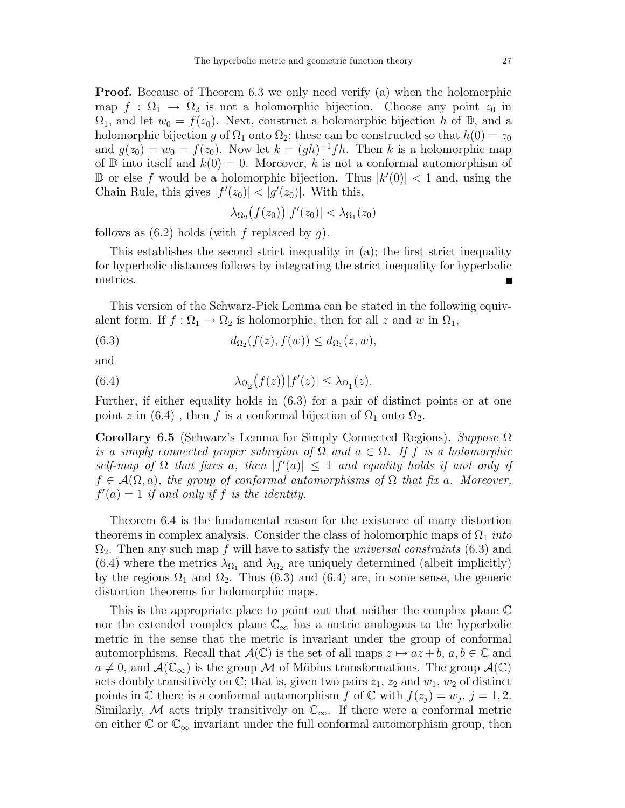Proof. Because of Theorem 6.3 we only need verify (a) when the holomorphic map  $f : \Omega_1 \to \Omega_2$  is not a holomorphic bijection. Choose any point  $z_0$  in  $\Omega_1$ , and let  $w_0 = f(z_0)$ . Next, construct a holomorphic bijection h of D, and a holomorphic bijection g of  $\Omega_1$  onto  $\Omega_2$ ; these can be constructed so that  $h(0) = z_0$ and  $g(z_0) = w_0 = f(z_0)$ . Now let  $k = (gh)^{-1}fh$ . Then k is a holomorphic map of  $\mathbb D$  into itself and  $k(0) = 0$ . Moreover, k is not a conformal automorphism of D or else f would be a holomorphic bijection. Thus  $|k'(0)| < 1$  and, using the Chain Rule, this gives  $|f'(z_0)| < |g'(z_0)|$ . With this,

$$
\lambda_{\Omega_2}\big(f(z_0)\big)|f'(z_0)| < \lambda_{\Omega_1}(z_0)
$$

follows as  $(6.2)$  holds (with f replaced by q).

This establishes the second strict inequality in (a); the first strict inequality for hyperbolic distances follows by integrating the strict inequality for hyperbolic metrics. ٣Ī,

This version of the Schwarz-Pick Lemma can be stated in the following equivalent form. If  $f : \Omega_1 \to \Omega_2$  is holomorphic, then for all z and w in  $\Omega_1$ ,

 $(6.3)$  $(f(z), f(w)) \leq d_{\Omega_1}(z, w),$ 

and

(6.4) 
$$
\lambda_{\Omega_2}(f(z))|f'(z)| \leq \lambda_{\Omega_1}(z).
$$

Further, if either equality holds in (6.3) for a pair of distinct points or at one point z in (6.4), then f is a conformal bijection of  $\Omega_1$  onto  $\Omega_2$ .

Corollary 6.5 (Schwarz's Lemma for Simply Connected Regions). Suppose  $\Omega$ is a simply connected proper subregion of  $\Omega$  and  $a \in \Omega$ . If f is a holomorphic self-map of  $\Omega$  that fixes a, then  $|f'(a)| \leq 1$  and equality holds if and only if  $f \in \mathcal{A}(\Omega, a)$ , the group of conformal automorphisms of  $\Omega$  that fix a. Moreover,  $f'(a) = 1$  if and only if f is the identity.

Theorem 6.4 is the fundamental reason for the existence of many distortion theorems in complex analysis. Consider the class of holomorphic maps of  $\Omega_1$  *into*  $\Omega_2$ . Then any such map f will have to satisfy the *universal constraints* (6.3) and (6.4) where the metrics  $\lambda_{\Omega_1}$  and  $\lambda_{\Omega_2}$  are uniquely determined (albeit implicitly) by the regions  $\Omega_1$  and  $\Omega_2$ . Thus (6.3) and (6.4) are, in some sense, the generic distortion theorems for holomorphic maps.

This is the appropriate place to point out that neither the complex plane C nor the extended complex plane  $\mathbb{C}_{\infty}$  has a metric analogous to the hyperbolic metric in the sense that the metric is invariant under the group of conformal automorphisms. Recall that  $\mathcal{A}(\mathbb{C})$  is the set of all maps  $z \mapsto az + b, a, b \in \mathbb{C}$  and  $a \neq 0$ , and  $\mathcal{A}(\mathbb{C}_{\infty})$  is the group M of Möbius transformations. The group  $\mathcal{A}(\mathbb{C})$ acts doubly transitively on  $\mathbb{C}$ ; that is, given two pairs  $z_1$ ,  $z_2$  and  $w_1$ ,  $w_2$  of distinct points in  $\mathbb C$  there is a conformal automorphism  $f$  of  $\mathbb C$  with  $f(z_j) = w_j$ ,  $j = 1, 2$ . Similarly, M acts triply transitively on  $\mathbb{C}_{\infty}$ . If there were a conformal metric on either  $\mathbb{C}$  or  $\mathbb{C}_{\infty}$  invariant under the full conformal automorphism group, then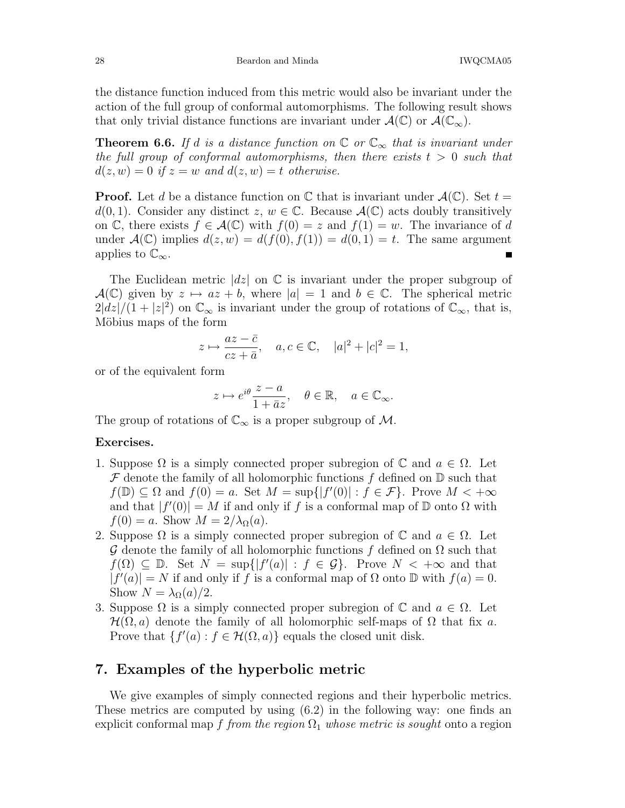the distance function induced from this metric would also be invariant under the action of the full group of conformal automorphisms. The following result shows that only trivial distance functions are invariant under  $\mathcal{A}(\mathbb{C})$  or  $\mathcal{A}(\mathbb{C}_{\infty})$ .

**Theorem 6.6.** If d is a distance function on  $\mathbb{C}$  or  $\mathbb{C}_{\infty}$  that is invariant under the full group of conformal automorphisms, then there exists  $t > 0$  such that  $d(z, w) = 0$  if  $z = w$  and  $d(z, w) = t$  otherwise.

**Proof.** Let d be a distance function on  $\mathbb C$  that is invariant under  $\mathcal A(\mathbb C)$ . Set  $t =$  $d(0, 1)$ . Consider any distinct  $z, w \in \mathbb{C}$ . Because  $\mathcal{A}(\mathbb{C})$  acts doubly transitively on  $\mathbb{C}$ , there exists  $f \in \mathcal{A}(\mathbb{C})$  with  $f(0) = z$  and  $f(1) = w$ . The invariance of d under  $\mathcal{A}(\mathbb{C})$  implies  $d(z, w) = d(f(0), f(1)) = d(0, 1) = t$ . The same argument applies to  $\mathbb{C}_{\infty}$ .

The Euclidean metric  $|dz|$  on C is invariant under the proper subgroup of  $\mathcal{A}(\mathbb{C})$  given by  $z \mapsto az + b$ , where  $|a| = 1$  and  $b \in \mathbb{C}$ . The spherical metric  $2|\hat{dz}|/(1+|z|^2)$  on  $\mathbb{C}_{\infty}$  is invariant under the group of rotations of  $\mathbb{C}_{\infty}$ , that is, Möbius maps of the form

$$
z \mapsto \frac{az - \bar{c}}{cz + \bar{a}}, \quad a, c \in \mathbb{C}, \quad |a|^2 + |c|^2 = 1,
$$

or of the equivalent form

$$
z\mapsto e^{i\theta}\frac{z-a}{1+\bar a z},\quad \theta\in\mathbb{R},\quad a\in\mathbb{C}_{\infty}.
$$

The group of rotations of  $\mathbb{C}_{\infty}$  is a proper subgroup of M.

#### Exercises.

- 1. Suppose  $\Omega$  is a simply connected proper subregion of  $\mathbb C$  and  $a \in \Omega$ . Let  $\mathcal F$  denote the family of all holomorphic functions f defined on  $\mathbb D$  such that  $f(\mathbb{D}) \subseteq \Omega$  and  $f(0) = a$ . Set  $M = \sup\{|f'(0)| : f \in \mathcal{F}\}\)$ . Prove  $M < +\infty$ and that  $|f'(0)| = M$  if and only if f is a conformal map of  $D$  onto  $\Omega$  with  $f(0) = a$ . Show  $M = 2/\lambda_{\Omega}(a)$ .
- 2. Suppose  $\Omega$  is a simply connected proper subregion of  $\mathbb C$  and  $a \in \Omega$ . Let G denote the family of all holomorphic functions f defined on  $\Omega$  such that  $f(\Omega) \subseteq \mathbb{D}$ . Set  $N = \sup\{|f'(a)| : f \in \mathcal{G}\}$ . Prove  $N < +\infty$  and that  $|f'(a)| = N$  if and only if f is a conformal map of  $\Omega$  onto  $\mathbb D$  with  $f(a) = 0$ . Show  $N = \lambda_{\Omega}(a)/2$ .
- 3. Suppose  $\Omega$  is a simply connected proper subregion of  $\mathbb C$  and  $a \in \Omega$ . Let  $\mathcal{H}(\Omega, a)$  denote the family of all holomorphic self-maps of  $\Omega$  that fix a. Prove that  $\{f'(a) : f \in \mathcal{H}(\Omega, a)\}$  equals the closed unit disk.

# 7. Examples of the hyperbolic metric

We give examples of simply connected regions and their hyperbolic metrics. These metrics are computed by using (6.2) in the following way: one finds an explicit conformal map f from the region  $\Omega_1$  whose metric is sought onto a region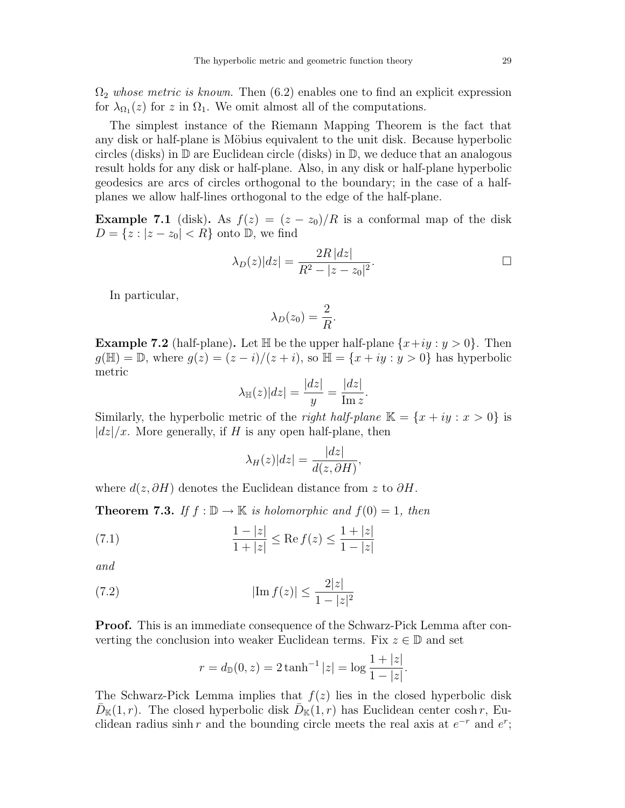$\Omega_2$  whose metric is known. Then (6.2) enables one to find an explicit expression for  $\lambda_{\Omega_1}(z)$  for z in  $\Omega_1$ . We omit almost all of the computations.

The simplest instance of the Riemann Mapping Theorem is the fact that any disk or half-plane is Möbius equivalent to the unit disk. Because hyperbolic circles (disks) in  $\mathbb D$  are Euclidean circle (disks) in  $\mathbb D$ , we deduce that an analogous result holds for any disk or half-plane. Also, in any disk or half-plane hyperbolic geodesics are arcs of circles orthogonal to the boundary; in the case of a halfplanes we allow half-lines orthogonal to the edge of the half-plane.

**Example 7.1** (disk). As  $f(z) = (z - z_0)/R$  is a conformal map of the disk  $D = \{z : |z - z_0| < R\}$  onto  $\mathbb{D}$ , we find

$$
\lambda_D(z)|dz| = \frac{2R|dz|}{R^2 - |z - z_0|^2}.
$$

In particular,

$$
\lambda_D(z_0) = \frac{2}{R}.
$$

**Example 7.2** (half-plane). Let  $\mathbb{H}$  be the upper half-plane  $\{x+iy : y > 0\}$ . Then  $g(\mathbb{H}) = \mathbb{D}$ , where  $g(z) = (z - i)/(z + i)$ , so  $\mathbb{H} = \{x + iy : y > 0\}$  has hyperbolic metric

$$
\lambda_{\mathbb{H}}(z)|dz| = \frac{|dz|}{y} = \frac{|dz|}{\text{Im }z}.
$$

Similarly, the hyperbolic metric of the *right half-plane*  $\mathbb{K} = \{x + iy : x > 0\}$  is  $|dz|/x$ . More generally, if H is any open half-plane, then

$$
\lambda_H(z)|dz| = \frac{|dz|}{d(z,\partial H)},
$$

where  $d(z, \partial H)$  denotes the Euclidean distance from z to  $\partial H$ .

**Theorem 7.3.** If  $f : \mathbb{D} \to \mathbb{K}$  is holomorphic and  $f(0) = 1$ , then

(7.1) 
$$
\frac{1-|z|}{1+|z|} \le \text{Re } f(z) \le \frac{1+|z|}{1-|z|}
$$

and

(7.2) 
$$
|\text{Im } f(z)| \le \frac{2|z|}{1 - |z|^2}
$$

Proof. This is an immediate consequence of the Schwarz-Pick Lemma after converting the conclusion into weaker Euclidean terms. Fix  $z \in \mathbb{D}$  and set

$$
r = d_{\mathbb{D}}(0, z) = 2 \tanh^{-1} |z| = \log \frac{1 + |z|}{1 - |z|}.
$$

The Schwarz-Pick Lemma implies that  $f(z)$  lies in the closed hyperbolic disk  $\bar{D}_{\mathbb{K}}(1,r)$ . The closed hyperbolic disk  $\bar{D}_{\mathbb{K}}(1,r)$  has Euclidean center cosh r, Euclidean radius sinh r and the bounding circle meets the real axis at  $e^{-r}$  and  $e^{r}$ ;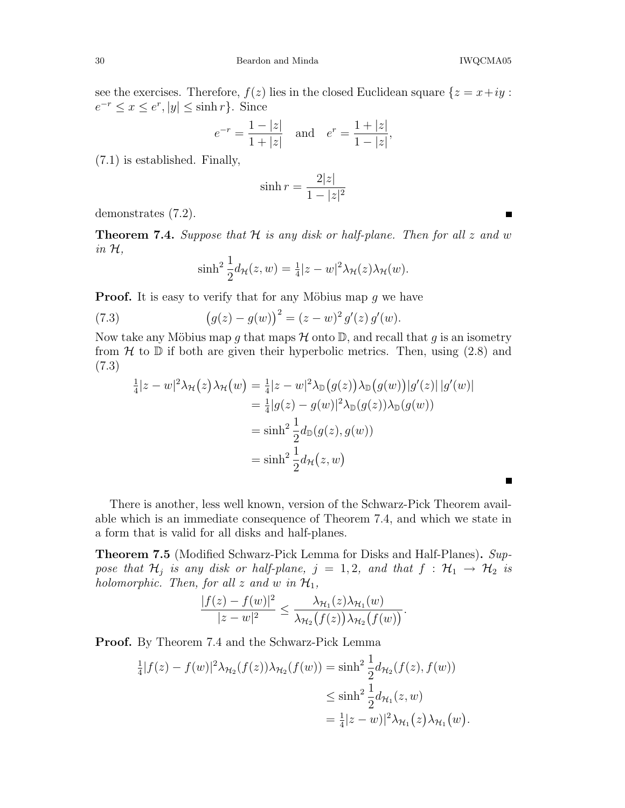see the exercises. Therefore,  $f(z)$  lies in the closed Euclidean square  $\{z = x+iy :$  $e^{-r} \leq x \leq e^r, |y| \leq \sinh r$ . Since

$$
e^{-r} = \frac{1 - |z|}{1 + |z|}
$$
 and  $e^{r} = \frac{1 + |z|}{1 - |z|}$ ,

(7.1) is established. Finally,

$$
\sinh r = \frac{2|z|}{1 - |z|^2}
$$

demonstrates (7.2).

**Theorem 7.4.** Suppose that  $H$  is any disk or half-plane. Then for all  $z$  and  $w$ in H,

$$
\sinh^2 \frac{1}{2} d_{\mathcal{H}}(z, w) = \frac{1}{4} |z - w|^2 \lambda_{\mathcal{H}}(z) \lambda_{\mathcal{H}}(w).
$$

**Proof.** It is easy to verify that for any Möbius map  $g$  we have

(7.3) 
$$
(g(z) - g(w))^{2} = (z - w)^{2} g'(z) g'(w).
$$

Now take any Möbius map g that maps  $\mathcal H$  onto  $\mathbb D$ , and recall that g is an isometry from  $H$  to  $D$  if both are given their hyperbolic metrics. Then, using (2.8) and (7.3)

$$
\frac{1}{4}|z-w|^2 \lambda_{\mathcal{H}}(z) \lambda_{\mathcal{H}}(w) = \frac{1}{4}|z-w|^2 \lambda_{\mathbb{D}}(g(z)) \lambda_{\mathbb{D}}(g(w)) |g'(z)| |g'(w)|
$$

$$
= \frac{1}{4}|g(z) - g(w)|^2 \lambda_{\mathbb{D}}(g(z)) \lambda_{\mathbb{D}}(g(w))
$$

$$
= \sinh^2 \frac{1}{2} d_{\mathbb{D}}(g(z), g(w))
$$

$$
= \sinh^2 \frac{1}{2} d_{\mathcal{H}}(z, w)
$$

There is another, less well known, version of the Schwarz-Pick Theorem available which is an immediate consequence of Theorem 7.4, and which we state in a form that is valid for all disks and half-planes.

Theorem 7.5 (Modified Schwarz-Pick Lemma for Disks and Half-Planes). Suppose that  $\mathcal{H}_j$  is any disk or half-plane,  $j = 1, 2$ , and that  $f : \mathcal{H}_1 \rightarrow \mathcal{H}_2$  is holomorphic. Then, for all z and w in  $\mathcal{H}_1$ ,

$$
\frac{|f(z)-f(w)|^2}{|z-w|^2} \leq \frac{\lambda_{\mathcal{H}_1}(z)\lambda_{\mathcal{H}_1}(w)}{\lambda_{\mathcal{H}_2}(f(z))\lambda_{\mathcal{H}_2}(f(w))}.
$$

Proof. By Theorem 7.4 and the Schwarz-Pick Lemma

$$
\frac{1}{4}|f(z) - f(w)|^2 \lambda_{\mathcal{H}_2}(f(z))\lambda_{\mathcal{H}_2}(f(w)) = \sinh^2 \frac{1}{2} d_{\mathcal{H}_2}(f(z), f(w))
$$
  

$$
\leq \sinh^2 \frac{1}{2} d_{\mathcal{H}_1}(z, w)
$$
  

$$
= \frac{1}{4}|z - w||^2 \lambda_{\mathcal{H}_1}(z) \lambda_{\mathcal{H}_1}(w).
$$

 $\blacksquare$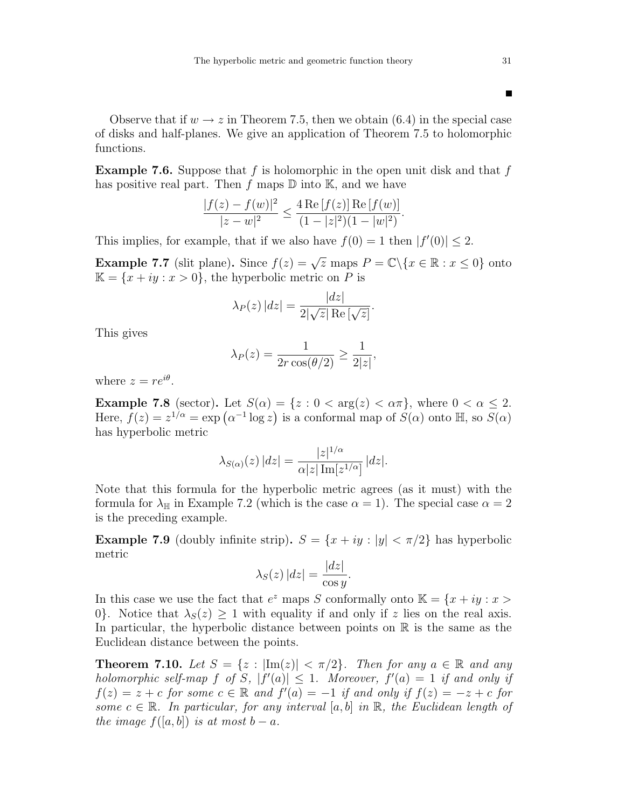Observe that if  $w \to z$  in Theorem 7.5, then we obtain (6.4) in the special case of disks and half-planes. We give an application of Theorem 7.5 to holomorphic functions.

**Example 7.6.** Suppose that f is holomorphic in the open unit disk and that f has positive real part. Then f maps  $\mathbb D$  into  $\mathbb K$ , and we have

$$
\frac{|f(z) - f(w)|^2}{|z - w|^2} \le \frac{4 \operatorname{Re}[f(z)] \operatorname{Re}[f(w)]}{(1 - |z|^2)(1 - |w|^2)}.
$$

This implies, for example, that if we also have  $f(0) = 1$  then  $|f'(0)| \leq 2$ .

**Example 7.7** (slit plane). Since  $f(z) = \sqrt{z}$  maps  $P = \mathbb{C} \setminus \{x \in \mathbb{R} : x \le 0\}$  onto  $\mathbb{K} = \{x + iy : x > 0\}$ , the hyperbolic metric on P is

$$
\lambda_P(z) |dz| = \frac{|dz|}{2|\sqrt{z}| \operatorname{Re}[\sqrt{z}]}.
$$

This gives

$$
\lambda_P(z) = \frac{1}{2r\cos(\theta/2)} \ge \frac{1}{2|z|},
$$

where  $z = re^{i\theta}$ .

**Example 7.8** (sector). Let  $S(\alpha) = \{z : 0 < \arg(z) < \alpha \pi\}$ , where  $0 < \alpha \leq 2$ . Here,  $f(z) = z^{1/\alpha} = \exp(\alpha^{-1} \log z)$  is a conformal map of  $S(\alpha)$  onto  $\mathbb{H}$ , so  $S(\alpha)$ has hyperbolic metric

$$
\lambda_{S(\alpha)}(z) |dz| = \frac{|z|^{1/\alpha}}{\alpha |z| \operatorname{Im}[z^{1/\alpha}]} |dz|.
$$

Note that this formula for the hyperbolic metric agrees (as it must) with the formula for  $\lambda_{\mathbb{H}}$  in Example 7.2 (which is the case  $\alpha = 1$ ). The special case  $\alpha = 2$ is the preceding example.

**Example 7.9** (doubly infinite strip).  $S = \{x + iy : |y| < \pi/2\}$  has hyperbolic metric

$$
\lambda_S(z) |dz| = \frac{|dz|}{\cos y}.
$$

In this case we use the fact that  $e^z$  maps S conformally onto  $\mathbb{K} = \{x + iy : x >$ 0. Notice that  $\lambda_S(z) \geq 1$  with equality if and only if z lies on the real axis. In particular, the hyperbolic distance between points on  $\mathbb R$  is the same as the Euclidean distance between the points.

**Theorem 7.10.** Let  $S = \{z : |\text{Im}(z)| < \pi/2\}$ . Then for any  $a \in \mathbb{R}$  and any holomorphic self-map f of S,  $|f'(a)| \leq 1$ . Moreover,  $f'(a) = 1$  if and only if  $f(z) = z + c$  for some  $c \in \mathbb{R}$  and  $f'(a) = -1$  if and only if  $f(z) = -z + c$  for some  $c \in \mathbb{R}$ . In particular, for any interval [a, b] in  $\mathbb{R}$ , the Euclidean length of the image  $f([a, b])$  is at most  $b - a$ .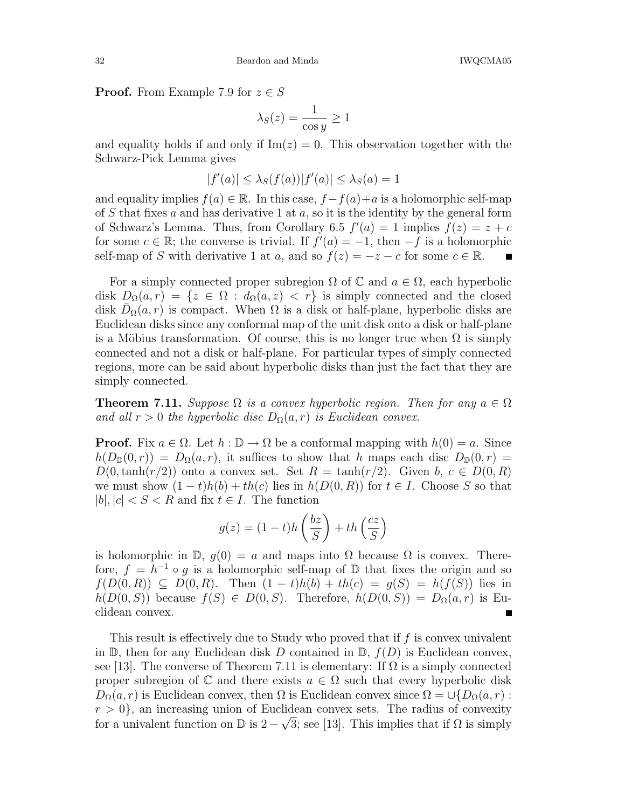**Proof.** From Example 7.9 for  $z \in S$ 

$$
\lambda_S(z) = \frac{1}{\cos y} \ge 1
$$

and equality holds if and only if  $\text{Im}(z) = 0$ . This observation together with the Schwarz-Pick Lemma gives

$$
|f'(a)| \leq \lambda_S(f(a))|f'(a)| \leq \lambda_S(a) = 1
$$

and equality implies  $f(a) \in \mathbb{R}$ . In this case,  $f - f(a) + a$  is a holomorphic self-map of S that fixes a and has derivative 1 at  $a$ , so it is the identity by the general form of Schwarz's Lemma. Thus, from Corollary 6.5  $f'(a) = 1$  implies  $f(z) = z + c$ for some  $c \in \mathbb{R}$ ; the converse is trivial. If  $f'(a) = -1$ , then  $-f$  is a holomorphic self-map of S with derivative 1 at a, and so  $f(z) = -z - c$  for some  $c \in \mathbb{R}$ .

For a simply connected proper subregion  $\Omega$  of  $\mathbb C$  and  $a \in \Omega$ , each hyperbolic disk  $D_{\Omega}(a,r) = \{z \in \Omega : d_{\Omega}(a,z) < r\}$  is simply connected and the closed disk  $\bar{D}_{\Omega}(a,r)$  is compact. When  $\Omega$  is a disk or half-plane, hyperbolic disks are Euclidean disks since any conformal map of the unit disk onto a disk or half-plane is a Möbius transformation. Of course, this is no longer true when  $\Omega$  is simply connected and not a disk or half-plane. For particular types of simply connected regions, more can be said about hyperbolic disks than just the fact that they are simply connected.

**Theorem 7.11.** Suppose  $\Omega$  is a convex hyperbolic region. Then for any  $a \in \Omega$ and all  $r > 0$  the hyperbolic disc  $D_{\Omega}(a, r)$  is Euclidean convex.

**Proof.** Fix  $a \in \Omega$ . Let  $h : \mathbb{D} \to \Omega$  be a conformal mapping with  $h(0) = a$ . Since  $h(D_{\mathbb{D}}(0,r)) = D_{\Omega}(a,r)$ , it suffices to show that h maps each disc  $D_{\mathbb{D}}(0,r) =$  $D(0,\tanh(r/2))$  onto a convex set. Set  $R = \tanh(r/2)$ . Given  $b, c \in D(0,R)$ we must show  $(1-t)h(b) + th(c)$  lies in  $h(D(0,R))$  for  $t \in I$ . Choose S so that  $|b|, |c| < S < R$  and fix  $t \in I$ . The function

$$
g(z) = (1-t)h\left(\frac{bz}{S}\right) + th\left(\frac{cz}{S}\right)
$$

is holomorphic in  $\mathbb{D}$ ,  $g(0) = a$  and maps into  $\Omega$  because  $\Omega$  is convex. Therefore,  $f = h^{-1} \circ g$  is a holomorphic self-map of  $\mathbb{D}$  that fixes the origin and so  $f(D(0,R)) \subseteq D(0,R)$ . Then  $(1-t)h(b) + th(c) = g(S) = h(f(S))$  lies in  $h(D(0, S))$  because  $f(S) \in D(0, S)$ . Therefore,  $h(D(0, S)) = D_{\Omega}(a, r)$  is Euclidean convex.

This result is effectively due to Study who proved that if  $f$  is convex univalent in  $\mathbb{D}$ , then for any Euclidean disk D contained in  $\mathbb{D}$ ,  $f(D)$  is Euclidean convex, see [13]. The converse of Theorem 7.11 is elementary: If  $\Omega$  is a simply connected proper subregion of  $\mathbb C$  and there exists  $a \in \Omega$  such that every hyperbolic disk  $D_{\Omega}(a, r)$  is Euclidean convex, then  $\Omega$  is Euclidean convex since  $\Omega = \cup \{D_{\Omega}(a, r):$  $r > 0$ , an increasing union of Euclidean convex sets. The radius of convexity for a univalent function on  $\mathbb{D}$  is  $2 - \sqrt{3}$ ; see [13]. This implies that if  $\Omega$  is simply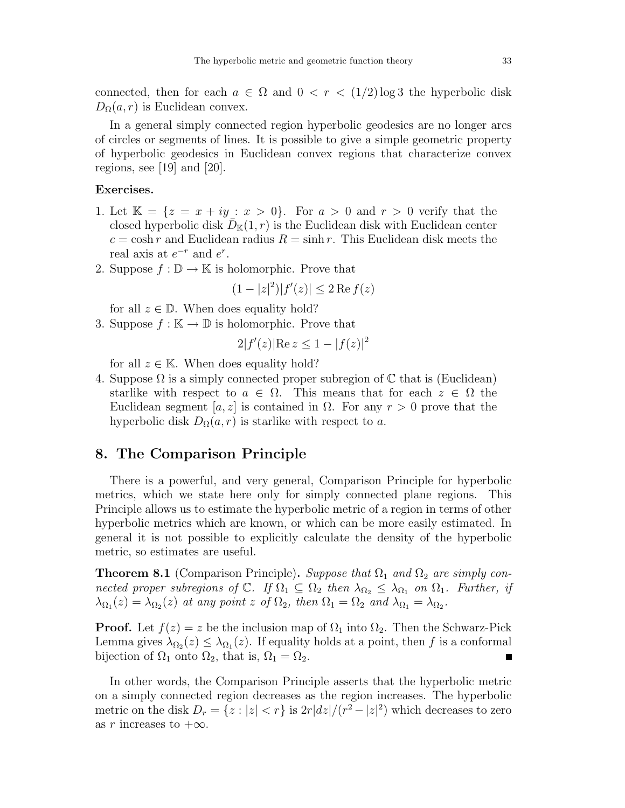connected, then for each  $a \in \Omega$  and  $0 < r < (1/2) \log 3$  the hyperbolic disk  $D_{\Omega}(a, r)$  is Euclidean convex.

In a general simply connected region hyperbolic geodesics are no longer arcs of circles or segments of lines. It is possible to give a simple geometric property of hyperbolic geodesics in Euclidean convex regions that characterize convex regions, see [19] and [20].

### Exercises.

- 1. Let  $\mathbb{K} = \{z = x + iy : x > 0\}$ . For  $a > 0$  and  $r > 0$  verify that the closed hyperbolic disk  $\overline{D}_{\mathbb{K}}(1,r)$  is the Euclidean disk with Euclidean center  $c = \cosh r$  and Euclidean radius  $R = \sinh r$ . This Euclidean disk meets the real axis at  $e^{-r}$  and  $e^{r}$ .
- 2. Suppose  $f : \mathbb{D} \to \mathbb{K}$  is holomorphic. Prove that

$$
(1-|z|^2)|f'(z)| \le 2 \operatorname{Re} f(z)
$$

for all  $z \in \mathbb{D}$ . When does equality hold?

3. Suppose  $f : \mathbb{K} \to \mathbb{D}$  is holomorphic. Prove that

$$
2|f'(z)| \text{Re } z \le 1 - |f(z)|^2
$$

for all  $z \in \mathbb{K}$ . When does equality hold?

4. Suppose  $\Omega$  is a simply connected proper subregion of  $\mathbb C$  that is (Euclidean) starlike with respect to  $a \in \Omega$ . This means that for each  $z \in \Omega$  the Euclidean segment  $|a, z|$  is contained in  $\Omega$ . For any  $r > 0$  prove that the hyperbolic disk  $D_{\Omega}(a, r)$  is starlike with respect to a.

## 8. The Comparison Principle

There is a powerful, and very general, Comparison Principle for hyperbolic metrics, which we state here only for simply connected plane regions. This Principle allows us to estimate the hyperbolic metric of a region in terms of other hyperbolic metrics which are known, or which can be more easily estimated. In general it is not possible to explicitly calculate the density of the hyperbolic metric, so estimates are useful.

**Theorem 8.1** (Comparison Principle). Suppose that  $\Omega_1$  and  $\Omega_2$  are simply connected proper subregions of  $\mathbb{C}$ . If  $\Omega_1 \subseteq \Omega_2$  then  $\lambda_{\Omega_2} \leq \lambda_{\Omega_1}$  on  $\Omega_1$ . Further, if  $\lambda_{\Omega_1}(z) = \lambda_{\Omega_2}(z)$  at any point z of  $\Omega_2$ , then  $\Omega_1 = \Omega_2$  and  $\lambda_{\Omega_1} = \lambda_{\Omega_2}$ .

**Proof.** Let  $f(z) = z$  be the inclusion map of  $\Omega_1$  into  $\Omega_2$ . Then the Schwarz-Pick Lemma gives  $\lambda_{\Omega_2}(z) \leq \lambda_{\Omega_1}(z)$ . If equality holds at a point, then f is a conformal bijection of  $\Omega_1$  onto  $\Omega_2$ , that is,  $\Omega_1 = \Omega_2$ .

In other words, the Comparison Principle asserts that the hyperbolic metric on a simply connected region decreases as the region increases. The hyperbolic metric on the disk  $D_r = \{z : |z| < r\}$  is  $2r|dz|/(r^2 - |z|^2)$  which decreases to zero as r increases to  $+\infty$ .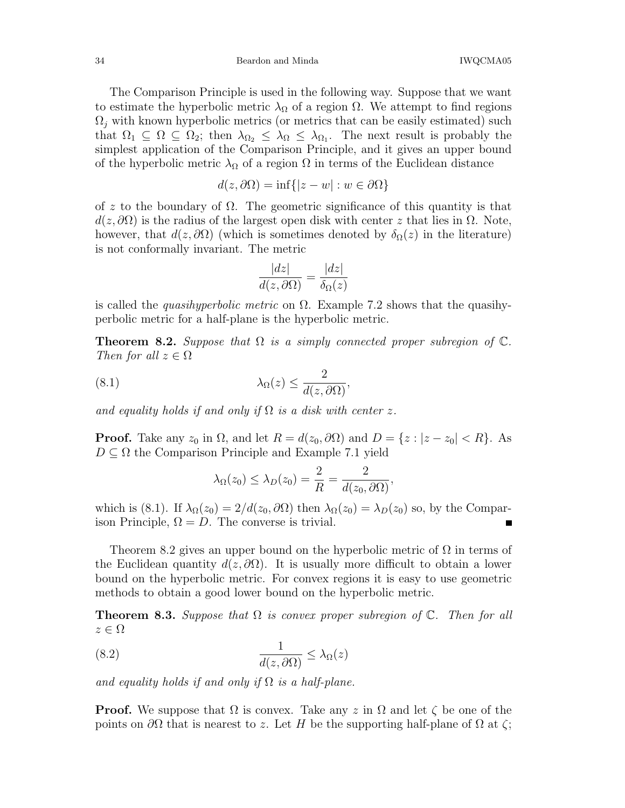34 Beardon and Minda IWQCMA05

The Comparison Principle is used in the following way. Suppose that we want to estimate the hyperbolic metric  $\lambda_{\Omega}$  of a region  $\Omega$ . We attempt to find regions  $\Omega_i$  with known hyperbolic metrics (or metrics that can be easily estimated) such that  $\Omega_1 \subseteq \Omega \subseteq \Omega_2$ ; then  $\lambda_{\Omega_2} \leq \lambda_{\Omega} \leq \lambda_{\Omega_1}$ . The next result is probably the simplest application of the Comparison Principle, and it gives an upper bound of the hyperbolic metric  $\lambda_{\Omega}$  of a region  $\Omega$  in terms of the Euclidean distance

$$
d(z, \partial \Omega) = \inf\{|z - w| : w \in \partial \Omega\}
$$

of z to the boundary of  $\Omega$ . The geometric significance of this quantity is that  $d(z, \partial\Omega)$  is the radius of the largest open disk with center z that lies in  $\Omega$ . Note, however, that  $d(z, \partial \Omega)$  (which is sometimes denoted by  $\delta_{\Omega}(z)$  in the literature) is not conformally invariant. The metric

$$
\frac{|dz|}{d(z,\partial\Omega)} = \frac{|dz|}{\delta_{\Omega}(z)}
$$

is called the *quasihyperbolic metric* on  $\Omega$ . Example 7.2 shows that the quasihyperbolic metric for a half-plane is the hyperbolic metric.

**Theorem 8.2.** Suppose that  $\Omega$  is a simply connected proper subregion of  $\mathbb{C}$ . Then for all  $z \in \Omega$ 

(8.1) 
$$
\lambda_{\Omega}(z) \leq \frac{2}{d(z, \partial \Omega)},
$$

and equality holds if and only if  $\Omega$  is a disk with center z.

**Proof.** Take any  $z_0$  in  $\Omega$ , and let  $R = d(z_0, \partial \Omega)$  and  $D = \{z : |z - z_0| < R\}$ . As  $D \subseteq \Omega$  the Comparison Principle and Example 7.1 yield

$$
\lambda_{\Omega}(z_0) \leq \lambda_D(z_0) = \frac{2}{R} = \frac{2}{d(z_0, \partial \Omega)},
$$

which is (8.1). If  $\lambda_{\Omega}(z_0) = 2/d(z_0, \partial \Omega)$  then  $\lambda_{\Omega}(z_0) = \lambda_{D}(z_0)$  so, by the Comparison Principle,  $\Omega = D$ . The converse is trivial.

Theorem 8.2 gives an upper bound on the hyperbolic metric of  $\Omega$  in terms of the Euclidean quantity  $d(z, \partial \Omega)$ . It is usually more difficult to obtain a lower bound on the hyperbolic metric. For convex regions it is easy to use geometric methods to obtain a good lower bound on the hyperbolic metric.

**Theorem 8.3.** Suppose that  $\Omega$  is convex proper subregion of  $\mathbb{C}$ . Then for all  $z \in \Omega$ 

(8.2) 
$$
\frac{1}{d(z, \partial \Omega)} \leq \lambda_{\Omega}(z)
$$

and equality holds if and only if  $\Omega$  is a half-plane.

**Proof.** We suppose that  $\Omega$  is convex. Take any z in  $\Omega$  and let  $\zeta$  be one of the points on  $\partial\Omega$  that is nearest to z. Let H be the supporting half-plane of  $\Omega$  at  $\zeta$ ;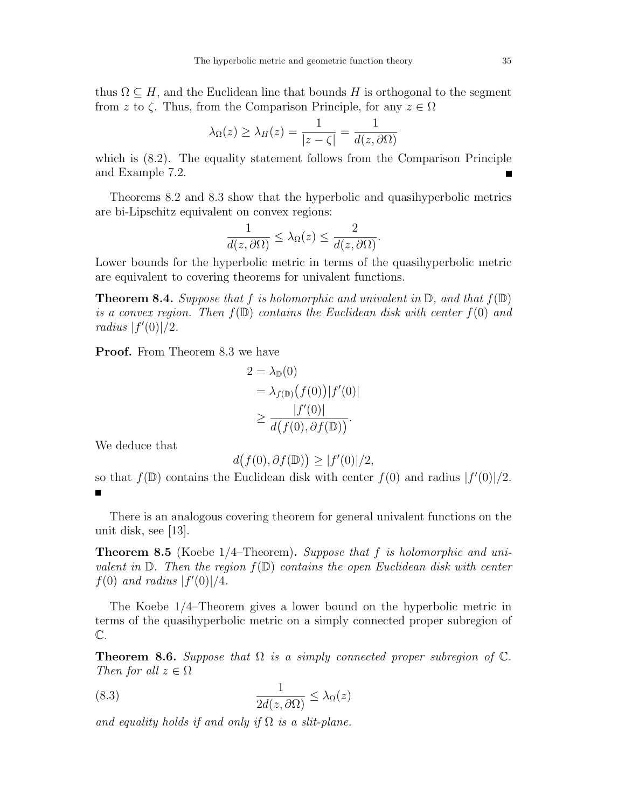thus  $\Omega \subseteq H$ , and the Euclidean line that bounds H is orthogonal to the segment from z to  $\zeta$ . Thus, from the Comparison Principle, for any  $z \in \Omega$ 

$$
\lambda_{\Omega}(z) \ge \lambda_{H}(z) = \frac{1}{|z - \zeta|} = \frac{1}{d(z, \partial \Omega)}
$$

which is  $(8.2)$ . The equality statement follows from the Comparison Principle and Example 7.2. Ē

Theorems 8.2 and 8.3 show that the hyperbolic and quasihyperbolic metrics are bi-Lipschitz equivalent on convex regions:

$$
\frac{1}{d(z, \partial \Omega)} \le \lambda_{\Omega}(z) \le \frac{2}{d(z, \partial \Omega)}.
$$

Lower bounds for the hyperbolic metric in terms of the quasihyperbolic metric are equivalent to covering theorems for univalent functions.

**Theorem 8.4.** Suppose that f is holomorphic and univalent in  $\mathbb{D}$ , and that  $f(\mathbb{D})$ is a convex region. Then  $f(\mathbb{D})$  contains the Euclidean disk with center  $f(0)$  and radius  $|f'(0)|/2$ .

Proof. From Theorem 8.3 we have

$$
2 = \lambda_{\mathbb{D}}(0)
$$
  
=  $\lambda_{f(\mathbb{D})}(f(0)) |f'(0)|$   

$$
\geq \frac{|f'(0)|}{d(f(0), \partial f(\mathbb{D}))}.
$$

We deduce that

$$
d(f(0), \partial f(\mathbb{D})) \ge |f'(0)|/2,
$$

so that  $f(\mathbb{D})$  contains the Euclidean disk with center  $f(0)$  and radius  $|f'(0)|/2$ .

There is an analogous covering theorem for general univalent functions on the unit disk, see [13].

**Theorem 8.5** (Koebe  $1/4$ –Theorem). Suppose that f is holomorphic and univalent in  $\mathbb D$ . Then the region  $f(\mathbb D)$  contains the open Euclidean disk with center  $f(0)$  and radius  $|f'(0)|/4$ .

The Koebe 1/4–Theorem gives a lower bound on the hyperbolic metric in terms of the quasihyperbolic metric on a simply connected proper subregion of  $\mathbb{C}.$ 

**Theorem 8.6.** Suppose that  $\Omega$  is a simply connected proper subregion of  $\mathbb{C}$ . Then for all  $z \in \Omega$ 

(8.3) 
$$
\frac{1}{2d(z, \partial \Omega)} \leq \lambda_{\Omega}(z)
$$

and equality holds if and only if  $\Omega$  is a slit-plane.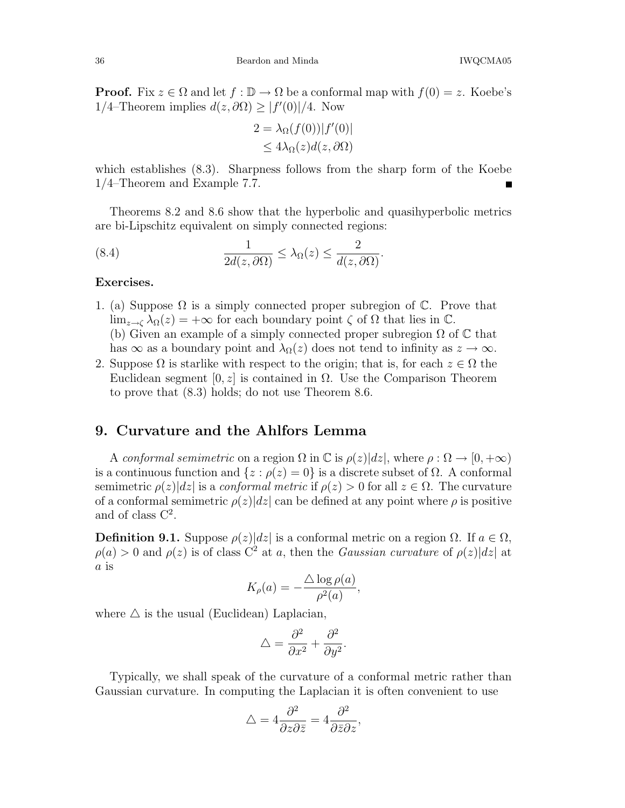**Proof.** Fix  $z \in \Omega$  and let  $f : \mathbb{D} \to \Omega$  be a conformal map with  $f(0) = z$ . Koebe's 1/4–Theorem implies  $d(z, \partial \Omega) \ge |f'(0)|/4$ . Now

$$
2 = \lambda_{\Omega}(f(0))|f'(0)|
$$
  

$$
\leq 4\lambda_{\Omega}(z)d(z, \partial\Omega)
$$

which establishes (8.3). Sharpness follows from the sharp form of the Koebe 1/4–Theorem and Example 7.7.

Theorems 8.2 and 8.6 show that the hyperbolic and quasihyperbolic metrics are bi-Lipschitz equivalent on simply connected regions:

(8.4) 
$$
\frac{1}{2d(z, \partial \Omega)} \leq \lambda_{\Omega}(z) \leq \frac{2}{d(z, \partial \Omega)}.
$$

#### Exercises.

- 1. (a) Suppose  $\Omega$  is a simply connected proper subregion of  $\mathbb{C}$ . Prove that  $\lim_{z\to\zeta} \lambda_{\Omega}(z) = +\infty$  for each boundary point  $\zeta$  of  $\Omega$  that lies in  $\mathbb{C}$ . (b) Given an example of a simply connected proper subregion  $\Omega$  of  $\mathbb C$  that has  $\infty$  as a boundary point and  $\lambda_{\Omega}(z)$  does not tend to infinity as  $z \to \infty$ .
- 2. Suppose  $\Omega$  is starlike with respect to the origin; that is, for each  $z \in \Omega$  the Euclidean segment  $[0, z]$  is contained in  $\Omega$ . Use the Comparison Theorem to prove that (8.3) holds; do not use Theorem 8.6.

### 9. Curvature and the Ahlfors Lemma

A conformal semimetric on a region  $\Omega$  in  $\mathbb C$  is  $\rho(z)|dz|$ , where  $\rho : \Omega \to [0, +\infty)$ is a continuous function and  $\{z : \rho(z) = 0\}$  is a discrete subset of  $\Omega$ . A conformal semimetric  $\rho(z)|dz|$  is a *conformal metric* if  $\rho(z) > 0$  for all  $z \in \Omega$ . The curvature of a conformal semimetric  $\rho(z)|dz|$  can be defined at any point where  $\rho$  is positive and of class  $C^2$ .

Definition 9.1. Suppose  $\rho(z)|dz|$  is a conformal metric on a region  $\Omega$ . If  $a \in \Omega$ ,  $\rho(a) > 0$  and  $\rho(z)$  is of class  $C^2$  at a, then the *Gaussian curvature* of  $\rho(z)|dz|$  at a is

$$
K_{\rho}(a) = -\frac{\triangle \log \rho(a)}{\rho^2(a)},
$$

where  $\triangle$  is the usual (Euclidean) Laplacian,

$$
\triangle = \frac{\partial^2}{\partial x^2} + \frac{\partial^2}{\partial y^2}.
$$

Typically, we shall speak of the curvature of a conformal metric rather than Gaussian curvature. In computing the Laplacian it is often convenient to use

$$
\triangle = 4 \frac{\partial^2}{\partial z \partial \bar{z}} = 4 \frac{\partial^2}{\partial \bar{z} \partial z},
$$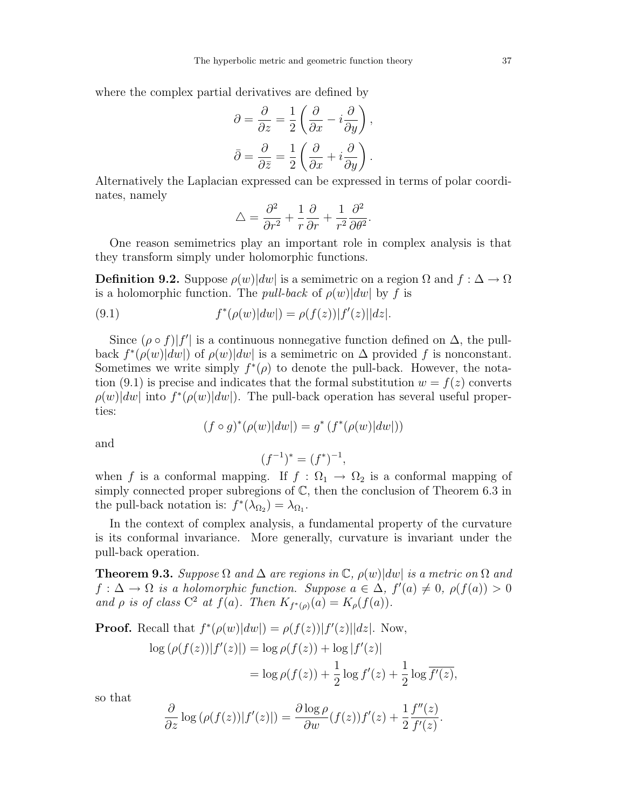where the complex partial derivatives are defined by

$$
\partial = \frac{\partial}{\partial z} = \frac{1}{2} \left( \frac{\partial}{\partial x} - i \frac{\partial}{\partial y} \right),
$$

$$
\bar{\partial} = \frac{\partial}{\partial \bar{z}} = \frac{1}{2} \left( \frac{\partial}{\partial x} + i \frac{\partial}{\partial y} \right).
$$

Alternatively the Laplacian expressed can be expressed in terms of polar coordinates, namely

$$
\triangle = \frac{\partial^2}{\partial r^2} + \frac{1}{r} \frac{\partial}{\partial r} + \frac{1}{r^2} \frac{\partial^2}{\partial \theta^2}.
$$

One reason semimetrics play an important role in complex analysis is that they transform simply under holomorphic functions.

**Definition 9.2.** Suppose  $\rho(w)|dw|$  is a semimetric on a region  $\Omega$  and  $f : \Delta \to \Omega$ is a holomorphic function. The *pull-back* of  $\rho(w)|dw|$  by f is

(9.1) 
$$
f^*(\rho(w)|dw|) = \rho(f(z))|f'(z)||dz|.
$$

Since  $(\rho \circ f)|f'|$  is a continuous nonnegative function defined on  $\Delta$ , the pullback  $f^*(\rho(w)|dw|)$  of  $\rho(w)|dw|$  is a semimetric on  $\Delta$  provided f is nonconstant. Sometimes we write simply  $f^*(\rho)$  to denote the pull-back. However, the notation (9.1) is precise and indicates that the formal substitution  $w = f(z)$  converts  $\rho(w)|dw|$  into  $f^*(\rho(w)|dw|)$ . The pull-back operation has several useful properties:

$$
(f\circ g)^*(\rho(w)|dw|)=g^*\left(f^*(\rho(w)|dw|)\right)
$$

and

$$
(f^{-1})^* = (f^*)^{-1},
$$

when f is a conformal mapping. If  $f : \Omega_1 \to \Omega_2$  is a conformal mapping of simply connected proper subregions of  $\mathbb{C}$ , then the conclusion of Theorem 6.3 in the pull-back notation is:  $f^*(\lambda_{\Omega_2}) = \lambda_{\Omega_1}$ .

In the context of complex analysis, a fundamental property of the curvature is its conformal invariance. More generally, curvature is invariant under the pull-back operation.

**Theorem 9.3.** Suppose  $\Omega$  and  $\Delta$  are regions in  $\mathbb{C}$ ,  $\rho(w)|dw|$  is a metric on  $\Omega$  and  $f: \Delta \to \Omega$  is a holomorphic function. Suppose  $a \in \Delta$ ,  $f'(a) \neq 0$ ,  $\rho(f(a)) > 0$ and  $\rho$  is of class  $C^2$  at  $f(a)$ . Then  $K_{f^*(\rho)}(a) = K_{\rho}(f(a))$ .

**Proof.** Recall that  $f^*(\rho(w)|dw|) = \rho(f(z))|f'(z)||dz|$ . Now,

$$
\log (\rho(f(z))|f'(z)|) = \log \rho(f(z)) + \log |f'(z)|
$$
  
= 
$$
\log \rho(f(z)) + \frac{1}{2} \log f'(z) + \frac{1}{2} \log \overline{f'(z)},
$$

so that

$$
\frac{\partial}{\partial z} \log (\rho(f(z)) |f'(z)|) = \frac{\partial \log \rho}{\partial w} (f(z)) f'(z) + \frac{1}{2} \frac{f''(z)}{f'(z)}
$$

.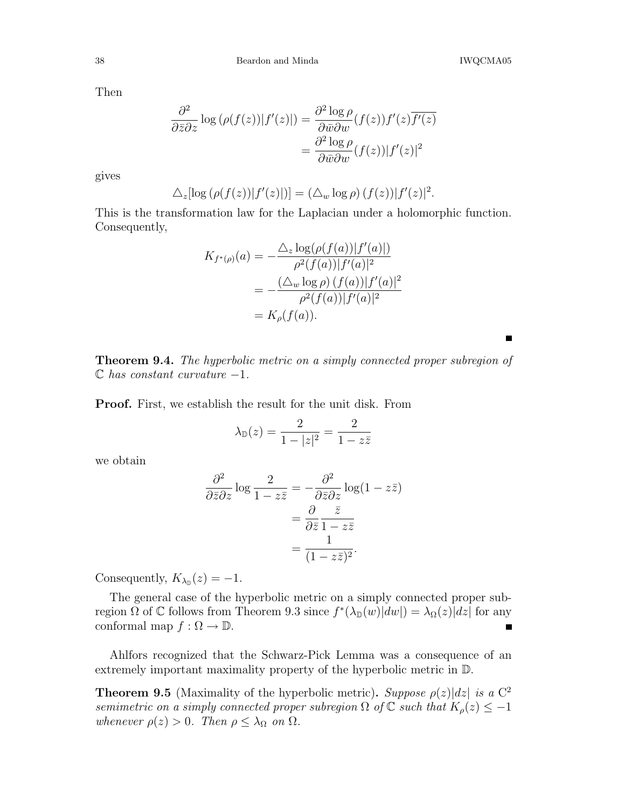Then

$$
\frac{\partial^2}{\partial \bar{z} \partial z} \log (\rho(f(z)) |f'(z)|) = \frac{\partial^2 \log \rho}{\partial \bar{w} \partial w} (f(z)) f'(z) \overline{f'(z)}
$$

$$
= \frac{\partial^2 \log \rho}{\partial \bar{w} \partial w} (f(z)) |f'(z)|^2
$$

gives

$$
\Delta_z[\log(\rho(f(z))|f'(z)|)] = (\Delta_w \log \rho) (f(z)) |f'(z)|^2.
$$

This is the transformation law for the Laplacian under a holomorphic function. Consequently,

$$
K_{f^*(\rho)}(a) = -\frac{\Delta_z \log(\rho(f(a))|f'(a)|)}{\rho^2(f(a))|f'(a)|^2}
$$
  
= 
$$
-\frac{(\Delta_w \log \rho) (f(a))|f'(a)|^2}{\rho^2(f(a))|f'(a)|^2}
$$
  
= 
$$
K_{\rho}(f(a)).
$$

Theorem 9.4. The hyperbolic metric on a simply connected proper subregion of  $\mathbb C$  has constant curvature  $-1$ .

Proof. First, we establish the result for the unit disk. From

$$
\lambda_{\mathbb{D}}(z) = \frac{2}{1 - |z|^2} = \frac{2}{1 - z\overline{z}}
$$

we obtain

$$
\frac{\partial^2}{\partial \bar{z} \partial z} \log \frac{2}{1 - z \bar{z}} = -\frac{\partial^2}{\partial \bar{z} \partial z} \log (1 - z \bar{z})
$$

$$
= \frac{\partial}{\partial \bar{z}} \frac{\bar{z}}{1 - z \bar{z}}
$$

$$
= \frac{1}{(1 - z \bar{z})^2}.
$$

Consequently,  $K_{\lambda_{\mathbb{D}}}(z) = -1$ .

The general case of the hyperbolic metric on a simply connected proper subregion  $\Omega$  of C follows from Theorem 9.3 since  $f^*(\lambda_{\mathbb{D}}(w)|dw|) = \lambda_{\Omega}(z)|dz|$  for any conformal map  $f : \Omega \to \mathbb{D}$ .

Ahlfors recognized that the Schwarz-Pick Lemma was a consequence of an extremely important maximality property of the hyperbolic metric in D.

**Theorem 9.5** (Maximality of the hyperbolic metric). Suppose  $\rho(z) |dz|$  is a C<sup>2</sup> semimetric on a simply connected proper subregion  $\Omega$  of  $\mathbb C$  such that  $K_{\rho}(z) \leq -1$ whenever  $\rho(z) > 0$ . Then  $\rho \leq \lambda_{\Omega}$  on  $\Omega$ .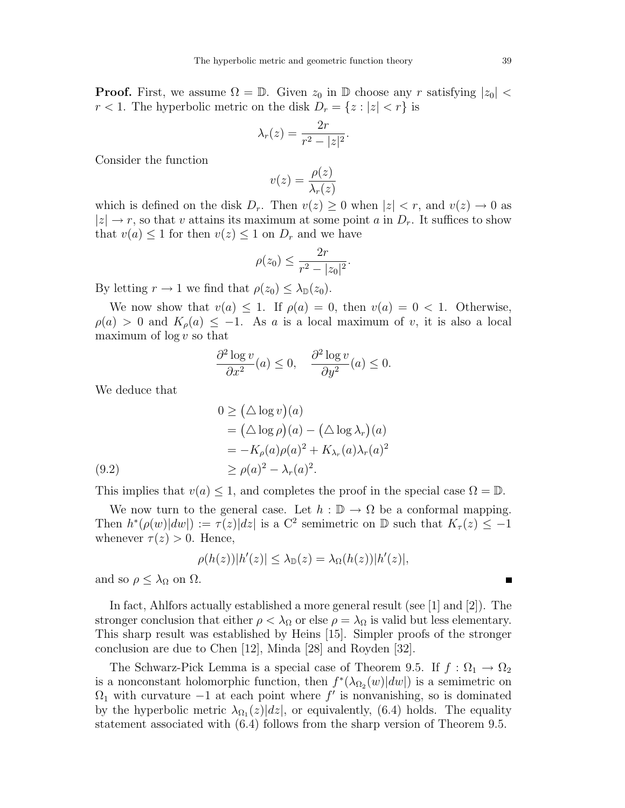**Proof.** First, we assume  $\Omega = \mathbb{D}$ . Given  $z_0$  in  $\mathbb{D}$  choose any r satisfying  $|z_0|$  <  $r < 1$ . The hyperbolic metric on the disk  $D_r = \{z : |z| < r\}$  is

$$
\lambda_r(z) = \frac{2r}{r^2 - |z|^2}.
$$

Consider the function

$$
v(z) = \frac{\rho(z)}{\lambda_r(z)}
$$

which is defined on the disk  $D_r$ . Then  $v(z) \geq 0$  when  $|z| < r$ , and  $v(z) \to 0$  as  $|z| \rightarrow r$ , so that v attains its maximum at some point a in  $D_r$ . It suffices to show that  $v(a) \leq 1$  for then  $v(z) \leq 1$  on  $D_r$  and we have

$$
\rho(z_0) \le \frac{2r}{r^2 - |z_0|^2}.
$$

By letting  $r \to 1$  we find that  $\rho(z_0) \leq \lambda_{\mathbb{D}}(z_0)$ .

We now show that  $v(a) \leq 1$ . If  $\rho(a) = 0$ , then  $v(a) = 0 < 1$ . Otherwise,  $\rho(a) > 0$  and  $K_{\rho}(a) \leq -1$ . As a is a local maximum of v, it is also a local maximum of  $\log v$  so that

$$
\frac{\partial^2 \log v}{\partial x^2}(a) \le 0, \quad \frac{\partial^2 \log v}{\partial y^2}(a) \le 0.
$$

We deduce that

(9.2)  
\n
$$
0 \ge (\Delta \log v)(a)
$$
\n
$$
= (\Delta \log \rho)(a) - (\Delta \log \lambda_r)(a)
$$
\n
$$
= -K_{\rho}(a)\rho(a)^2 + K_{\lambda_r}(a)\lambda_r(a)^2
$$
\n
$$
\ge \rho(a)^2 - \lambda_r(a)^2.
$$

This implies that  $v(a) \leq 1$ , and completes the proof in the special case  $\Omega = \mathbb{D}$ .

We now turn to the general case. Let  $h : \mathbb{D} \to \Omega$  be a conformal mapping. Then  $h^*(\rho(w)|dw|) := \tau(z)|dz|$  is a C<sup>2</sup> semimetric on  $\mathbb D$  such that  $K_{\tau}(z) \leq -1$ whenever  $\tau(z) > 0$ . Hence,

$$
\rho(h(z))|h'(z)| \leq \lambda_{\mathbb{D}}(z) = \lambda_{\Omega}(h(z))|h'(z)|,
$$

and so  $\rho \leq \lambda_{\Omega}$  on  $\Omega$ .

In fact, Ahlfors actually established a more general result (see [1] and [2]). The stronger conclusion that either  $\rho < \lambda_{\Omega}$  or else  $\rho = \lambda_{\Omega}$  is valid but less elementary. This sharp result was established by Heins [15]. Simpler proofs of the stronger conclusion are due to Chen [12], Minda [28] and Royden [32].

The Schwarz-Pick Lemma is a special case of Theorem 9.5. If  $f : \Omega_1 \to \Omega_2$ is a nonconstant holomorphic function, then  $f^*(\lambda_{\Omega_2}(w)|dw|)$  is a semimetric on  $\Omega_1$  with curvature  $-1$  at each point where  $f'$  is nonvanishing, so is dominated by the hyperbolic metric  $\lambda_{\Omega_1}(z)|dz|$ , or equivalently, (6.4) holds. The equality statement associated with (6.4) follows from the sharp version of Theorem 9.5.

 $\blacksquare$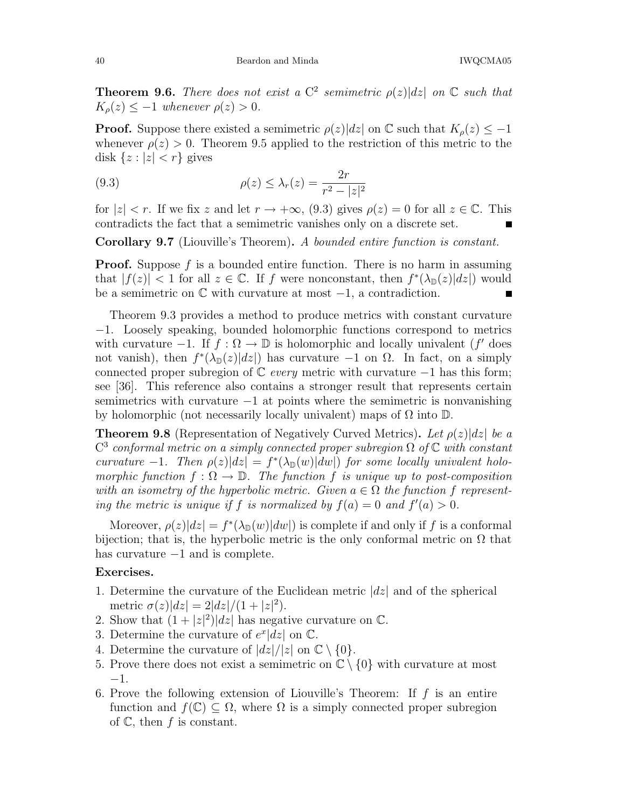**Theorem 9.6.** There does not exist a  $C^2$  semimetric  $\rho(z)|dz|$  on  $\mathbb C$  such that  $K_{\rho}(z) \leq -1$  whenever  $\rho(z) > 0$ .

**Proof.** Suppose there existed a semimetric  $\rho(z)|dz|$  on  $\mathbb C$  such that  $K_{\rho}(z) \leq -1$ whenever  $\rho(z) > 0$ . Theorem 9.5 applied to the restriction of this metric to the disk  $\{z : |z| < r\}$  gives

(9.3) 
$$
\rho(z) \leq \lambda_r(z) = \frac{2r}{r^2 - |z|^2}
$$

for  $|z| < r$ . If we fix z and let  $r \to +\infty$ , (9.3) gives  $\rho(z) = 0$  for all  $z \in \mathbb{C}$ . This contradicts the fact that a semimetric vanishes only on a discrete set.

Corollary 9.7 (Liouville's Theorem). A bounded entire function is constant.

**Proof.** Suppose f is a bounded entire function. There is no harm in assuming that  $|f(z)| < 1$  for all  $z \in \mathbb{C}$ . If f were nonconstant, then  $f^*(\lambda_{\mathbb{D}}(z)|dz|)$  would be a semimetric on  $\mathbb C$  with curvature at most  $-1$ , a contradiction.

Theorem 9.3 provides a method to produce metrics with constant curvature −1. Loosely speaking, bounded holomorphic functions correspond to metrics with curvature  $-1$ . If  $f : \Omega \to \mathbb{D}$  is holomorphic and locally univalent (f' does not vanish), then  $f^*(\lambda_{\mathbb{D}}(z)|dz|)$  has curvature  $-1$  on  $\Omega$ . In fact, on a simply connected proper subregion of  $\mathbb C$  every metric with curvature  $-1$  has this form; see [36]. This reference also contains a stronger result that represents certain semimetrics with curvature  $-1$  at points where the semimetric is nonvanishing by holomorphic (not necessarily locally univalent) maps of  $\Omega$  into  $\mathbb{D}$ .

**Theorem 9.8** (Representation of Negatively Curved Metrics). Let  $\rho(z)|dz|$  be a  $\mathbb{C}^3$  conformal metric on a simply connected proper subregion  $\Omega$  of  $\mathbb C$  with constant curvature -1. Then  $\rho(z)|dz| = f^*(\lambda_{\mathbb{D}}(w)|dw|)$  for some locally univalent holomorphic function  $f : \Omega \to \mathbb{D}$ . The function f is unique up to post-composition with an isometry of the hyperbolic metric. Given  $a \in \Omega$  the function f representing the metric is unique if f is normalized by  $f(a) = 0$  and  $f'(a) > 0$ .

Moreover,  $\rho(z)|dz| = f^*(\lambda_{\mathbb{D}}(w)|dw|)$  is complete if and only if f is a conformal bijection; that is, the hyperbolic metric is the only conformal metric on  $\Omega$  that has curvature −1 and is complete.

### Exercises.

- 1. Determine the curvature of the Euclidean metric  $|dz|$  and of the spherical metric  $\sigma(z)|dz| = 2|dz|/(1+|z|^2)$ .
- 2. Show that  $(1+|z|^2)|dz|$  has negative curvature on  $\mathbb{C}$ .
- 3. Determine the curvature of  $e^x|dz|$  on  $\mathbb{C}$ .
- 4. Determine the curvature of  $|dz|/|z|$  on  $\mathbb{C}\setminus\{0\}$ .
- 5. Prove there does not exist a semimetric on  $\mathbb{C} \setminus \{0\}$  with curvature at most −1.
- 6. Prove the following extension of Liouville's Theorem: If  $f$  is an entire function and  $f(\mathbb{C}) \subseteq \Omega$ , where  $\Omega$  is a simply connected proper subregion of  $\mathbb{C}$ , then f is constant.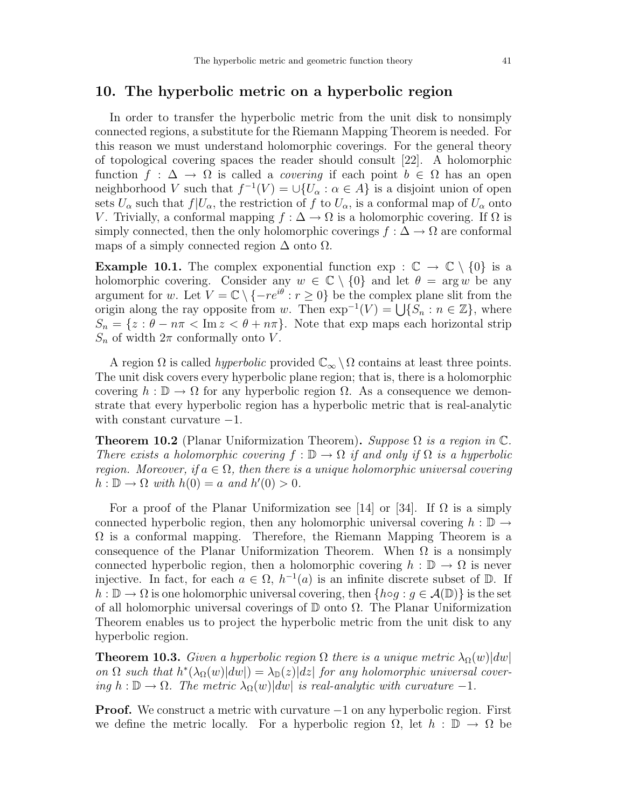## 10. The hyperbolic metric on a hyperbolic region

In order to transfer the hyperbolic metric from the unit disk to nonsimply connected regions, a substitute for the Riemann Mapping Theorem is needed. For this reason we must understand holomorphic coverings. For the general theory of topological covering spaces the reader should consult [22]. A holomorphic function  $f : \Delta \to \Omega$  is called a *covering* if each point  $b \in \Omega$  has an open neighborhood V such that  $f^{-1}(V) = \bigcup \{U_\alpha : \alpha \in A\}$  is a disjoint union of open sets  $U_{\alpha}$  such that  $f|U_{\alpha}$ , the restriction of f to  $U_{\alpha}$ , is a conformal map of  $U_{\alpha}$  onto V. Trivially, a conformal mapping  $f : \Delta \to \Omega$  is a holomorphic covering. If  $\Omega$  is simply connected, then the only holomorphic coverings  $f : \Delta \to \Omega$  are conformal maps of a simply connected region  $\Delta$  onto  $\Omega$ .

**Example 10.1.** The complex exponential function  $\exp : \mathbb{C} \to \mathbb{C} \setminus \{0\}$  is a holomorphic covering. Consider any  $w \in \mathbb{C} \setminus \{0\}$  and let  $\theta = \arg w$  be any argument for w. Let  $V = \mathbb{C} \setminus \{-re^{i\theta} : r \geq 0\}$  be the complex plane slit from the origin along the ray opposite from w. Then  $\exp^{-1}(V) = \bigcup \{S_n : n \in \mathbb{Z}\}\,$ , where  $S_n = \{z : \theta - n\pi < \text{Im } z < \theta + n\pi\}.$  Note that exp maps each horizontal strip  $S_n$  of width  $2\pi$  conformally onto V.

A region  $\Omega$  is called *hyperbolic* provided  $\mathbb{C}_{\infty} \setminus \Omega$  contains at least three points. The unit disk covers every hyperbolic plane region; that is, there is a holomorphic covering  $h : \mathbb{D} \to \Omega$  for any hyperbolic region  $\Omega$ . As a consequence we demonstrate that every hyperbolic region has a hyperbolic metric that is real-analytic with constant curvature  $-1$ .

**Theorem 10.2** (Planar Uniformization Theorem). Suppose  $\Omega$  is a region in  $\mathbb{C}$ . There exists a holomorphic covering  $f : \mathbb{D} \to \Omega$  if and only if  $\Omega$  is a hyperbolic region. Moreover, if  $a \in \Omega$ , then there is a unique holomorphic universal covering  $h: \mathbb{D} \to \Omega$  with  $h(0) = a$  and  $h'(0) > 0$ .

For a proof of the Planar Uniformization see [14] or [34]. If  $\Omega$  is a simply connected hyperbolic region, then any holomorphic universal covering  $h : \mathbb{D} \to$  $\Omega$  is a conformal mapping. Therefore, the Riemann Mapping Theorem is a consequence of the Planar Uniformization Theorem. When  $\Omega$  is a nonsimply connected hyperbolic region, then a holomorphic covering  $h : \mathbb{D} \to \Omega$  is never injective. In fact, for each  $a \in \Omega$ ,  $h^{-1}(a)$  is an infinite discrete subset of  $\mathbb{D}$ . If  $h : \mathbb{D} \to \Omega$  is one holomorphic universal covering, then  $\{h \circ q : q \in \mathcal{A}(\mathbb{D})\}$  is the set of all holomorphic universal coverings of  $\mathbb D$  onto  $\Omega$ . The Planar Uniformization Theorem enables us to project the hyperbolic metric from the unit disk to any hyperbolic region.

**Theorem 10.3.** Given a hyperbolic region  $\Omega$  there is a unique metric  $\lambda_{\Omega}(w)|dw|$ on  $\Omega$  such that  $h^*(\lambda_{\Omega}(w)|dw|) = \lambda_{\mathbb{D}}(z)|dz|$  for any holomorphic universal covering  $h : \mathbb{D} \to \Omega$ . The metric  $\lambda_{\Omega}(w)|dw|$  is real-analytic with curvature -1.

**Proof.** We construct a metric with curvature  $-1$  on any hyperbolic region. First we define the metric locally. For a hyperbolic region  $\Omega$ , let  $h : \mathbb{D} \to \Omega$  be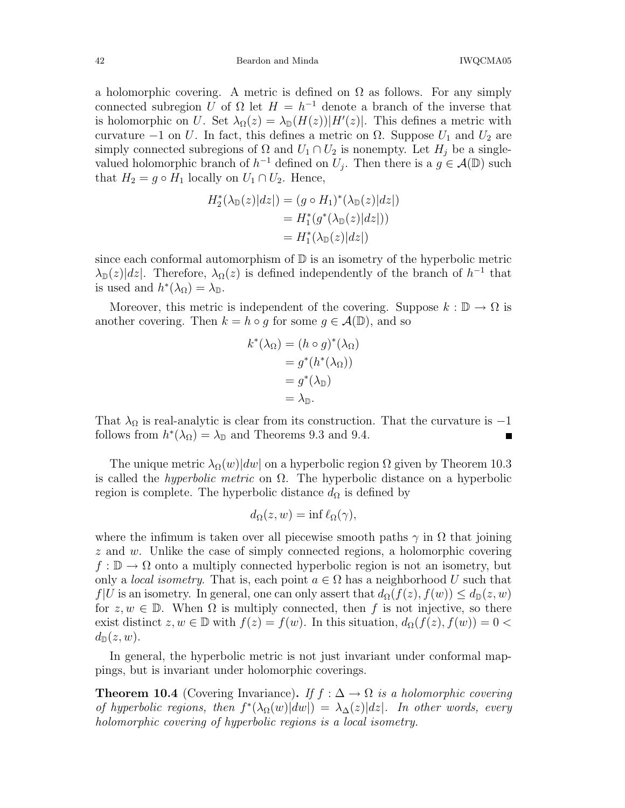42 Beardon and Minda IWQCMA05

a holomorphic covering. A metric is defined on  $\Omega$  as follows. For any simply connected subregion U of  $\Omega$  let  $H = h^{-1}$  denote a branch of the inverse that is holomorphic on U. Set  $\lambda_{\Omega}(z) = \lambda_{\mathbb{D}}(H(z))|H'(z)|$ . This defines a metric with curvature  $-1$  on U. In fact, this defines a metric on  $\Omega$ . Suppose  $U_1$  and  $U_2$  are simply connected subregions of  $\Omega$  and  $U_1 \cap U_2$  is nonempty. Let  $H_j$  be a singlevalued holomorphic branch of  $h^{-1}$  defined on  $U_j$ . Then there is a  $g \in \mathcal{A}(\mathbb{D})$  such that  $H_2 = g \circ H_1$  locally on  $U_1 \cap U_2$ . Hence,

$$
H_2^*(\lambda_{\mathbb{D}}(z)|dz|) = (g \circ H_1)^*(\lambda_{\mathbb{D}}(z)|dz|)
$$
  
=  $H_1^*(g^*(\lambda_{\mathbb{D}}(z)|dz|))$   
=  $H_1^*(\lambda_{\mathbb{D}}(z)|dz|)$ 

since each conformal automorphism of  $D$  is an isometry of the hyperbolic metric  $\lambda_{\mathbb{D}}(z)|dz|$ . Therefore,  $\lambda_{\Omega}(z)$  is defined independently of the branch of  $h^{-1}$  that is used and  $h^*(\lambda_{\Omega}) = \lambda_{\mathbb{D}}$ .

Moreover, this metric is independent of the covering. Suppose  $k : \mathbb{D} \to \Omega$  is another covering. Then  $k = h \circ q$  for some  $q \in \mathcal{A}(\mathbb{D})$ , and so

$$
k^*(\lambda_{\Omega}) = (h \circ g)^*(\lambda_{\Omega})
$$
  
=  $g^*(h^*(\lambda_{\Omega}))$   
=  $g^*(\lambda_{\mathbb{D}})$   
=  $\lambda_{\mathbb{D}}$ .

That  $\lambda_{\Omega}$  is real-analytic is clear from its construction. That the curvature is -1 follows from  $h^*(\lambda_{\Omega}) = \lambda_{\mathbb{R}}$  and Theorems 9.3 and 9.4 follows from  $h^*(\lambda_{\Omega}) = \lambda_{\mathbb{D}}$  and Theorems 9.3 and 9.4.

The unique metric  $\lambda_{\Omega}(w)|dw|$  on a hyperbolic region  $\Omega$  given by Theorem 10.3 is called the *hyperbolic metric* on  $\Omega$ . The hyperbolic distance on a hyperbolic region is complete. The hyperbolic distance  $d_{\Omega}$  is defined by

$$
d_{\Omega}(z, w) = \inf \ell_{\Omega}(\gamma),
$$

where the infimum is taken over all piecewise smooth paths  $\gamma$  in  $\Omega$  that joining  $z$  and w. Unlike the case of simply connected regions, a holomorphic covering  $f : \mathbb{D} \to \Omega$  onto a multiply connected hyperbolic region is not an isometry, but only a *local isometry*. That is, each point  $a \in \Omega$  has a neighborhood U such that  $f|U$  is an isometry. In general, one can only assert that  $d_{\Omega}(f(z), f(w)) \leq d_{\mathbb{D}}(z, w)$ for  $z, w \in \mathbb{D}$ . When  $\Omega$  is multiply connected, then f is not injective, so there exist distinct  $z, w \in \mathbb{D}$  with  $f(z) = f(w)$ . In this situation,  $d_{\Omega}(f(z), f(w)) = 0$  $d_{\mathbb{D}}(z,w).$ 

In general, the hyperbolic metric is not just invariant under conformal mappings, but is invariant under holomorphic coverings.

**Theorem 10.4** (Covering Invariance). If  $f : \Delta \to \Omega$  is a holomorphic covering of hyperbolic regions, then  $f^*(\lambda_{\Omega}(w)|dw|) = \lambda_{\Delta}(z)|dz|$ . In other words, every holomorphic covering of hyperbolic regions is a local isometry.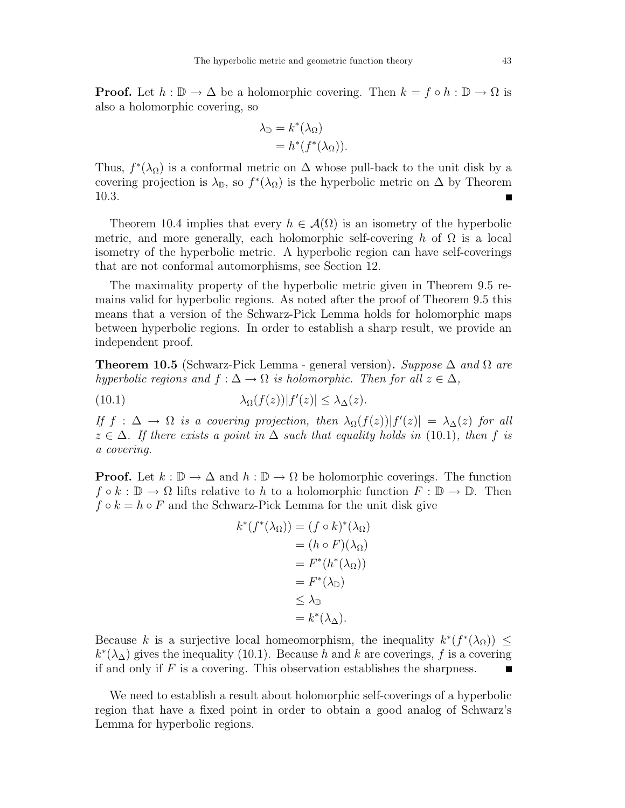**Proof.** Let  $h : \mathbb{D} \to \Delta$  be a holomorphic covering. Then  $k = f \circ h : \mathbb{D} \to \Omega$  is also a holomorphic covering, so

$$
\lambda_{\mathbb{D}} = k^*(\lambda_{\Omega})
$$
  
=  $h^*(f^*(\lambda_{\Omega})).$ 

Thus,  $f^*(\lambda_{\Omega})$  is a conformal metric on  $\Delta$  whose pull-back to the unit disk by a covering projection is  $\lambda_{\mathbb{D}}$ , so  $f^*(\lambda_{\Omega})$  is the hyperbolic metric on  $\Delta$  by Theorem 10.3. П

Theorem 10.4 implies that every  $h \in \mathcal{A}(\Omega)$  is an isometry of the hyperbolic metric, and more generally, each holomorphic self-covering h of  $\Omega$  is a local isometry of the hyperbolic metric. A hyperbolic region can have self-coverings that are not conformal automorphisms, see Section 12.

The maximality property of the hyperbolic metric given in Theorem 9.5 remains valid for hyperbolic regions. As noted after the proof of Theorem 9.5 this means that a version of the Schwarz-Pick Lemma holds for holomorphic maps between hyperbolic regions. In order to establish a sharp result, we provide an independent proof.

**Theorem 10.5** (Schwarz-Pick Lemma - general version). Suppose  $\Delta$  and  $\Omega$  are hyperbolic regions and  $f : \Delta \to \Omega$  is holomorphic. Then for all  $z \in \Delta$ ,

(10.1)  $\lambda_{\Omega}(f(z))|f'(z)| \leq \lambda_{\Delta}(z).$ 

If  $f : \Delta \to \Omega$  is a covering projection, then  $\lambda_{\Omega}(f(z)) |f'(z)| = \lambda_{\Delta}(z)$  for all  $z \in \Delta$ . If there exists a point in  $\Delta$  such that equality holds in (10.1), then f is a covering.

**Proof.** Let  $k : \mathbb{D} \to \Delta$  and  $h : \mathbb{D} \to \Omega$  be holomorphic coverings. The function  $f \circ k : \mathbb{D} \to \Omega$  lifts relative to h to a holomorphic function  $F : \mathbb{D} \to \mathbb{D}$ . Then  $f \circ k = h \circ F$  and the Schwarz-Pick Lemma for the unit disk give

$$
k^*(f^*(\lambda_\Omega)) = (f \circ k)^*(\lambda_\Omega)
$$
  
=  $(h \circ F)(\lambda_\Omega)$   
=  $F^*(h^*(\lambda_\Omega))$   
=  $F^*(\lambda_\mathbb{D})$   
 $\leq \lambda_\mathbb{D}$   
=  $k^*(\lambda_\Delta).$ 

Because k is a surjective local homeomorphism, the inequality  $k^*(f^*(\lambda_0)) \leq$  $k^*(\lambda_\Delta)$  gives the inequality (10.1). Because h and k are coverings, f is a covering if and only if  $F$  is a covering. This observation establishes the sharpness. П

We need to establish a result about holomorphic self-coverings of a hyperbolic region that have a fixed point in order to obtain a good analog of Schwarz's Lemma for hyperbolic regions.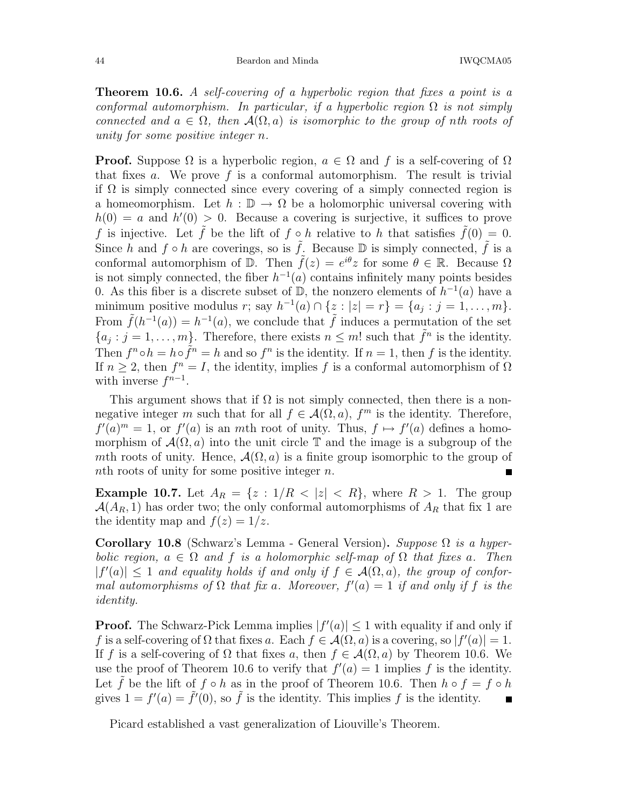**Theorem 10.6.** A self-covering of a hyperbolic region that fixes a point is a conformal automorphism. In particular, if a hyperbolic region  $\Omega$  is not simply connected and  $a \in \Omega$ , then  $\mathcal{A}(\Omega, a)$  is isomorphic to the group of nth roots of unity for some positive integer n.

**Proof.** Suppose  $\Omega$  is a hyperbolic region,  $a \in \Omega$  and f is a self-covering of  $\Omega$ that fixes a. We prove f is a conformal automorphism. The result is trivial if  $\Omega$  is simply connected since every covering of a simply connected region is a homeomorphism. Let  $h : \mathbb{D} \to \Omega$  be a holomorphic universal covering with  $h(0) = a$  and  $h'(0) > 0$ . Because a covering is surjective, it suffices to prove f is injective. Let f be the lift of  $f \circ h$  relative to h that satisfies  $f(0) = 0$ . Since h and  $f \circ h$  are coverings, so is  $\tilde{f}$ . Because D is simply connected,  $\tilde{f}$  is a conformal automorphism of  $\mathbb{D}$ . Then  $\tilde{f}(z) = e^{i\theta}z$  for some  $\theta \in \mathbb{R}$ . Because  $\Omega$ is not simply connected, the fiber  $h^{-1}(a)$  contains infinitely many points besides 0. As this fiber is a discrete subset of  $\mathbb{D}$ , the nonzero elements of  $h^{-1}(a)$  have a minimum positive modulus r; say  $h^{-1}(a) \cap \{z : |z| = r\} = \{a_j : j = 1, ..., m\}.$ From  $\tilde{f}(h^{-1}(a)) = h^{-1}(a)$ , we conclude that  $\tilde{f}$  induces a permutation of the set  $\{a_j : j = 1, \ldots, m\}$ . Therefore, there exists  $n \leq m!$  such that  $\tilde{f}^n$  is the identity. Then  $f^n \circ h = h \circ \tilde{f}^n = h$  and so  $f^n$  is the identity. If  $n = 1$ , then f is the identity. If  $n \geq 2$ , then  $f^n = I$ , the identity, implies f is a conformal automorphism of  $\Omega$ with inverse  $f^{n-1}$ .

This argument shows that if  $\Omega$  is not simply connected, then there is a nonnegative integer m such that for all  $f \in \mathcal{A}(\Omega, a)$ ,  $f^m$  is the identity. Therefore,  $f'(a)^m = 1$ , or  $f'(a)$  is an mth root of unity. Thus,  $f \mapsto f'(a)$  defines a homomorphism of  $\mathcal{A}(\Omega, a)$  into the unit circle  $\mathbb T$  and the image is a subgroup of the mth roots of unity. Hence,  $\mathcal{A}(\Omega, a)$  is a finite group isomorphic to the group of *n*th roots of unity for some positive integer *n*. nth roots of unity for some positive integer n.

**Example 10.7.** Let  $A_R = \{z : 1/R < |z| < R\}$ , where  $R > 1$ . The group  $\mathcal{A}(A_R, 1)$  has order two; the only conformal automorphisms of  $A_R$  that fix 1 are the identity map and  $f(z) = 1/z$ .

Corollary 10.8 (Schwarz's Lemma - General Version). Suppose  $\Omega$  is a hyperbolic region,  $a \in \Omega$  and f is a holomorphic self-map of  $\Omega$  that fixes a. Then  $|f'(a)| \leq 1$  and equality holds if and only if  $f \in \mathcal{A}(\Omega, a)$ , the group of conformal automorphisms of  $\Omega$  that fix a. Moreover,  $f'(a) = 1$  if and only if f is the identity.

**Proof.** The Schwarz-Pick Lemma implies  $|f'(a)| \leq 1$  with equality if and only if f is a self-covering of  $\Omega$  that fixes a. Each  $f \in \mathcal{A}(\Omega, a)$  is a covering, so  $|f'(a)| = 1$ . If f is a self-covering of  $\Omega$  that fixes a, then  $f \in \mathcal{A}(\Omega, a)$  by Theorem 10.6. We use the proof of Theorem 10.6 to verify that  $f'(a) = 1$  implies f is the identity. Let  $\hat{f}$  be the lift of  $f \circ h$  as in the proof of Theorem 10.6. Then  $h \circ f = f \circ h$  gives  $1 = f'(a) = \tilde{f}'(0)$ , so  $\tilde{f}$  is the identity. This implies  $f$  is the identity. gives  $1 = f'(a) = \tilde{f}'(0)$ , so  $\tilde{f}$  is the identity. This implies f is the identity.

Picard established a vast generalization of Liouville's Theorem.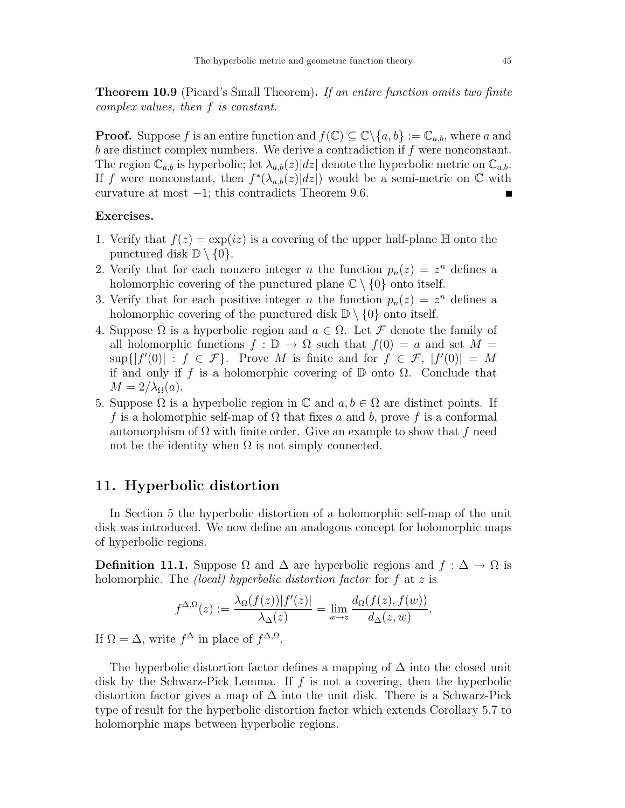**Theorem 10.9** (Picard's Small Theorem). If an entire function omits two finite complex values, then f is constant.

**Proof.** Suppose f is an entire function and  $f(\mathbb{C}) \subseteq \mathbb{C} \backslash \{a, b\} := \mathbb{C}_{a,b}$ , where a and b are distinct complex numbers. We derive a contradiction if  $f$  were nonconstant. The region  $\mathbb{C}_{a,b}$  is hyperbolic; let  $\lambda_{a,b}(z)|dz|$  denote the hyperbolic metric on  $\mathbb{C}_{a,b}$ . If f were nonconstant, then  $f^*(\lambda_{a,b}(z)|dz|)$  would be a semi-metric on  $\mathbb C$  with curvature at most −1; this contradicts Theorem 9.6.

### Exercises.

- 1. Verify that  $f(z) = \exp(iz)$  is a covering of the upper half-plane  $\mathbb H$  onto the punctured disk  $\mathbb{D} \setminus \{0\}.$
- 2. Verify that for each nonzero integer *n* the function  $p_n(z) = z^n$  defines a holomorphic covering of the punctured plane  $\mathbb{C} \setminus \{0\}$  onto itself.
- 3. Verify that for each positive integer *n* the function  $p_n(z) = z^n$  defines a holomorphic covering of the punctured disk  $\mathbb{D} \setminus \{0\}$  onto itself.
- 4. Suppose  $\Omega$  is a hyperbolic region and  $a \in \Omega$ . Let F denote the family of all holomorphic functions  $f : \mathbb{D} \to \Omega$  such that  $f(0) = a$  and set  $M =$  $\sup\{|f'(0)| : f \in \mathcal{F}\}\$ . Prove M is finite and for  $f \in \mathcal{F}, |f'(0)| = M$ if and only if f is a holomorphic covering of  $D$  onto  $\Omega$ . Conclude that  $M = 2/\lambda_{\Omega}(a)$ .
- 5. Suppose  $\Omega$  is a hyperbolic region in  $\mathbb C$  and  $a, b \in \Omega$  are distinct points. If f is a holomorphic self-map of  $\Omega$  that fixes a and b, prove f is a conformal automorphism of  $\Omega$  with finite order. Give an example to show that f need not be the identity when  $\Omega$  is not simply connected.

## 11. Hyperbolic distortion

In Section 5 the hyperbolic distortion of a holomorphic self-map of the unit disk was introduced. We now define an analogous concept for holomorphic maps of hyperbolic regions.

**Definition 11.1.** Suppose  $\Omega$  and  $\Delta$  are hyperbolic regions and  $f : \Delta \to \Omega$  is holomorphic. The *(local)* hyperbolic distortion factor for f at z is

$$
f^{\Delta,\Omega}(z) := \frac{\lambda_{\Omega}(f(z))|f'(z)|}{\lambda_{\Delta}(z)} = \lim_{w \to z} \frac{d_{\Omega}(f(z), f(w))}{d_{\Delta}(z, w)}
$$

.

If  $\Omega = \Delta$ , write  $f^{\Delta}$  in place of  $f^{\Delta,\Omega}$ .

The hyperbolic distortion factor defines a mapping of  $\Delta$  into the closed unit disk by the Schwarz-Pick Lemma. If  $f$  is not a covering, then the hyperbolic distortion factor gives a map of  $\Delta$  into the unit disk. There is a Schwarz-Pick type of result for the hyperbolic distortion factor which extends Corollary 5.7 to holomorphic maps between hyperbolic regions.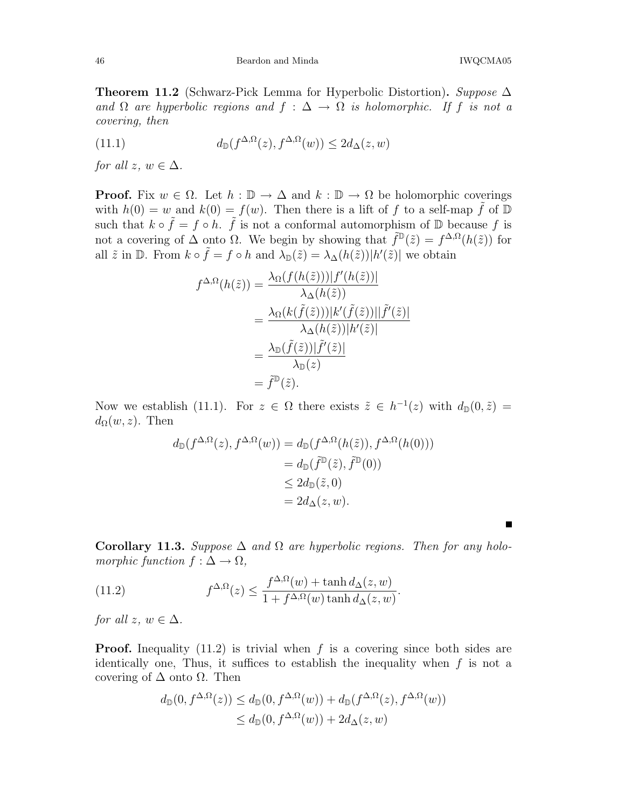Theorem 11.2 (Schwarz-Pick Lemma for Hyperbolic Distortion). Suppose  $\Delta$ and  $\Omega$  are hyperbolic regions and  $f : \Delta \to \Omega$  is holomorphic. If f is not a covering, then

(11.1) 
$$
d_{\mathbb{D}}(f^{\Delta,\Omega}(z), f^{\Delta,\Omega}(w)) \leq 2d_{\Delta}(z,w)
$$

for all  $z, w \in \Delta$ .

**Proof.** Fix  $w \in \Omega$ . Let  $h : \mathbb{D} \to \Delta$  and  $k : \mathbb{D} \to \Omega$  be holomorphic coverings with  $h(0) = w$  and  $k(0) = f(w)$ . Then there is a lift of f to a self-map  $\tilde{f}$  of  $\mathbb{D}$ such that  $k \circ \tilde{f} = f \circ h$ .  $\tilde{f}$  is not a conformal automorphism of  $\mathbb{D}$  because f is not a covering of  $\Delta$  onto  $\Omega$ . We begin by showing that  $\tilde{f}^{\mathbb{D}}(\tilde{z}) = f^{\Delta,\Omega}(h(\tilde{z}))$  for all  $\tilde{z}$  in  $\mathbb{D}$ . From  $k \circ \tilde{f} = f \circ h$  and  $\lambda_{\mathbb{D}}(\tilde{z}) = \lambda_{\Delta}(h(\tilde{z})) |h'(\tilde{z})|$  we obtain

$$
f^{\Delta,\Omega}(h(\tilde{z})) = \frac{\lambda_{\Omega}(f(h(\tilde{z})))|f'(h(\tilde{z}))|}{\lambda_{\Delta}(h(\tilde{z}))}
$$
  
= 
$$
\frac{\lambda_{\Omega}(k(\tilde{f}(\tilde{z})))|k'(\tilde{f}(\tilde{z}))||\tilde{f}'(\tilde{z})|}{\lambda_{\Delta}(h(\tilde{z}))|h'(\tilde{z})|}
$$
  
= 
$$
\frac{\lambda_{\mathbb{D}}(\tilde{f}(\tilde{z}))|\tilde{f}'(\tilde{z})|}{\lambda_{\mathbb{D}}(z)}
$$
  
= 
$$
\tilde{f}^{\mathbb{D}}(\tilde{z}).
$$

Now we establish (11.1). For  $z \in \Omega$  there exists  $\tilde{z} \in h^{-1}(z)$  with  $d_{\mathbb{D}}(0,\tilde{z}) =$  $d_{\Omega}(w, z)$ . Then

$$
d_{\mathbb{D}}(f^{\Delta,\Omega}(z), f^{\Delta,\Omega}(w)) = d_{\mathbb{D}}(f^{\Delta,\Omega}(h(\tilde{z})), f^{\Delta,\Omega}(h(0)))
$$
  
=  $d_{\mathbb{D}}(\tilde{f}^{\mathbb{D}}(\tilde{z}), \tilde{f}^{\mathbb{D}}(0))$   
 $\leq 2d_{\mathbb{D}}(\tilde{z}, 0)$   
=  $2d_{\Delta}(z, w).$ 

Corollary 11.3. Suppose  $\Delta$  and  $\Omega$  are hyperbolic regions. Then for any holomorphic function  $f : \Delta \to \Omega$ ,

(11.2) 
$$
f^{\Delta,\Omega}(z) \le \frac{f^{\Delta,\Omega}(w) + \tanh d_{\Delta}(z,w)}{1 + f^{\Delta,\Omega}(w) \tanh d_{\Delta}(z,w)}.
$$

for all  $z, w \in \Delta$ .

**Proof.** Inequality  $(11.2)$  is trivial when f is a covering since both sides are identically one, Thus, it suffices to establish the inequality when  $f$  is not a covering of  $\Delta$  onto  $\Omega$ . Then

$$
d_{\mathbb{D}}(0, f^{\Delta,\Omega}(z)) \leq d_{\mathbb{D}}(0, f^{\Delta,\Omega}(w)) + d_{\mathbb{D}}(f^{\Delta,\Omega}(z), f^{\Delta,\Omega}(w))
$$
  

$$
\leq d_{\mathbb{D}}(0, f^{\Delta,\Omega}(w)) + 2d_{\Delta}(z, w)
$$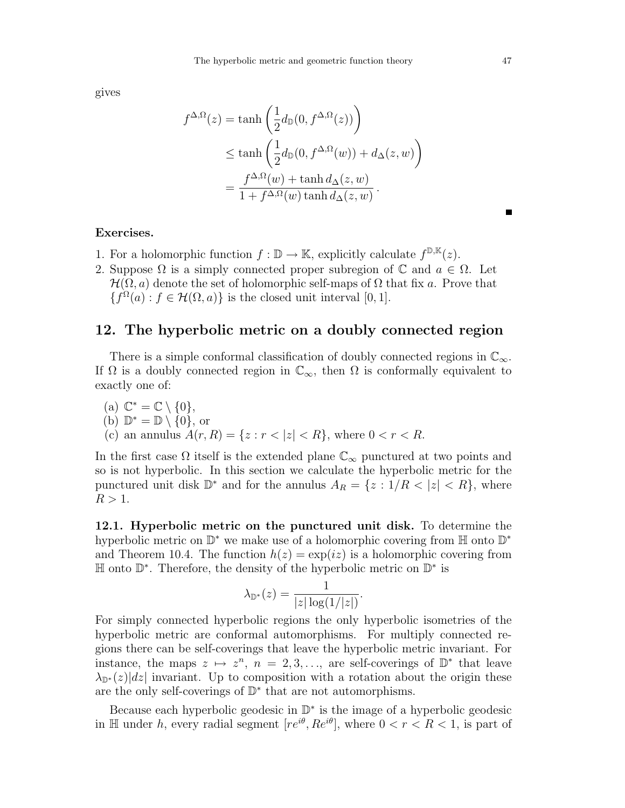gives

$$
f^{\Delta,\Omega}(z) = \tanh\left(\frac{1}{2}d_{\mathbb{D}}(0, f^{\Delta,\Omega}(z))\right)
$$
  
 
$$
\leq \tanh\left(\frac{1}{2}d_{\mathbb{D}}(0, f^{\Delta,\Omega}(w)) + d_{\Delta}(z, w)\right)
$$
  
 
$$
= \frac{f^{\Delta,\Omega}(w) + \tanh d_{\Delta}(z, w)}{1 + f^{\Delta,\Omega}(w)\tanh d_{\Delta}(z, w)}.
$$

#### Exercises.

- 1. For a holomorphic function  $f : \mathbb{D} \to \mathbb{K}$ , explicitly calculate  $f^{\mathbb{D}, \mathbb{K}}(z)$ .
- 2. Suppose  $\Omega$  is a simply connected proper subregion of  $\mathbb C$  and  $a \in \Omega$ . Let  $\mathcal{H}(\Omega, a)$  denote the set of holomorphic self-maps of  $\Omega$  that fix a. Prove that  ${f^{\Omega}(a) : f \in \mathcal{H}(\Omega, a)}$  is the closed unit interval [0, 1].

## 12. The hyperbolic metric on a doubly connected region

There is a simple conformal classification of doubly connected regions in  $\mathbb{C}_{\infty}$ . If  $\Omega$  is a doubly connected region in  $\mathbb{C}_{\infty}$ , then  $\Omega$  is conformally equivalent to exactly one of:

\n- (a) 
$$
\mathbb{C}^* = \mathbb{C} \setminus \{0\},
$$
\n- (b)  $\mathbb{D}^* = \mathbb{D} \setminus \{0\},$  or
\n- (c) an annulus  $A(r, R) = \{z : r < |z| < R\}$ , where  $0 < r < R$ .
\n

In the first case  $\Omega$  itself is the extended plane  $\mathbb{C}_{\infty}$  punctured at two points and so is not hyperbolic. In this section we calculate the hyperbolic metric for the punctured unit disk  $\mathbb{D}^*$  and for the annulus  $A_R = \{z : 1/R < |z| < R\}$ , where  $R > 1$ .

12.1. Hyperbolic metric on the punctured unit disk. To determine the hyperbolic metric on D<sup>\*</sup> we make use of a holomorphic covering from H onto D<sup>\*</sup> and Theorem 10.4. The function  $h(z) = \exp(iz)$  is a holomorphic covering from H onto D ∗ . Therefore, the density of the hyperbolic metric on D ∗ is

$$
\lambda_{\mathbb{D}^*}(z) = \frac{1}{|z| \log(1/|z|)}.
$$

For simply connected hyperbolic regions the only hyperbolic isometries of the hyperbolic metric are conformal automorphisms. For multiply connected regions there can be self-coverings that leave the hyperbolic metric invariant. For instance, the maps  $z \mapsto z^n$ ,  $n = 2, 3, \ldots$ , are self-coverings of  $\mathbb{D}^*$  that leave  $\lambda_{\mathbb{D}^*}(z)|dz|$  invariant. Up to composition with a rotation about the origin these are the only self-coverings of  $\mathbb{D}^*$  that are not automorphisms.

Because each hyperbolic geodesic in D ∗ is the image of a hyperbolic geodesic in H under h, every radial segment  $[re^{i\theta}, Re^{i\theta}]$ , where  $0 < r < R < 1$ , is part of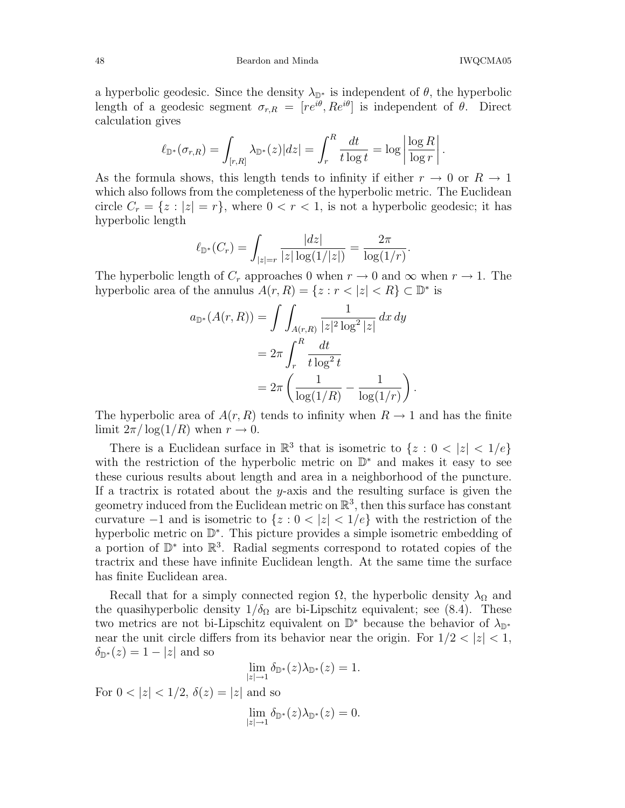48 Beardon and Minda IWQCMA05

a hyperbolic geodesic. Since the density  $\lambda_{\mathbb{D}^*}$  is independent of  $\theta$ , the hyperbolic length of a geodesic segment  $\sigma_{r,R} = [re^{i\theta}, Re^{i\theta}]$  is independent of  $\theta$ . Direct calculation gives

$$
\ell_{\mathbb{D}^*}(\sigma_{r,R}) = \int_{[r,R]} \lambda_{\mathbb{D}^*}(z)|dz| = \int_r^R \frac{dt}{t \log t} = \log \left| \frac{\log R}{\log r} \right|.
$$

As the formula shows, this length tends to infinity if either  $r \to 0$  or  $R \to 1$ which also follows from the completeness of the hyperbolic metric. The Euclidean circle  $C_r = \{z : |z| = r\}$ , where  $0 < r < 1$ , is not a hyperbolic geodesic; it has hyperbolic length

$$
\ell_{\mathbb{D}^*}(C_r) = \int_{|z|=r} \frac{|dz|}{|z| \log(1/|z|)} = \frac{2\pi}{\log(1/r)}.
$$

The hyperbolic length of  $C_r$  approaches 0 when  $r \to 0$  and  $\infty$  when  $r \to 1$ . The hyperbolic area of the annulus  $A(r, R) = \{z : r < |z| < R\} \subset \mathbb{D}^*$  is

$$
a_{\mathbb{D}^*}(A(r,R)) = \int \int_{A(r,R)} \frac{1}{|z|^2 \log^2 |z|} dx dy
$$
  
= 
$$
2\pi \int_r^R \frac{dt}{t \log^2 t}
$$
  
= 
$$
2\pi \left( \frac{1}{\log(1/R)} - \frac{1}{\log(1/r)} \right).
$$

The hyperbolic area of  $A(r, R)$  tends to infinity when  $R \to 1$  and has the finite limit  $2\pi/\log(1/R)$  when  $r \to 0$ .

There is a Euclidean surface in  $\mathbb{R}^3$  that is isometric to  $\{z : 0 < |z| < 1/e\}$ with the restriction of the hyperbolic metric on  $\mathbb{D}^*$  and makes it easy to see these curious results about length and area in a neighborhood of the puncture. If a tractrix is rotated about the y-axis and the resulting surface is given the geometry induced from the Euclidean metric on  $\mathbb{R}^3$ , then this surface has constant curvature  $-1$  and is isometric to  $\{z: 0 < |z| < 1/e\}$  with the restriction of the hyperbolic metric on D<sup>\*</sup>. This picture provides a simple isometric embedding of a portion of D<sup>\*</sup> into R<sup>3</sup>. Radial segments correspond to rotated copies of the tractrix and these have infinite Euclidean length. At the same time the surface has finite Euclidean area.

Recall that for a simply connected region  $\Omega$ , the hyperbolic density  $\lambda_{\Omega}$  and the quasihyperbolic density  $1/\delta_{\Omega}$  are bi-Lipschitz equivalent; see (8.4). These two metrics are not bi-Lipschitz equivalent on  $\mathbb{D}^*$  because the behavior of  $\lambda_{\mathbb{D}^*}$ near the unit circle differs from its behavior near the origin. For  $1/2 < |z| < 1$ ,  $\delta_{\mathbb{D}^*}(z) = 1 - |z|$  and so

$$
\lim_{|z|\to 1} \delta_{\mathbb{D}^*}(z)\lambda_{\mathbb{D}^*}(z) = 1.
$$

For  $0 < |z| < 1/2$ ,  $\delta(z) = |z|$  and so

$$
\lim_{|z|\to 1} \delta_{\mathbb{D}^*}(z)\lambda_{\mathbb{D}^*}(z) = 0.
$$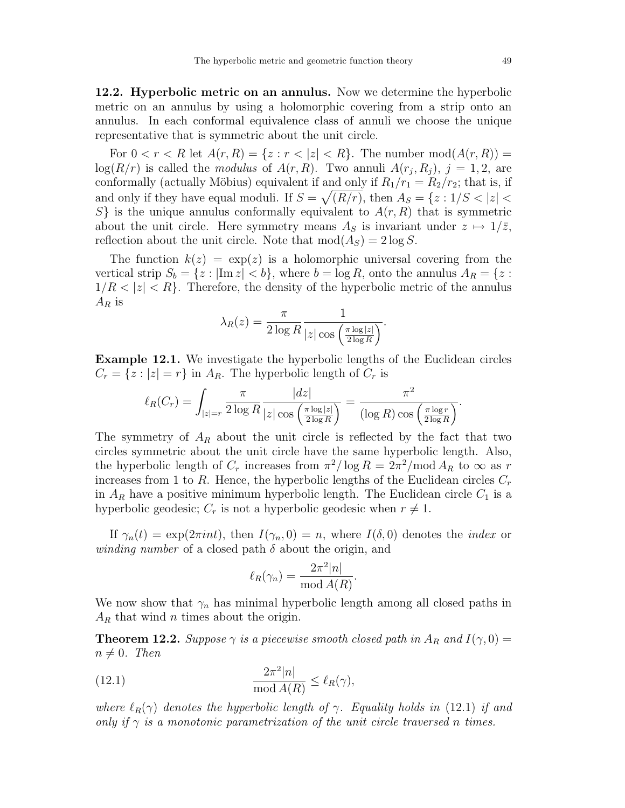12.2. Hyperbolic metric on an annulus. Now we determine the hyperbolic metric on an annulus by using a holomorphic covering from a strip onto an annulus. In each conformal equivalence class of annuli we choose the unique representative that is symmetric about the unit circle.

For  $0 < r < R$  let  $A(r, R) = \{z : r < |z| < R\}$ . The number  $mod(A(r, R)) =$  $log(R/r)$  is called the *modulus* of  $A(r, R)$ . Two annuli  $A(r_j, R_j)$ ,  $j = 1, 2$ , are conformally (actually Möbius) equivalent if and only if  $R_1/r_1 = R_2/r_2$ ; that is, if and only if they have equal moduli. If  $S = \sqrt{(R/r)}$ , then  $A_S = \{z : 1/S < |z| < \infty\}$  $S\}$  is the unique annulus conformally equivalent to  $A(r, R)$  that is symmetric about the unit circle. Here symmetry means  $A_S$  is invariant under  $z \mapsto 1/\overline{z}$ , reflection about the unit circle. Note that  $mod(A<sub>S</sub>) = 2 log S$ .

The function  $k(z) = \exp(z)$  is a holomorphic universal covering from the vertical strip  $S_b = \{z : |\text{Im } z| < b\}$ , where  $b = \log R$ , onto the annulus  $A_R = \{z :$  $1/R < |z| < R$ . Therefore, the density of the hyperbolic metric of the annulus  $A_R$  is

$$
\lambda_R(z) = \frac{\pi}{2 \log R} \frac{1}{|z| \cos \left( \frac{\pi \log |z|}{2 \log R} \right)}.
$$

Example 12.1. We investigate the hyperbolic lengths of the Euclidean circles  $C_r = \{z : |z| = r\}$  in  $A_R$ . The hyperbolic length of  $C_r$  is

$$
\ell_R(C_r) = \int_{|z|=r} \frac{\pi}{2 \log R} \frac{|dz|}{|z| \cos\left(\frac{\pi \log|z|}{2 \log R}\right)} = \frac{\pi^2}{(\log R) \cos\left(\frac{\pi \log r}{2 \log R}\right)}.
$$

The symmetry of  $A_R$  about the unit circle is reflected by the fact that two circles symmetric about the unit circle have the same hyperbolic length. Also, the hyperbolic length of  $C_r$  increases from  $\pi^2/\log R = 2\pi^2/\text{mod}\,A_R$  to  $\infty$  as r increases from 1 to R. Hence, the hyperbolic lengths of the Euclidean circles  $C_r$ in  $A_R$  have a positive minimum hyperbolic length. The Euclidean circle  $C_1$  is a hyperbolic geodesic;  $C_r$  is not a hyperbolic geodesic when  $r \neq 1$ .

If  $\gamma_n(t) = \exp(2\pi int)$ , then  $I(\gamma_n, 0) = n$ , where  $I(\delta, 0)$  denotes the *index* or winding number of a closed path  $\delta$  about the origin, and

$$
\ell_R(\gamma_n) = \frac{2\pi^2 |n|}{\text{mod } A(R)}.
$$

We now show that  $\gamma_n$  has minimal hyperbolic length among all closed paths in  $A_R$  that wind *n* times about the origin.

**Theorem 12.2.** Suppose  $\gamma$  is a piecewise smooth closed path in  $A_R$  and  $I(\gamma, 0) =$  $n \neq 0$ . Then

(12.1) 
$$
\frac{2\pi^2|n|}{\text{mod }A(R)} \leq \ell_R(\gamma),
$$

where  $\ell_R(\gamma)$  denotes the hyperbolic length of  $\gamma$ . Equality holds in (12.1) if and only if  $\gamma$  is a monotonic parametrization of the unit circle traversed n times.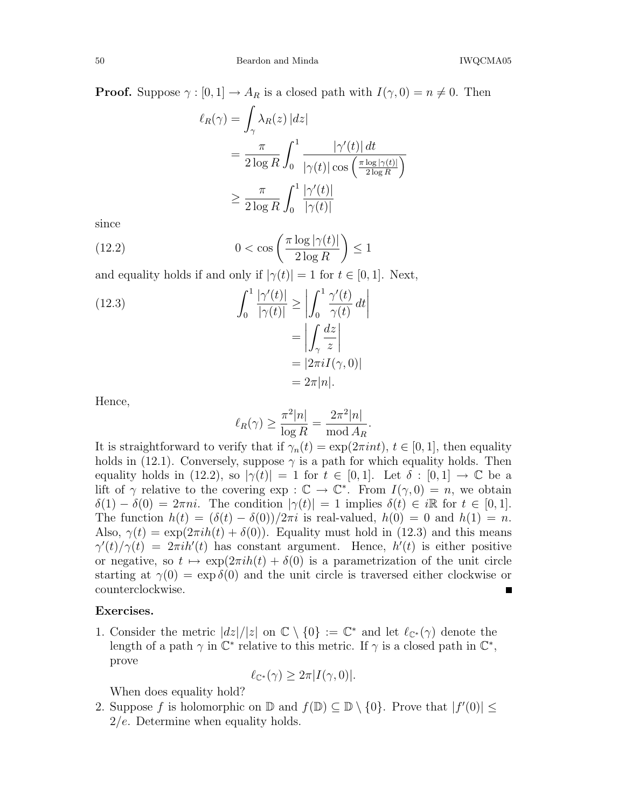**Proof.** Suppose  $\gamma : [0, 1] \to A_R$  is a closed path with  $I(\gamma, 0) = n \neq 0$ . Then

$$
\ell_R(\gamma) = \int_{\gamma} \lambda_R(z) |dz|
$$
  
= 
$$
\frac{\pi}{2 \log R} \int_0^1 \frac{|\gamma'(t)| dt}{|\gamma(t)| \cos \left(\frac{\pi \log |\gamma(t)|}{2 \log R}\right)}
$$
  

$$
\geq \frac{\pi}{2 \log R} \int_0^1 \frac{|\gamma'(t)|}{|\gamma(t)|}
$$

since

(12.2) 
$$
0 < \cos\left(\frac{\pi \log|\gamma(t)|}{2\log R}\right) \le 1
$$

and equality holds if and only if  $|\gamma(t)| = 1$  for  $t \in [0, 1]$ . Next,

(12.3)  

$$
\int_0^1 \frac{|\gamma'(t)|}{|\gamma(t)|} \ge \left| \int_0^1 \frac{\gamma'(t)}{\gamma(t)} dt \right|
$$

$$
= \left| \int_\gamma \frac{dz}{z} \right|
$$

$$
= |2\pi i I(\gamma, 0)|
$$

$$
= 2\pi |n|.
$$

Hence,

$$
\ell_R(\gamma) \ge \frac{\pi^2 |n|}{\log R} = \frac{2\pi^2 |n|}{\text{mod } A_R}.
$$

It is straightforward to verify that if  $\gamma_n(t) = \exp(2\pi int)$ ,  $t \in [0, 1]$ , then equality holds in (12.1). Conversely, suppose  $\gamma$  is a path for which equality holds. Then equality holds in (12.2), so  $|\gamma(t)| = 1$  for  $t \in [0,1]$ . Let  $\delta : [0,1] \to \mathbb{C}$  be a lift of  $\gamma$  relative to the covering  $\exp : \mathbb{C} \to \mathbb{C}^*$ . From  $I(\gamma, 0) = n$ , we obtain  $\delta(1) - \delta(0) = 2\pi ni$ . The condition  $|\gamma(t)| = 1$  implies  $\delta(t) \in i\mathbb{R}$  for  $t \in [0,1]$ . The function  $h(t) = (\delta(t) - \delta(0))/2\pi i$  is real-valued,  $h(0) = 0$  and  $h(1) = n$ . Also,  $\gamma(t) = \exp(2\pi i h(t) + \delta(0))$ . Equality must hold in (12.3) and this means  $\gamma'(t)/\gamma(t) = 2\pi i h'(t)$  has constant argument. Hence,  $h'(t)$  is either positive or negative, so  $t \mapsto \exp(2\pi i h(t) + \delta(0))$  is a parametrization of the unit circle starting at  $\gamma(0) = \exp \delta(0)$  and the unit circle is traversed either clockwise or counterclockwise.

#### Exercises.

1. Consider the metric  $|dz|/|z|$  on  $\mathbb{C} \setminus \{0\} := \mathbb{C}^*$  and let  $\ell_{\mathbb{C}^*}(\gamma)$  denote the length of a path  $\gamma$  in  $\mathbb{C}^*$  relative to this metric. If  $\gamma$  is a closed path in  $\mathbb{C}^*$ , prove

$$
\ell_{\mathbb{C}^*}(\gamma) \ge 2\pi |I(\gamma,0)|.
$$

When does equality hold?

2. Suppose f is holomorphic on  $\mathbb{D}$  and  $f(\mathbb{D}) \subseteq \mathbb{D} \setminus \{0\}$ . Prove that  $|f'(0)| \leq$ 2/e. Determine when equality holds.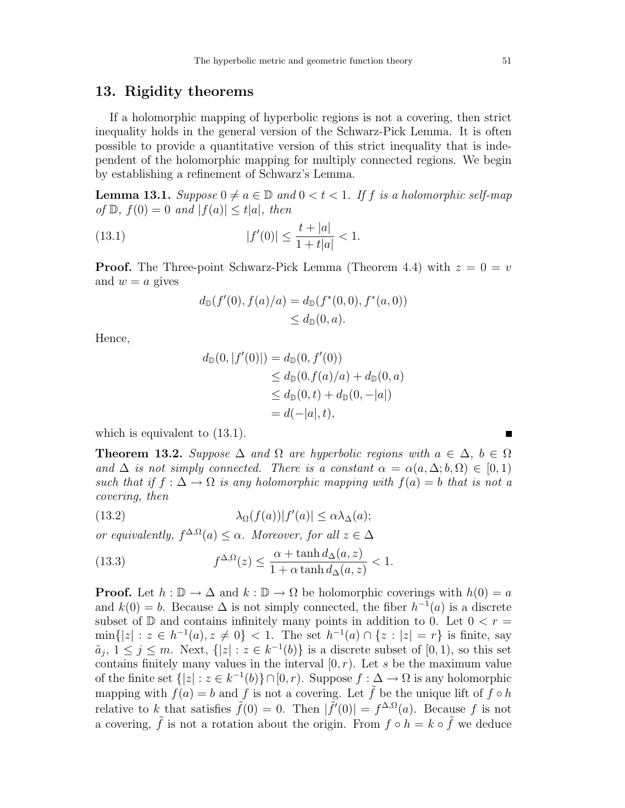## 13. Rigidity theorems

If a holomorphic mapping of hyperbolic regions is not a covering, then strict inequality holds in the general version of the Schwarz-Pick Lemma. It is often possible to provide a quantitative version of this strict inequality that is independent of the holomorphic mapping for multiply connected regions. We begin by establishing a refinement of Schwarz's Lemma.

**Lemma 13.1.** Suppose  $0 \neq a \in \mathbb{D}$  and  $0 < t < 1$ . If f is a holomorphic self-map of  $\mathbb{D}$ ,  $f(0) = 0$  and  $|f(a)| \le t |a|$ , then

(13.1) 
$$
|f'(0)| \le \frac{t + |a|}{1 + t|a|} < 1.
$$

**Proof.** The Three-point Schwarz-Pick Lemma (Theorem 4.4) with  $z = 0 = v$ and  $w = a$  gives

$$
d_{\mathbb{D}}(f'(0), f(a)/a) = d_{\mathbb{D}}(f^*(0,0), f^*(a,0))
$$
  
\$\leq\$ d\_{\mathbb{D}}(0,a).

Hence,

$$
d_{\mathbb{D}}(0, |f'(0)|) = d_{\mathbb{D}}(0, f'(0))
$$
  
\n
$$
\leq d_{\mathbb{D}}(0. f(a)/a) + d_{\mathbb{D}}(0, a)
$$
  
\n
$$
\leq d_{\mathbb{D}}(0, t) + d_{\mathbb{D}}(0, -|a|)
$$
  
\n
$$
= d(-|a|, t),
$$

which is equivalent to  $(13.1)$ .

**Theorem 13.2.** Suppose  $\Delta$  and  $\Omega$  are hyperbolic regions with  $a \in \Delta$ ,  $b \in \Omega$ and  $\Delta$  is not simply connected. There is a constant  $\alpha = \alpha(a, \Delta; b, \Omega) \in [0, 1)$ such that if  $f : \Delta \to \Omega$  is any holomorphic mapping with  $f(a) = b$  that is not a covering, then

(13.2) 
$$
\lambda_{\Omega}(f(a))|f'(a)| \leq \alpha \lambda_{\Delta}(a);
$$

or equivalently,  $f^{\Delta,\Omega}(a) \leq \alpha$ . Moreover, for all  $z \in \Delta$ 

(13.3) 
$$
f^{\Delta,\Omega}(z) \leq \frac{\alpha + \tanh d_{\Delta}(a,z)}{1 + \alpha \tanh d_{\Delta}(a,z)} < 1.
$$

**Proof.** Let  $h : \mathbb{D} \to \Delta$  and  $k : \mathbb{D} \to \Omega$  be holomorphic coverings with  $h(0) = a$ and  $k(0) = b$ . Because  $\Delta$  is not simply connected, the fiber  $h^{-1}(a)$  is a discrete subset of  $\mathbb D$  and contains infinitely many points in addition to 0. Let  $0 < r =$  $\min\{|z| : z \in h^{-1}(a), z \neq 0\} < 1$ . The set  $h^{-1}(a) \cap \{z : |z| = r\}$  is finite, say  $\tilde{a}_j$ ,  $1 \leq j \leq m$ . Next,  $\{|z| : z \in k^{-1}(b)\}$  is a discrete subset of  $[0,1)$ , so this set contains finitely many values in the interval  $[0, r)$ . Let s be the maximum value of the finite set  $\{|z| : z \in k^{-1}(b)\} \cap [0, r)$ . Suppose  $f : \Delta \to \Omega$  is any holomorphic mapping with  $f(a) = b$  and f is not a covering. Let  $\tilde{f}$  be the unique lift of  $f \circ h$ relative to k that satisfies  $\tilde{f}(0) = 0$ . Then  $|\tilde{f}'(0)| = f^{\Delta,\Omega}(a)$ . Because f is not a covering,  $\tilde{f}$  is not a rotation about the origin. From  $f \circ h = k \circ \tilde{f}$  we deduce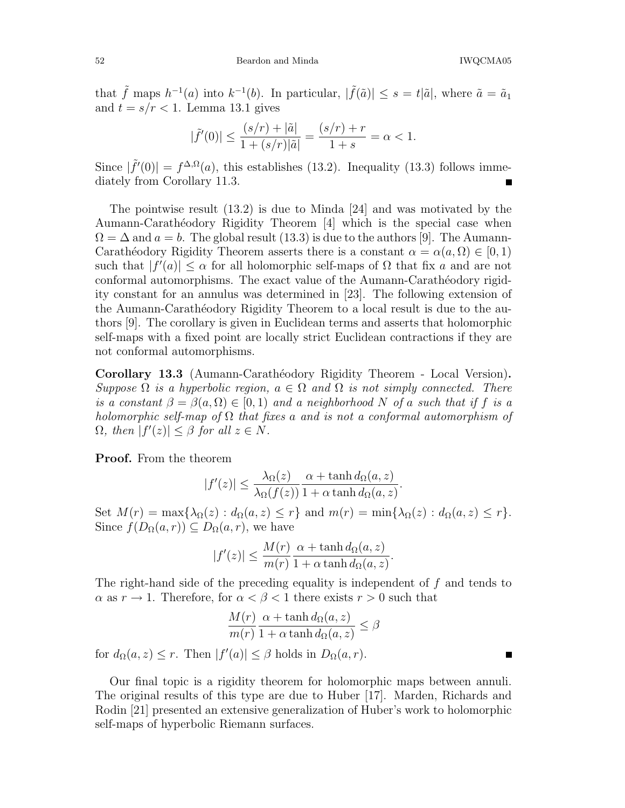that  $\tilde{f}$  maps  $h^{-1}(a)$  into  $k^{-1}(b)$ . In particular,  $|\tilde{f}(\tilde{a})| \leq s = t |\tilde{a}|$ , where  $\tilde{a} = \tilde{a}_1$ and  $t = s/r < 1$ . Lemma 13.1 gives

$$
|\tilde{f}'(0)| \le \frac{(s/r) + |\tilde{a}|}{1 + (s/r)|\tilde{a}|} = \frac{(s/r) + r}{1 + s} = \alpha < 1.
$$

Since  $|\tilde{f}'(0)| = f^{\Delta,\Omega}(a)$ , this establishes (13.2). Inequality (13.3) follows immediately from Corollary 11.3.

The pointwise result (13.2) is due to Minda [24] and was motivated by the Aumann-Carathéodory Rigidity Theorem [4] which is the special case when  $\Omega = \Delta$  and  $a = b$ . The global result (13.3) is due to the authors [9]. The Aumann-Carathéodory Rigidity Theorem asserts there is a constant  $\alpha = \alpha(a, \Omega) \in [0, 1)$ such that  $|f'(a)| \leq \alpha$  for all holomorphic self-maps of  $\Omega$  that fix a and are not conformal automorphisms. The exact value of the Aumann-Carathéodory rigidity constant for an annulus was determined in [23]. The following extension of the Aumann-Carathéodory Rigidity Theorem to a local result is due to the authors [9]. The corollary is given in Euclidean terms and asserts that holomorphic self-maps with a fixed point are locally strict Euclidean contractions if they are not conformal automorphisms.

Corollary 13.3 (Aumann-Carathéodory Rigidity Theorem - Local Version). Suppose  $\Omega$  is a hyperbolic region,  $a \in \Omega$  and  $\Omega$  is not simply connected. There is a constant  $\beta = \beta(a, \Omega) \in [0, 1)$  and a neighborhood N of a such that if f is a holomorphic self-map of  $\Omega$  that fixes a and is not a conformal automorphism of  $\Omega$ , then  $|f'(z)| \leq \beta$  for all  $z \in N$ .

Proof. From the theorem

$$
|f'(z)| \leq \frac{\lambda_{\Omega}(z)}{\lambda_{\Omega}(f(z))} \frac{\alpha + \tanh d_{\Omega}(a, z)}{1 + \alpha \tanh d_{\Omega}(a, z)}.
$$

Set  $M(r) = \max{\lambda_{\Omega}(z) : d_{\Omega}(a, z) \leq r}$  and  $m(r) = \min{\lambda_{\Omega}(z) : d_{\Omega}(a, z) \leq r}$ . Since  $f(D_{\Omega}(a, r)) \subseteq D_{\Omega}(a, r)$ , we have

$$
|f'(z)| \le \frac{M(r)}{m(r)} \frac{\alpha + \tanh d_{\Omega}(a, z)}{1 + \alpha \tanh d_{\Omega}(a, z)}.
$$

The right-hand side of the preceding equality is independent of f and tends to  $\alpha$  as  $r \to 1$ . Therefore, for  $\alpha < \beta < 1$  there exists  $r > 0$  such that

$$
\frac{M(r)}{m(r)} \frac{\alpha + \tanh d_{\Omega}(a, z)}{1 + \alpha \tanh d_{\Omega}(a, z)} \le \beta
$$

for  $d_{\Omega}(a, z) \leq r$ . Then  $|f'(a)| \leq \beta$  holds in  $D_{\Omega}(a, r)$ .

Our final topic is a rigidity theorem for holomorphic maps between annuli. The original results of this type are due to Huber [17]. Marden, Richards and Rodin [21] presented an extensive generalization of Huber's work to holomorphic self-maps of hyperbolic Riemann surfaces.

Ē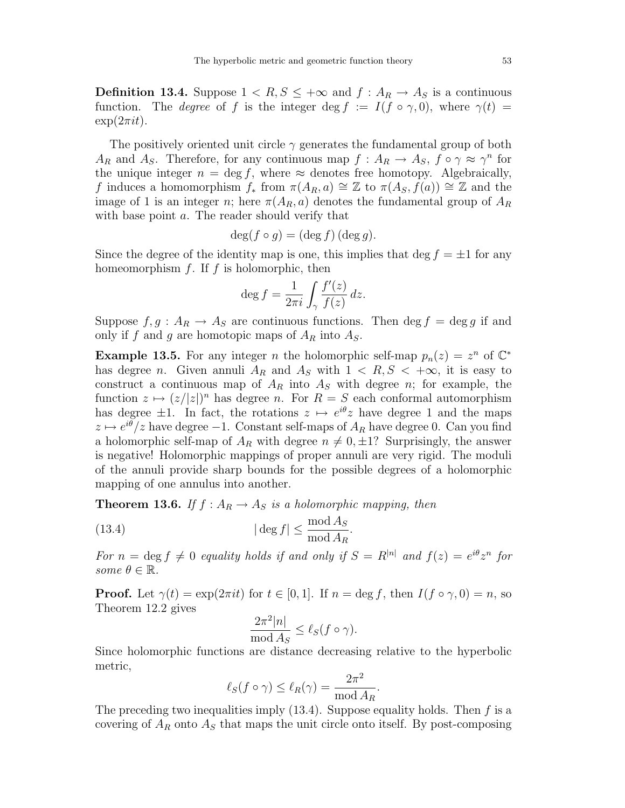**Definition 13.4.** Suppose  $1 < R$ ,  $S \leq +\infty$  and  $f : A_R \to A_S$  is a continuous function. The *degree* of f is the integer deg f :=  $I(f \circ \gamma, 0)$ , where  $\gamma(t)$  =  $\exp(2\pi i t)$ .

The positively oriented unit circle  $\gamma$  generates the fundamental group of both  $A_R$  and  $A_S$ . Therefore, for any continuous map  $f : A_R \to A_S$ ,  $f \circ \gamma \approx \gamma^n$  for the unique integer  $n = \deg f$ , where  $\approx$  denotes free homotopy. Algebraically, f induces a homomorphism  $f_*$  from  $\pi(A_R, a) \cong \mathbb{Z}$  to  $\pi(A_S, f(a)) \cong \mathbb{Z}$  and the image of 1 is an integer n; here  $\pi(A_R, a)$  denotes the fundamental group of  $A_R$ with base point a. The reader should verify that

$$
\deg(f \circ g) = (\deg f)(\deg g).
$$

Since the degree of the identity map is one, this implies that deg  $f = \pm 1$  for any homeomorphism  $f$ . If  $f$  is holomorphic, then

$$
\deg f = \frac{1}{2\pi i} \int_{\gamma} \frac{f'(z)}{f(z)} dz.
$$

Suppose  $f, g : A_R \to A_S$  are continuous functions. Then deg  $f = \deg g$  if and only if f and g are homotopic maps of  $A_R$  into  $A_S$ .

**Example 13.5.** For any integer *n* the holomorphic self-map  $p_n(z) = z^n$  of  $\mathbb{C}^*$ has degree *n*. Given annuli  $A_R$  and  $A_S$  with  $1 \lt R, S \lt +\infty$ , it is easy to construct a continuous map of  $A_R$  into  $A_S$  with degree n; for example, the function  $z \mapsto (z/|z|)^n$  has degree n. For  $R = S$  each conformal automorphism has degree  $\pm 1$ . In fact, the rotations  $z \mapsto e^{i\theta}z$  have degree 1 and the maps  $z \mapsto e^{i\theta}/z$  have degree  $-1$ . Constant self-maps of  $A_R$  have degree 0. Can you find a holomorphic self-map of  $A_R$  with degree  $n \neq 0, \pm 1$ ? Surprisingly, the answer is negative! Holomorphic mappings of proper annuli are very rigid. The moduli of the annuli provide sharp bounds for the possible degrees of a holomorphic mapping of one annulus into another.

**Theorem 13.6.** If  $f : A_R \to A_S$  is a holomorphic mapping, then

(13.4) 
$$
|\deg f| \le \frac{\text{mod } A_S}{\text{mod } A_R}.
$$

For  $n = \deg f \neq 0$  equality holds if and only if  $S = R^{|n|}$  and  $f(z) = e^{i\theta} z^n$  for some  $\theta \in \mathbb{R}$ .

**Proof.** Let  $\gamma(t) = \exp(2\pi it)$  for  $t \in [0, 1]$ . If  $n = \deg f$ , then  $I(f \circ \gamma, 0) = n$ , so Theorem 12.2 gives

$$
\frac{2\pi^2|n|}{\text{mod }A_S} \le \ell_S(f \circ \gamma).
$$

Since holomorphic functions are distance decreasing relative to the hyperbolic metric,

$$
\ell_S(f \circ \gamma) \le \ell_R(\gamma) = \frac{2\pi^2}{\text{mod } A_R}.
$$

The preceding two inequalities imply  $(13.4)$ . Suppose equality holds. Then f is a covering of  $A_R$  onto  $A_S$  that maps the unit circle onto itself. By post-composing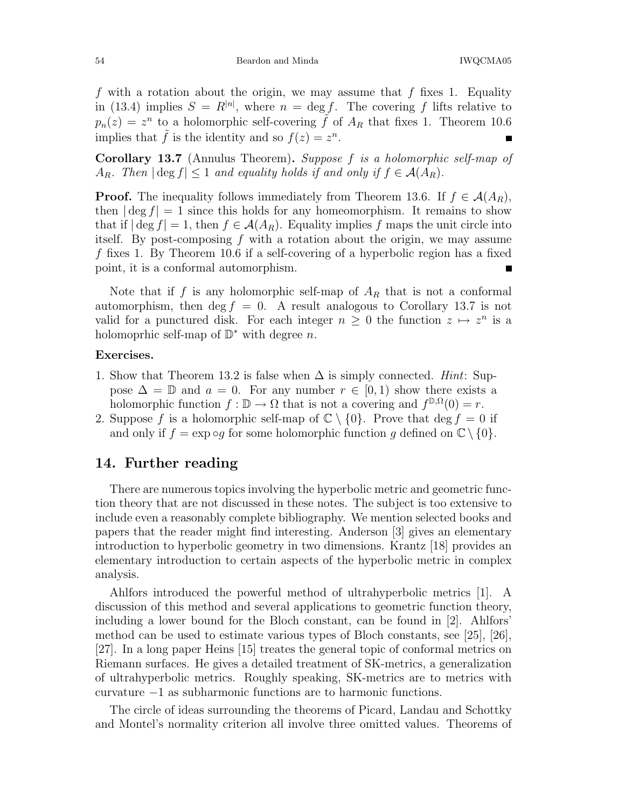f with a rotation about the origin, we may assume that f fixes 1. Equality in (13.4) implies  $S = R^{|n|}$ , where  $n = \deg f$ . The covering f lifts relative to  $p_n(z) = z^n$  to a holomorphic self-covering  $\tilde{f}$  of  $A_R$  that fixes 1. Theorem 10.6 implies that  $\tilde{f}$  is the identity and so  $f(z) = z^n$ .

Corollary 13.7 (Annulus Theorem). Suppose f is a holomorphic self-map of  $A_R$ . Then  $|\deg f| \leq 1$  and equality holds if and only if  $f \in \mathcal{A}(A_R)$ .

**Proof.** The inequality follows immediately from Theorem 13.6. If  $f \in \mathcal{A}(A_R)$ , then  $|\deg f| = 1$  since this holds for any homeomorphism. It remains to show that if  $|\deg f| = 1$ , then  $f \in \mathcal{A}(A_R)$ . Equality implies f maps the unit circle into itself. By post-composing f with a rotation about the origin, we may assume f fixes 1. By Theorem 10.6 if a self-covering of a hyperbolic region has a fixed point, it is a conformal automorphism.

Note that if f is any holomorphic self-map of  $A_R$  that is not a conformal automorphism, then deg  $f = 0$ . A result analogous to Corollary 13.7 is not valid for a punctured disk. For each integer  $n \geq 0$  the function  $z \mapsto z^n$  is a holomoprhic self-map of  $\mathbb{D}^*$  with degree n.

#### Exercises.

- 1. Show that Theorem 13.2 is false when  $\Delta$  is simply connected. Hint: Suppose  $\Delta = \mathbb{D}$  and  $a = 0$ . For any number  $r \in [0, 1)$  show there exists a holomorphic function  $f : \mathbb{D} \to \Omega$  that is not a covering and  $f^{\mathbb{D}, \Omega}(0) = r$ .
- 2. Suppose f is a holomorphic self-map of  $\mathbb{C} \setminus \{0\}$ . Prove that  $\deg f = 0$  if and only if  $f = \exp \circ g$  for some holomorphic function g defined on  $\mathbb{C} \setminus \{0\}.$

### 14. Further reading

There are numerous topics involving the hyperbolic metric and geometric function theory that are not discussed in these notes. The subject is too extensive to include even a reasonably complete bibliography. We mention selected books and papers that the reader might find interesting. Anderson [3] gives an elementary introduction to hyperbolic geometry in two dimensions. Krantz [18] provides an elementary introduction to certain aspects of the hyperbolic metric in complex analysis.

Ahlfors introduced the powerful method of ultrahyperbolic metrics [1]. A discussion of this method and several applications to geometric function theory, including a lower bound for the Bloch constant, can be found in [2]. Ahlfors' method can be used to estimate various types of Bloch constants, see [25], [26], [27]. In a long paper Heins [15] treates the general topic of conformal metrics on Riemann surfaces. He gives a detailed treatment of SK-metrics, a generalization of ultrahyperbolic metrics. Roughly speaking, SK-metrics are to metrics with curvature −1 as subharmonic functions are to harmonic functions.

The circle of ideas surrounding the theorems of Picard, Landau and Schottky and Montel's normality criterion all involve three omitted values. Theorems of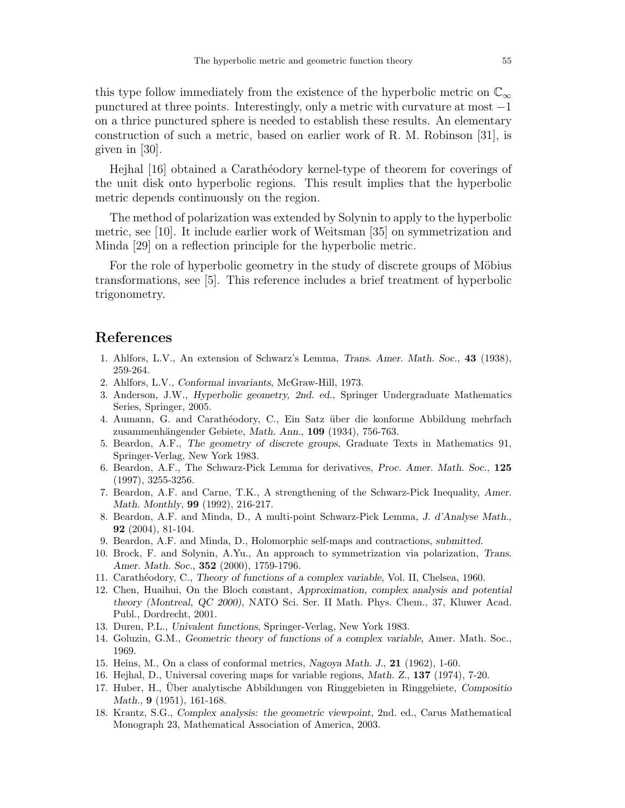this type follow immediately from the existence of the hyperbolic metric on  $\mathbb{C}_{\infty}$ punctured at three points. Interestingly, only a metric with curvature at most  $-1$ on a thrice punctured sphere is needed to establish these results. An elementary construction of such a metric, based on earlier work of R. M. Robinson [31], is given in [30].

Hejhal [16] obtained a Carath´eodory kernel-type of theorem for coverings of the unit disk onto hyperbolic regions. This result implies that the hyperbolic metric depends continuously on the region.

The method of polarization was extended by Solynin to apply to the hyperbolic metric, see [10]. It include earlier work of Weitsman [35] on symmetrization and Minda [29] on a reflection principle for the hyperbolic metric.

For the role of hyperbolic geometry in the study of discrete groups of Möbius transformations, see [5]. This reference includes a brief treatment of hyperbolic trigonometry.

## References

- 1. Ahlfors, L.V., An extension of Schwarz's Lemma, Trans. Amer. Math. Soc., 43 (1938), 259-264.
- 2. Ahlfors, L.V., Conformal invariants, McGraw-Hill, 1973.
- 3. Anderson, J.W., Hyperbolic geometry, 2nd. ed., Springer Undergraduate Mathematics Series, Springer, 2005.
- 4. Aumann, G. and Carathéodory, C., Ein Satz über die konforme Abbildung mehrfach zusammenhängender Gebiete, Math. Ann., 109 (1934), 756-763.
- 5. Beardon, A.F., The geometry of discrete groups, Graduate Texts in Mathematics 91, Springer-Verlag, New York 1983.
- 6. Beardon, A.F., The Schwarz-Pick Lemma for derivatives, Proc. Amer. Math. Soc., 125 (1997), 3255-3256.
- 7. Beardon, A.F. and Carne, T.K., A strengthening of the Schwarz-Pick Inequality, Amer. Math. Monthly, 99 (1992), 216-217.
- 8. Beardon, A.F. and Minda, D., A multi-point Schwarz-Pick Lemma, J. d'Analyse Math., 92 (2004), 81-104.
- 9. Beardon, A.F. and Minda, D., Holomorphic self-maps and contractions, submitted.
- 10. Brock, F. and Solynin, A.Yu., An approach to symmetrization via polarization, Trans. Amer. Math. Soc., 352 (2000), 1759-1796.
- 11. Carath´eodory, C., Theory of functions of a complex variable, Vol. II, Chelsea, 1960.
- 12. Chen, Huaihui, On the Bloch constant, Approximation, complex analysis and potential theory (Montreal, QC 2000), NATO Sci. Ser. II Math. Phys. Chem., 37, Kluwer Acad. Publ., Dordrecht, 2001.
- 13. Duren, P.L., Univalent functions, Springer-Verlag, New York 1983.
- 14. Goluzin, G.M., Geometric theory of functions of a complex variable, Amer. Math. Soc., 1969.
- 15. Heins, M., On a class of conformal metrics, Nagoya Math. J., 21 (1962), 1-60.
- 16. Hejhal, D., Universal covering maps for variable regions, Math. Z., 137 (1974), 7-20.
- 17. Huber, H., Uber analytische Abbildungen von Ringgebieten in Ringgebiete, Compositio Math., **9** (1951), 161-168.
- 18. Krantz, S.G., Complex analysis: the geometric viewpoint, 2nd. ed., Carus Mathematical Monograph 23, Mathematical Association of America, 2003.